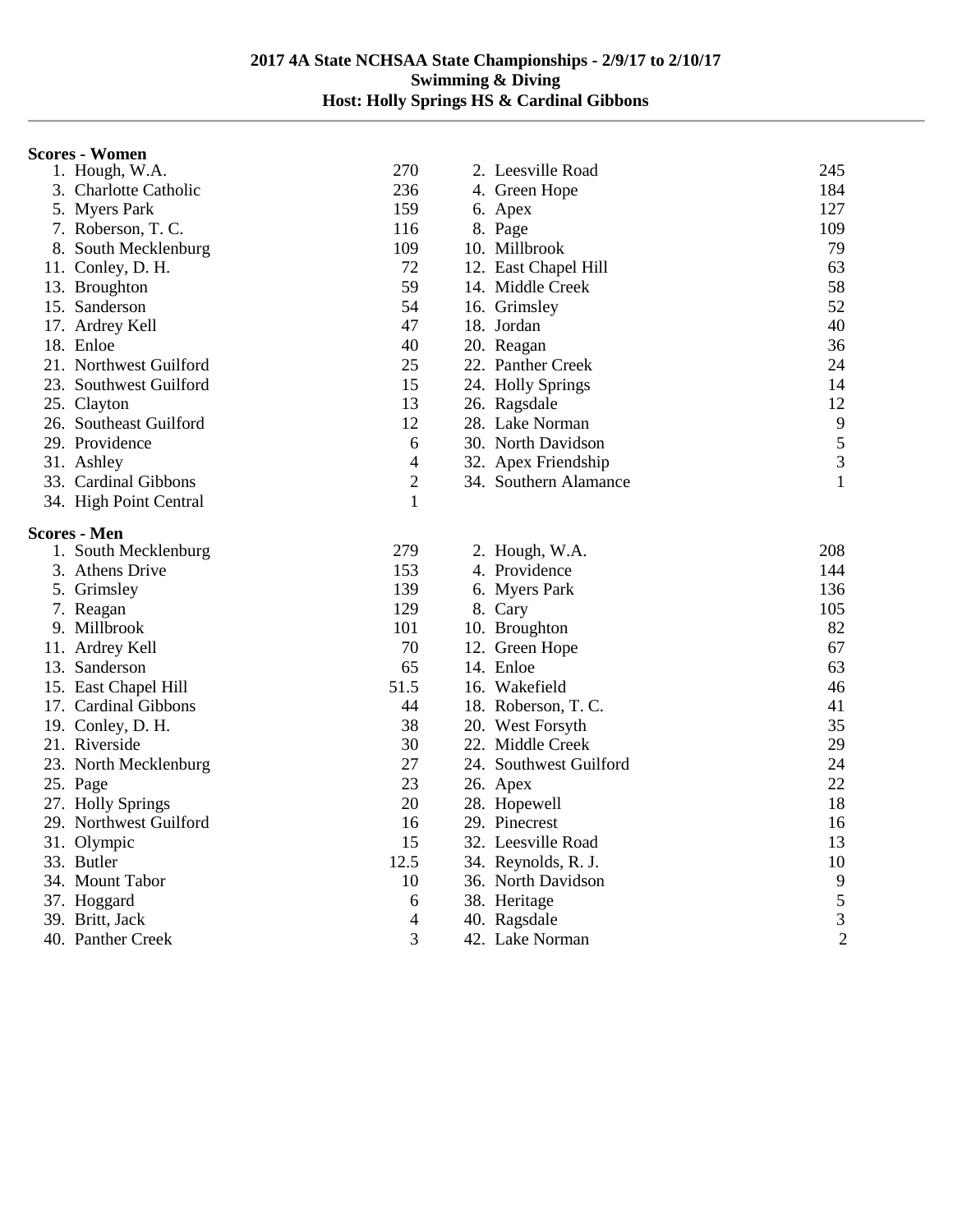## **Scores - Women**

| 1. Hough, W.A.         | 270              | 2. Leesville Road      | 245            |
|------------------------|------------------|------------------------|----------------|
| 3. Charlotte Catholic  | 236              | 4. Green Hope          | 184            |
| 5. Myers Park          | 159              | 6. Apex                | 127            |
| 7. Roberson, T. C.     | 116              | 8. Page                | 109            |
| 8. South Mecklenburg   | 109              | 10. Millbrook          | 79             |
| 11. Conley, D. H.      | 72               | 12. East Chapel Hill   | 63             |
| 13. Broughton          | 59               | 14. Middle Creek       | 58             |
| 15. Sanderson          | 54               | 16. Grimsley           | 52             |
| 17. Ardrey Kell        | 47               | 18. Jordan             | 40             |
| 18. Enloe              | 40               | 20. Reagan             | 36             |
| 21. Northwest Guilford | 25               | 22. Panther Creek      | 24             |
| 23. Southwest Guilford | 15               | 24. Holly Springs      | 14             |
| 25. Clayton            | 13               | 26. Ragsdale           | 12             |
| 26. Southeast Guilford | 12               | 28. Lake Norman        | $\overline{9}$ |
| 29. Providence         | 6                | 30. North Davidson     | $\sqrt{5}$     |
| 31. Ashley             | $\overline{4}$   | 32. Apex Friendship    | 3              |
| 33. Cardinal Gibbons   | $\boldsymbol{2}$ | 34. Southern Alamance  | 1              |
| 34. High Point Central | $\mathbf{1}$     |                        |                |
| Scores - Men           |                  |                        |                |
| 1. South Mecklenburg   | 279              | 2. Hough, W.A.         | 208            |
| 3. Athens Drive        | 153              | 4. Providence          | 144            |
| 5. Grimsley            | 139              | 6. Myers Park          | 136            |
| 7. Reagan              | 129              | 8. Cary                | 105            |
| 9. Millbrook           | 101              | 10. Broughton          | 82             |
| 11. Ardrey Kell        | 70               | 12. Green Hope         | 67             |
| 13. Sanderson          | 65               | 14. Enloe              | 63             |
| 15. East Chapel Hill   | 51.5             | 16. Wakefield          | 46             |
| 17. Cardinal Gibbons   | 44               | 18. Roberson, T. C.    | 41             |
| 19. Conley, D. H.      | 38               | 20. West Forsyth       | 35             |
| 21. Riverside          | 30               | 22. Middle Creek       | 29             |
| 23. North Mecklenburg  | 27               | 24. Southwest Guilford | 24             |
| 25. Page               | 23               | 26. Apex               | 22             |
| 27. Holly Springs      | 20               | 28. Hopewell           | 18             |
| 29. Northwest Guilford | 16               | 29. Pinecrest          | 16             |
| 31. Olympic            | 15               | 32. Leesville Road     | 13             |
| 33. Butler             | 12.5             | 34. Reynolds, R. J.    | 10             |
| 34. Mount Tabor        | 10               | 36. North Davidson     | 9              |
| 37. Hoggard            | 6                | 38. Heritage           | 5              |
| 39. Britt, Jack        | $\overline{4}$   | 40. Ragsdale           | $\overline{3}$ |
| 40. Panther Creek      | 3                | 42. Lake Norman        | $\overline{2}$ |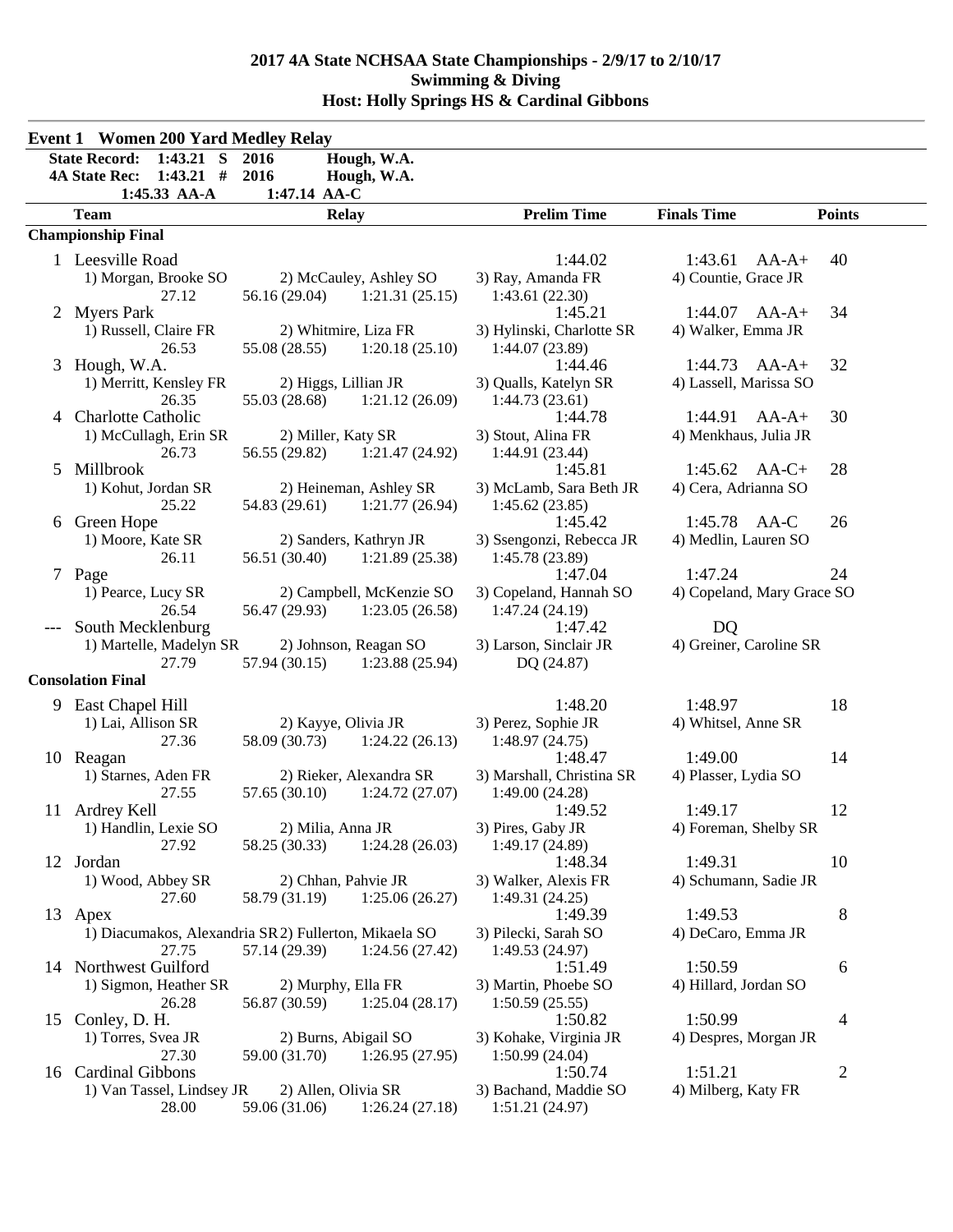|   | <b>Event 1 Women 200 Yard Medley Relay</b>                                                 |                                                                                          |                                                         |                                             |                |  |
|---|--------------------------------------------------------------------------------------------|------------------------------------------------------------------------------------------|---------------------------------------------------------|---------------------------------------------|----------------|--|
|   | $1:43.21$ S<br><b>State Record:</b><br><b>4A State Rec:</b><br>$1:43.21$ #<br>1:45.33 AA-A | 2016<br>Hough, W.A.<br>2016<br>Hough, W.A.<br>1:47.14 AA-C                               |                                                         |                                             |                |  |
|   | <b>Team</b>                                                                                | <b>Relay</b>                                                                             | <b>Prelim Time</b>                                      | <b>Finals Time</b>                          | <b>Points</b>  |  |
|   | <b>Championship Final</b>                                                                  |                                                                                          |                                                         |                                             |                |  |
|   | 1 Leesville Road<br>1) Morgan, Brooke SO<br>27.12                                          | 2) McCauley, Ashley SO<br>$56.16(29.04)$ 1:21.31 (25.15)                                 | 1:44.02<br>3) Ray, Amanda FR<br>1:43.61(22.30)          | 1:43.61<br>$AA-A+$<br>4) Countie, Grace JR  | 40             |  |
|   | 2 Myers Park<br>1) Russell, Claire FR<br>26.53                                             | 2) Whitmire, Liza FR<br>55.08 (28.55)<br>1:20.18(25.10)                                  | 1:45.21<br>3) Hylinski, Charlotte SR<br>1:44.07 (23.89) | $1:44.07$ AA-A+<br>4) Walker, Emma JR       | 34             |  |
|   | 3 Hough, W.A.<br>1) Merritt, Kensley FR<br>26.35                                           | 2) Higgs, Lillian JR<br>55.03 (28.68)<br>1:21.12(26.09)                                  | 1:44.46<br>3) Qualls, Katelyn SR<br>1:44.73(23.61)      | $1:44.73$ $AA-A+$<br>4) Lassell, Marissa SO | 32             |  |
| 4 | <b>Charlotte Catholic</b><br>1) McCullagh, Erin SR<br>26.73                                | 2) Miller, Katy SR<br>56.55 (29.82)<br>1:21.47(24.92)                                    | 1:44.78<br>3) Stout, Alina FR<br>1:44.91 (23.44)        | 1:44.91<br>$AA-A+$<br>4) Menkhaus, Julia JR | 30             |  |
| 5 | Millbrook<br>1) Kohut, Jordan SR<br>25.22                                                  | 2) Heineman, Ashley SR<br>54.83 (29.61)<br>1:21.77(26.94)                                | 1:45.81<br>3) McLamb, Sara Beth JR<br>1:45.62(23.85)    | $1:45.62$ AA-C+<br>4) Cera, Adrianna SO     | 28             |  |
|   | 6 Green Hope<br>1) Moore, Kate SR<br>26.11                                                 | 2) Sanders, Kathryn JR<br>56.51 (30.40)<br>1:21.89(25.38)                                | 1:45.42<br>3) Ssengonzi, Rebecca JR<br>1:45.78 (23.89)  | 1:45.78 AA-C<br>4) Medlin, Lauren SO        | 26             |  |
|   | 7 Page<br>1) Pearce, Lucy SR<br>26.54                                                      | 2) Campbell, McKenzie SO<br>56.47 (29.93)<br>1:23.05(26.58)                              | 1:47.04<br>3) Copeland, Hannah SO<br>1:47.24 (24.19)    | 1:47.24<br>4) Copeland, Mary Grace SO       | 24             |  |
|   | South Mecklenburg<br>1) Martelle, Madelyn SR<br>27.79                                      | 2) Johnson, Reagan SO<br>57.94 (30.15)<br>1:23.88(25.94)                                 | 1:47.42<br>3) Larson, Sinclair JR<br>DQ (24.87)         | DQ<br>4) Greiner, Caroline SR               |                |  |
|   | <b>Consolation Final</b>                                                                   |                                                                                          |                                                         |                                             |                |  |
|   | 9 East Chapel Hill<br>1) Lai, Allison SR<br>27.36                                          | 2) Kayye, Olivia JR<br>58.09 (30.73)<br>1:24.22(26.13)                                   | 1:48.20<br>3) Perez, Sophie JR<br>1:48.97(24.75)        | 1:48.97<br>4) Whitsel, Anne SR              | 18             |  |
|   | 10 Reagan<br>1) Starnes, Aden FR<br>27.55                                                  | 2) Rieker, Alexandra SR<br>57.65 (30.10)<br>1:24.72(27.07)                               | 1:48.47<br>3) Marshall, Christina SR<br>1:49.00(24.28)  | 1:49.00<br>4) Plasser, Lydia SO             | 14             |  |
|   | 11 Ardrey Kell<br>1) Handlin, Lexie SO<br>27.92                                            | 2) Milia, Anna JR<br>58.25 (30.33)<br>1:24.28(26.03)                                     | 1:49.52<br>3) Pires, Gaby JR<br>1:49.17(24.89)          | 1:49.17<br>4) Foreman, Shelby SR            | 12             |  |
|   | 12 Jordan<br>1) Wood, Abbey SR<br>27.60                                                    | 2) Chhan, Pahvie JR<br>58.79 (31.19)<br>1:25.06(26.27)                                   | 1:48.34<br>3) Walker, Alexis FR<br>1:49.31(24.25)       | 1:49.31<br>4) Schumann, Sadie JR            | 10             |  |
|   | 13 Apex<br>27.75                                                                           | 1) Diacumakos, Alexandria SR 2) Fullerton, Mikaela SO<br>1:24.56(27.42)<br>57.14 (29.39) | 1:49.39<br>3) Pilecki, Sarah SO<br>1:49.53 (24.97)      | 1:49.53<br>4) DeCaro, Emma JR               | 8              |  |
|   | 14 Northwest Guilford<br>1) Sigmon, Heather SR<br>26.28                                    | 2) Murphy, Ella FR<br>56.87 (30.59)<br>1:25.04(28.17)                                    | 1:51.49<br>3) Martin, Phoebe SO<br>1:50.59(25.55)       | 1:50.59<br>4) Hillard, Jordan SO            | 6              |  |
|   | 15 Conley, D. H.<br>1) Torres, Svea JR<br>27.30                                            | 2) Burns, Abigail SO<br>1:26.95(27.95)<br>59.00 (31.70)                                  | 1:50.82<br>3) Kohake, Virginia JR<br>1:50.99 (24.04)    | 1:50.99<br>4) Despres, Morgan JR            | 4              |  |
|   | 16 Cardinal Gibbons<br>1) Van Tassel, Lindsey JR<br>28.00                                  | 2) Allen, Olivia SR<br>59.06 (31.06)<br>1:26.24(27.18)                                   | 1:50.74<br>3) Bachand, Maddie SO<br>1:51.21(24.97)      | 1:51.21<br>4) Milberg, Katy FR              | $\overline{2}$ |  |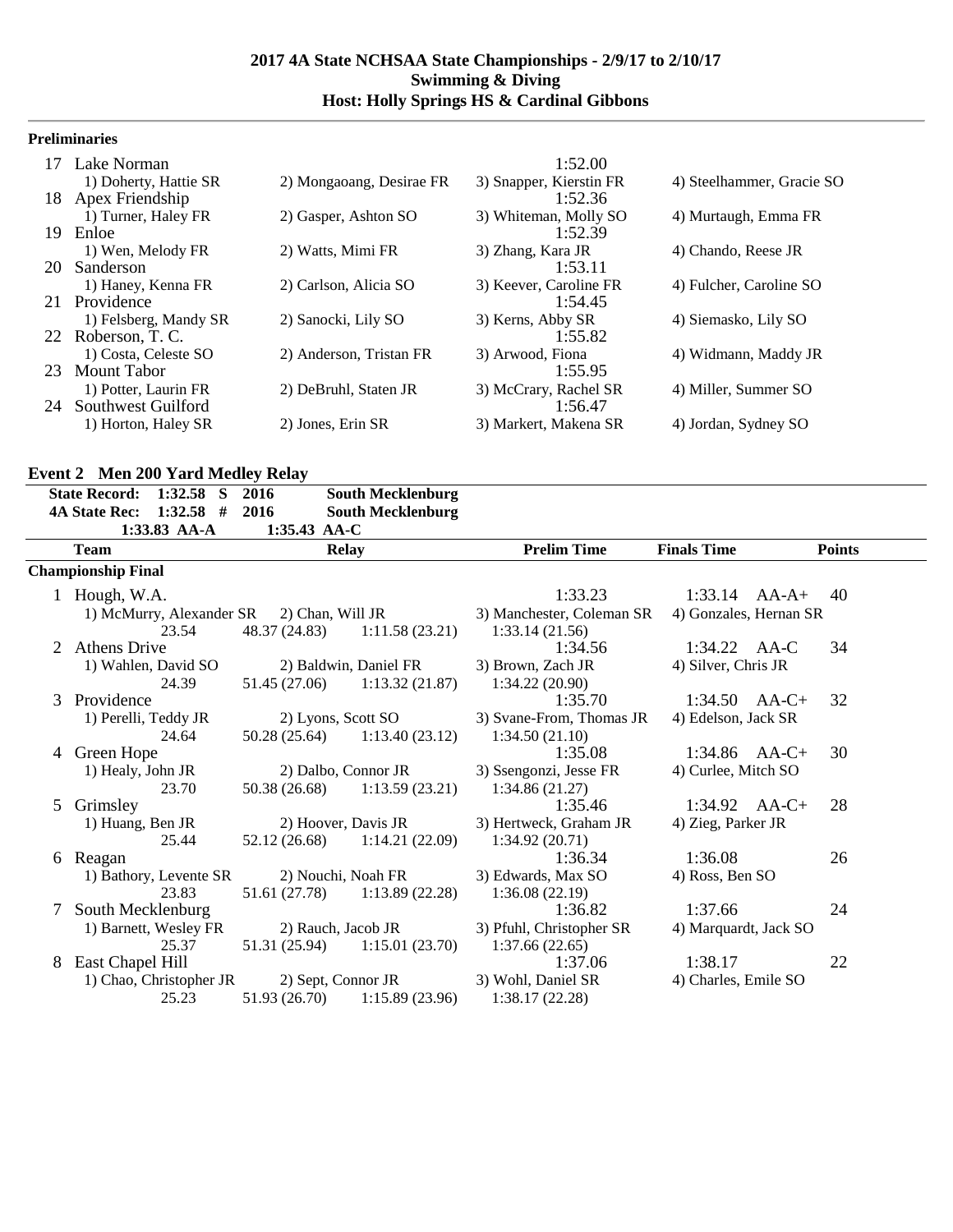## **Preliminaries**

|                       |                                                                                                                        | 1:52.00                 |                           |
|-----------------------|------------------------------------------------------------------------------------------------------------------------|-------------------------|---------------------------|
| 1) Doherty, Hattie SR | 2) Mongaoang, Desirae FR                                                                                               | 3) Snapper, Kierstin FR | 4) Steelhammer, Gracie SO |
|                       |                                                                                                                        | 1:52.36                 |                           |
| 1) Turner, Haley FR   | 2) Gasper, Ashton SO                                                                                                   | 3) Whiteman, Molly SO   | 4) Murtaugh, Emma FR      |
| Enloe                 |                                                                                                                        | 1:52.39                 |                           |
| 1) Wen, Melody FR     | 2) Watts, Mimi FR                                                                                                      | 3) Zhang, Kara JR       | 4) Chando, Reese JR       |
| Sanderson             |                                                                                                                        | 1:53.11                 |                           |
| 1) Haney, Kenna FR    | 2) Carlson, Alicia SO                                                                                                  | 3) Keever, Caroline FR  | 4) Fulcher, Caroline SO   |
|                       |                                                                                                                        | 1:54.45                 |                           |
| 1) Felsberg, Mandy SR | 2) Sanocki, Lily SO                                                                                                    | 3) Kerns, Abby SR       | 4) Siemasko, Lily SO      |
|                       |                                                                                                                        | 1:55.82                 |                           |
| 1) Costa, Celeste SO  | 2) Anderson, Tristan FR                                                                                                | 3) Arwood, Fiona        | 4) Widmann, Maddy JR      |
|                       |                                                                                                                        | 1:55.95                 |                           |
| 1) Potter, Laurin FR  | 2) DeBruhl, Staten JR                                                                                                  | 3) McCrary, Rachel SR   | 4) Miller, Summer SO      |
|                       |                                                                                                                        |                         |                           |
| 1) Horton, Haley SR   | 2) Jones, Erin SR                                                                                                      | 3) Markert, Makena SR   | 4) Jordan, Sydney SO      |
|                       | 17 Lake Norman<br>Apex Friendship<br>20<br>Providence<br>22 Roberson, T. C.<br>23 Mount Tabor<br>24 Southwest Guilford |                         | 1:56.47                   |

## **Event 2 Men 200 Yard Medley Relay**

|   | State Record: 1:32.58 S                             | 2016                 | <b>South Mecklenburg</b>        |                           |                        |               |
|---|-----------------------------------------------------|----------------------|---------------------------------|---------------------------|------------------------|---------------|
|   | $1:32.58$ #<br><b>4A State Rec:</b><br>1:33.83 AA-A | 2016<br>1:35.43 AA-C | <b>South Mecklenburg</b>        |                           |                        |               |
|   | <b>Team</b>                                         |                      | <b>Relay</b>                    | <b>Prelim Time</b>        | <b>Finals Time</b>     | <b>Points</b> |
|   | <b>Championship Final</b>                           |                      |                                 |                           |                        |               |
|   | 1 Hough, W.A.                                       |                      |                                 | 1:33.23                   | $1:33.14$ $AA-A+$      | 40            |
|   | 1) McMurry, Alexander SR 2) Chan, Will JR           |                      |                                 | 3) Manchester, Coleman SR | 4) Gonzales, Hernan SR |               |
|   | 23.54                                               |                      | 48.37 (24.83) 1:11.58 (23.21)   | 1:33.14(21.56)            |                        |               |
|   | <b>Athens Drive</b>                                 |                      |                                 | 1:34.56                   | 1:34.22 AA-C           | 34            |
|   | 1) Wahlen, David SO                                 |                      | 2) Baldwin, Daniel FR           | 3) Brown, Zach JR         | 4) Silver, Chris JR    |               |
|   | 24.39                                               |                      | $51.45(27.06)$ $1:13.32(21.87)$ | 1:34.22(20.90)            |                        |               |
| 3 | Providence                                          |                      |                                 | 1:35.70                   | $1:34.50$ AA-C+        | 32            |
|   | 1) Perelli, Teddy JR                                |                      | 2) Lyons, Scott SO              | 3) Svane-From, Thomas JR  | 4) Edelson, Jack SR    |               |
|   | 24.64                                               |                      | $50.28(25.64)$ 1:13.40 (23.12)  | 1:34.50(21.10)            |                        |               |
|   | 4 Green Hope                                        |                      |                                 | 1:35.08                   | $1:34.86$ AA-C+        | 30            |
|   | 1) Healy, John JR                                   |                      | 2) Dalbo, Connor JR             | 3) Ssengonzi, Jesse FR    | 4) Curlee, Mitch SO    |               |
|   | 23.70                                               |                      | $50.38(26.68)$ 1:13.59 (23.21)  | 1:34.86(21.27)            |                        |               |
| 5 | Grimsley                                            |                      |                                 | 1:35.46                   | $1:34.92$ AA-C+        | 28            |
|   | 1) Huang, Ben JR                                    |                      | 2) Hoover, Davis JR             | 3) Hertweck, Graham JR    | 4) Zieg, Parker JR     |               |
|   | 25.44                                               |                      | $52.12(26.68)$ $1:14.21(22.09)$ | 1:34.92(20.71)            |                        |               |
| 6 | Reagan                                              |                      |                                 | 1:36.34                   | 1:36.08                | 26            |
|   | 1) Bathory, Levente SR                              |                      | 2) Nouchi, Noah FR              | 3) Edwards, Max SO        | 4) Ross, Ben SO        |               |
|   | 23.83                                               |                      | $51.61(27.78)$ $1:13.89(22.28)$ | 1:36.08(22.19)            |                        |               |
| 7 | South Mecklenburg                                   |                      |                                 | 1:36.82                   | 1:37.66                | 24            |
|   | 1) Barnett, Wesley FR                               |                      | 2) Rauch, Jacob JR              | 3) Pfuhl, Christopher SR  | 4) Marquardt, Jack SO  |               |
|   | 25.37                                               |                      | $51.31(25.94)$ $1:15.01(23.70)$ | 1:37.66(22.65)            |                        |               |
| 8 | East Chapel Hill                                    |                      |                                 | 1:37.06                   | 1:38.17                | 22            |
|   | 1) Chao, Christopher JR                             |                      | 2) Sept, Connor JR              | 3) Wohl, Daniel SR        | 4) Charles, Emile SO   |               |
|   | 25.23                                               |                      | $51.93(26.70)$ $1:15.89(23.96)$ | 1:38.17(22.28)            |                        |               |
|   |                                                     |                      |                                 |                           |                        |               |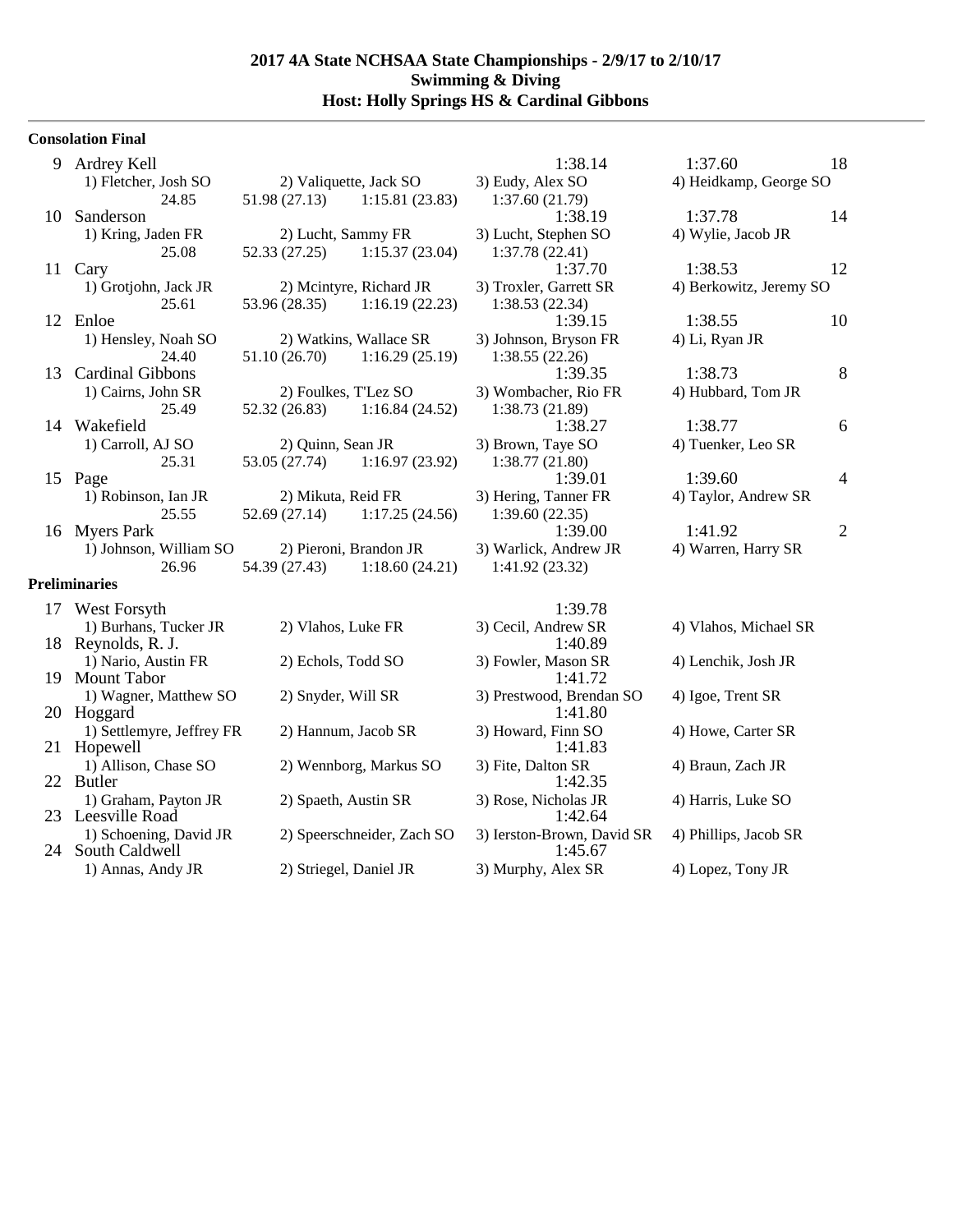## **Consolation Final**

| 9  | Ardrey Kell                               |                        |                            | 1:38.14                               | 1:37.60                 | 18             |
|----|-------------------------------------------|------------------------|----------------------------|---------------------------------------|-------------------------|----------------|
|    | 1) Fletcher, Josh SO                      | 2) Valiquette, Jack SO |                            | 3) Eudy, Alex SO                      | 4) Heidkamp, George SO  |                |
|    | 24.85                                     | 51.98 (27.13)          | 1:15.81(23.83)             | 1:37.60(21.79)                        |                         |                |
| 10 | Sanderson                                 |                        |                            | 1:38.19                               | 1:37.78                 | 14             |
|    | 1) Kring, Jaden FR                        | 2) Lucht, Sammy FR     |                            | 3) Lucht, Stephen SO                  | 4) Wylie, Jacob JR      |                |
|    | 25.08                                     | 52.33 (27.25)          | 1:15.37(23.04)             | 1:37.78(22.41)                        |                         |                |
|    | 11 Cary                                   |                        |                            | 1:37.70                               | 1:38.53                 | 12             |
|    | 1) Grotjohn, Jack JR                      |                        | 2) Mcintyre, Richard JR    | 3) Troxler, Garrett SR                | 4) Berkowitz, Jeremy SO |                |
|    | 25.61                                     | 53.96 (28.35)          | 1:16.19(22.23)             | 1:38.53(22.34)                        |                         |                |
|    | 12 Enloe                                  |                        |                            | 1:39.15                               | 1:38.55                 | 10             |
|    | 1) Hensley, Noah SO                       |                        | 2) Watkins, Wallace SR     | 3) Johnson, Bryson FR                 | 4) Li, Ryan JR          |                |
|    | 24.40                                     | 51.10 (26.70)          | 1:16.29(25.19)             | 1:38.55(22.26)                        |                         |                |
| 13 | <b>Cardinal Gibbons</b>                   |                        |                            | 1:39.35                               | 1:38.73                 | 8              |
|    | 1) Cairns, John SR                        | 2) Foulkes, T'Lez SO   |                            | 3) Wombacher, Rio FR                  | 4) Hubbard, Tom JR      |                |
|    | 25.49                                     | 52.32 (26.83)          | 1:16.84(24.52)             | 1:38.73 (21.89)                       |                         |                |
|    | 14 Wakefield                              |                        |                            | 1:38.27                               | 1:38.77                 | 6              |
|    | 1) Carroll, AJ SO                         | 2) Quinn, Sean JR      |                            | 3) Brown, Taye SO                     | 4) Tuenker, Leo SR      |                |
|    | 25.31                                     | 53.05 (27.74)          | 1:16.97(23.92)             | 1:38.77(21.80)                        |                         |                |
|    | 15 Page                                   |                        |                            | 1:39.01                               | 1:39.60                 | $\overline{4}$ |
|    | 1) Robinson, Ian JR                       | 2) Mikuta, Reid FR     |                            | 3) Hering, Tanner FR                  | 4) Taylor, Andrew SR    |                |
|    | 25.55                                     | 52.69 (27.14)          | 1:17.25(24.56)             | 1:39.60(22.35)                        |                         |                |
|    | 16 Myers Park                             |                        |                            | 1:39.00                               | 1:41.92                 | $\overline{2}$ |
|    | 1) Johnson, William SO                    | 2) Pieroni, Brandon JR |                            | 3) Warlick, Andrew JR                 | 4) Warren, Harry SR     |                |
|    | 26.96                                     | 54.39 (27.43)          | 1:18.60(24.21)             | 1:41.92(23.32)                        |                         |                |
|    | <b>Preliminaries</b>                      |                        |                            |                                       |                         |                |
|    |                                           |                        |                            |                                       |                         |                |
|    | 17 West Forsyth                           |                        |                            | 1:39.78                               |                         |                |
|    | 1) Burhans, Tucker JR                     | 2) Vlahos, Luke FR     |                            | 3) Cecil, Andrew SR<br>1:40.89        | 4) Vlahos, Michael SR   |                |
|    | 18 Reynolds, R. J.                        |                        |                            |                                       |                         |                |
|    | 1) Nario, Austin FR<br>19 Mount Tabor     | 2) Echols, Todd SO     |                            | 3) Fowler, Mason SR<br>1:41.72        | 4) Lenchik, Josh JR     |                |
|    |                                           |                        |                            |                                       |                         |                |
|    | 1) Wagner, Matthew SO                     | 2) Snyder, Will SR     |                            | 3) Prestwood, Brendan SO              | 4) Igoe, Trent SR       |                |
|    | 20 Hoggard                                |                        |                            | 1:41.80                               |                         |                |
|    | 1) Settlemyre, Jeffrey FR                 | 2) Hannum, Jacob SR    |                            | 3) Howard, Finn SO                    | 4) Howe, Carter SR      |                |
| 21 | Hopewell                                  |                        |                            | 1:41.83                               |                         |                |
|    | 1) Allison, Chase SO<br>22 Butler         |                        | 2) Wennborg, Markus SO     | 3) Fite, Dalton SR                    | 4) Braun, Zach JR       |                |
|    |                                           |                        |                            | 1:42.35                               |                         |                |
|    | 1) Graham, Payton JR<br>23 Leesville Road | 2) Spaeth, Austin SR   |                            | 3) Rose, Nicholas JR                  | 4) Harris, Luke SO      |                |
|    | 1) Schoening, David JR                    |                        |                            | 1:42.64                               |                         |                |
| 24 | South Caldwell                            |                        | 2) Speerschneider, Zach SO | 3) Ierston-Brown, David SR<br>1:45.67 | 4) Phillips, Jacob SR   |                |
|    |                                           |                        |                            |                                       |                         |                |
|    | 1) Annas, Andy JR                         | 2) Striegel, Daniel JR |                            | 3) Murphy, Alex SR                    | 4) Lopez, Tony JR       |                |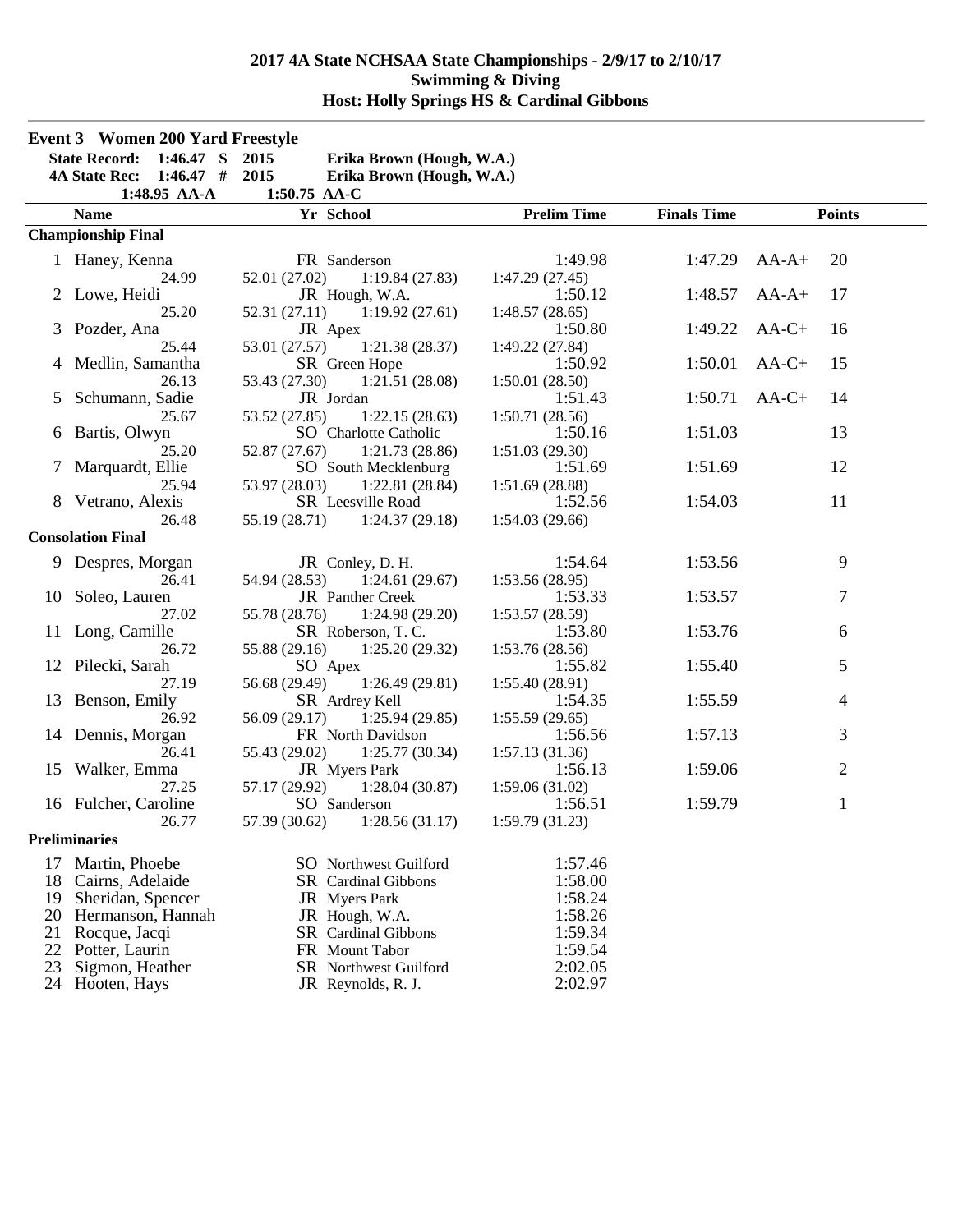|          | <b>Event 3</b> Women 200 Yard Freestyle |                                                            |                           |                    |                |  |
|----------|-----------------------------------------|------------------------------------------------------------|---------------------------|--------------------|----------------|--|
|          | State Record: 1:46.47 S 2015            | Erika Brown (Hough, W.A.)                                  |                           |                    |                |  |
|          | 4A State Rec: 1:46.47 # 2015            | Erika Brown (Hough, W.A.)                                  |                           |                    |                |  |
|          | 1:48.95 AA-A                            | 1:50.75 AA-C                                               |                           |                    |                |  |
|          | <b>Name</b>                             | Yr School                                                  | <b>Prelim Time</b>        | <b>Finals Time</b> | <b>Points</b>  |  |
|          | <b>Championship Final</b>               |                                                            |                           |                    |                |  |
|          | 1 Haney, Kenna                          | FR Sanderson                                               | 1:49.98                   | 1:47.29            | $AA-A+$<br>20  |  |
|          | 24.99                                   | 52.01 (27.02)<br>1:19.84(27.83)                            | 1:47.29(27.45)            |                    |                |  |
|          | 2 Lowe, Heidi                           | JR Hough, W.A.                                             | 1:50.12                   | 1:48.57            | $AA-A+$<br>17  |  |
|          | 25.20                                   | 52.31(27.11)<br>1:19.92(27.61)                             | 1:48.57(28.65)            |                    |                |  |
|          | Pozder, Ana                             | JR Apex                                                    | 1:50.80                   | 1:49.22            | $AA-C+$<br>16  |  |
|          | 25.44                                   | 53.01 (27.57)<br>1:21.38(28.37)                            | 1:49.22 (27.84)           |                    |                |  |
|          | Medlin, Samantha                        | SR Green Hope                                              | 1:50.92                   | 1:50.01            | $AA-C+$<br>15  |  |
|          | 26.13                                   | 53.43 (27.30)<br>1:21.51(28.08)                            | 1:50.01(28.50)            |                    |                |  |
| 5        | Schumann, Sadie                         | JR Jordan                                                  | 1:51.43                   | 1:50.71            | $AA-C+$<br>14  |  |
|          | 25.67                                   | 53.52 (27.85)<br>1:22.15(28.63)                            | 1:50.71(28.56)            |                    |                |  |
|          | 6 Bartis, Olwyn                         | SO Charlotte Catholic                                      | 1:50.16                   | 1:51.03            | 13             |  |
|          | 25.20<br>7 Marquardt, Ellie             | 52.87 (27.67)<br>1:21.73(28.86)<br>SO South Mecklenburg    | 1:51.03(29.30)<br>1:51.69 | 1:51.69            | 12             |  |
|          | 25.94                                   | 53.97 (28.03)<br>1:22.81(28.84)                            | 1:51.69(28.88)            |                    |                |  |
|          | 8 Vetrano, Alexis                       | SR Leesville Road                                          | 1:52.56                   | 1:54.03            | 11             |  |
|          | 26.48                                   | 55.19 (28.71)<br>1:24.37(29.18)                            | 1:54.03(29.66)            |                    |                |  |
|          | <b>Consolation Final</b>                |                                                            |                           |                    |                |  |
|          | 9 Despres, Morgan                       | JR Conley, D. H.                                           | 1:54.64                   | 1:53.56            | 9              |  |
|          | 26.41                                   | 54.94 (28.53)<br>1:24.61(29.67)                            | 1:53.56(28.95)            |                    |                |  |
| 10       | Soleo, Lauren                           | JR Panther Creek                                           | 1:53.33                   | 1:53.57            | 7              |  |
|          | 27.02                                   | 55.78 (28.76)<br>1:24.98 (29.20)                           | 1:53.57(28.59)            |                    |                |  |
| 11       | Long, Camille                           | SR Roberson, T.C.                                          | 1:53.80                   | 1:53.76            | 6              |  |
|          | 26.72                                   | 55.88 (29.16)<br>1:25.20(29.32)                            | 1:53.76(28.56)            |                    |                |  |
|          | 12 Pilecki, Sarah                       | SO Apex                                                    | 1:55.82                   | 1:55.40            | 5              |  |
|          | 27.19                                   | 56.68 (29.49)<br>1:26.49(29.81)                            | 1:55.40(28.91)            |                    |                |  |
|          | 13 Benson, Emily                        | SR Ardrey Kell                                             | 1:54.35                   | 1:55.59            | 4              |  |
|          | 26.92                                   | 56.09 (29.17)<br>1:25.94(29.85)                            | 1:55.59(29.65)            |                    |                |  |
|          | 14 Dennis, Morgan                       | FR North Davidson                                          | 1:56.56                   | 1:57.13            | 3              |  |
|          | 26.41                                   | 55.43 (29.02)<br>1:25.77(30.34)                            | 1:57.13(31.36)            |                    |                |  |
|          | 15 Walker, Emma                         | JR Myers Park                                              | 1:56.13                   | 1:59.06            | $\overline{2}$ |  |
|          | 27.25<br>16 Fulcher, Caroline           | 57.17 (29.92)<br>1:28.04(30.87)                            | 1:59.06(31.02)<br>1:56.51 | 1:59.79            |                |  |
|          | 26.77                                   | SO Sanderson<br>57.39 (30.62)<br>1:28.56(31.17)            | 1:59.79(31.23)            |                    | 1              |  |
|          | <b>Preliminaries</b>                    |                                                            |                           |                    |                |  |
|          |                                         |                                                            |                           |                    |                |  |
| 17       | Martin, Phoebe                          | <b>SO</b> Northwest Guilford<br><b>SR</b> Cardinal Gibbons | 1:57.46<br>1:58.00        |                    |                |  |
| 18<br>19 | Cairns, Adelaide<br>Sheridan, Spencer   | <b>JR</b> Myers Park                                       | 1:58.24                   |                    |                |  |
| 20       | Hermanson, Hannah                       | JR Hough, W.A.                                             | 1:58.26                   |                    |                |  |
| 21       | Rocque, Jacqi                           | SR Cardinal Gibbons                                        | 1:59.34                   |                    |                |  |
| 22       | Potter, Laurin                          | FR Mount Tabor                                             | 1:59.54                   |                    |                |  |
| 23       | Sigmon, Heather                         | <b>SR</b> Northwest Guilford                               | 2:02.05                   |                    |                |  |
| 24       | Hooten, Hays                            | JR Reynolds, R. J.                                         | 2:02.97                   |                    |                |  |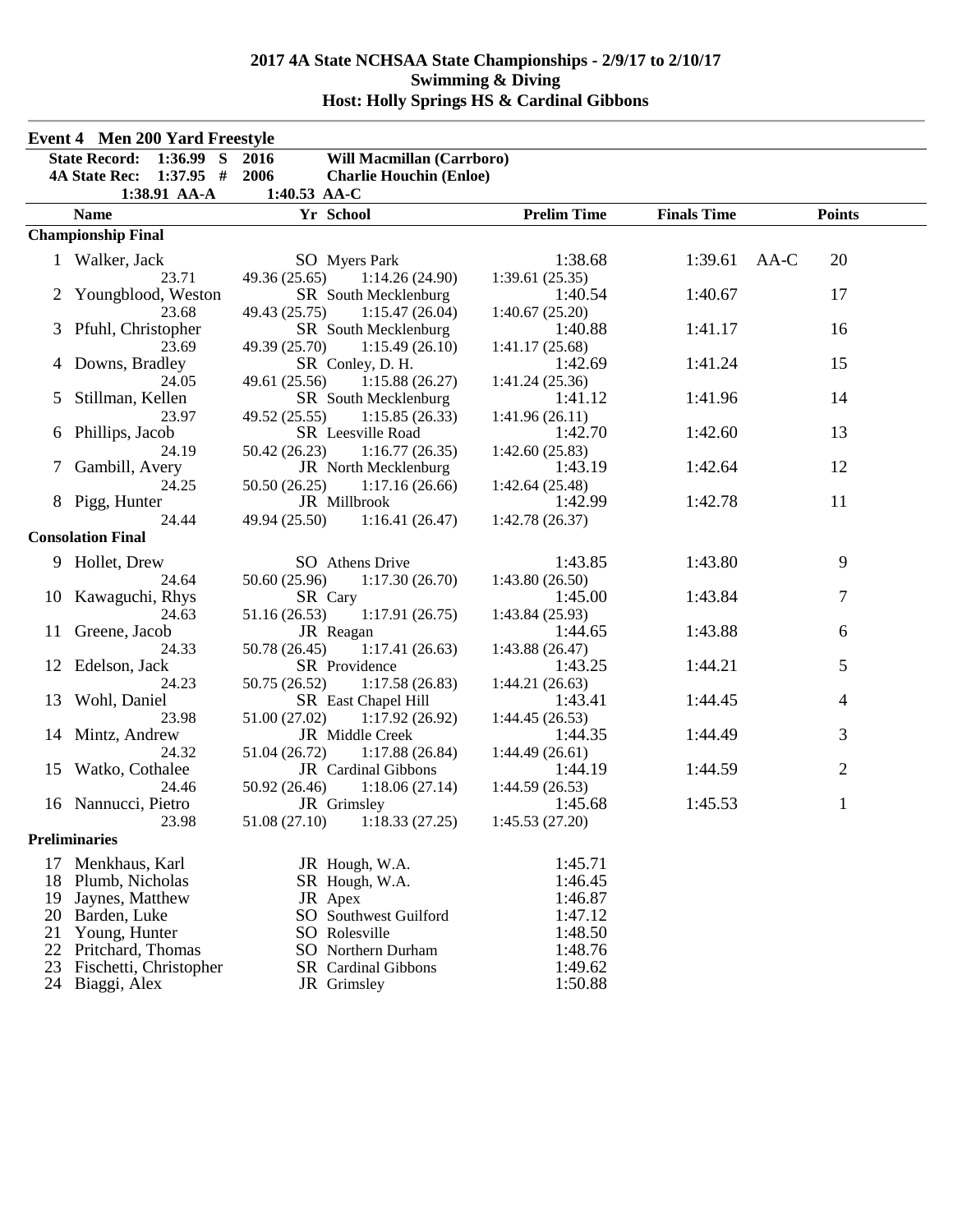|    | <b>Event 4 Men 200 Yard Freestyle</b>                                                 |                                                                                             |                    |                    |                |
|----|---------------------------------------------------------------------------------------|---------------------------------------------------------------------------------------------|--------------------|--------------------|----------------|
|    | <b>State Record: 1:36.99 S</b><br><b>4A State Rec:</b><br>$1:37.95$ #<br>1:38.91 AA-A | Will Macmillan (Carrboro)<br>2016<br>2006<br><b>Charlie Houchin (Enloe)</b><br>1:40.53 AA-C |                    |                    |                |
|    | <b>Name</b>                                                                           | Yr School                                                                                   | <b>Prelim Time</b> | <b>Finals Time</b> | <b>Points</b>  |
|    | <b>Championship Final</b>                                                             |                                                                                             |                    |                    |                |
|    | 1 Walker, Jack                                                                        | <b>SO</b> Myers Park                                                                        | 1:38.68            | 1:39.61            | 20<br>AA-C     |
|    | 23.71                                                                                 | 49.36 (25.65)<br>1:14.26(24.90)                                                             | 1:39.61(25.35)     |                    |                |
|    | 2 Youngblood, Weston                                                                  | SR South Mecklenburg                                                                        | 1:40.54            | 1:40.67            | 17             |
|    | 23.68                                                                                 | 49.43 (25.75)<br>1:15.47(26.04)                                                             | 1:40.67(25.20)     |                    |                |
| 3  | Pfuhl, Christopher                                                                    | SR South Mecklenburg                                                                        | 1:40.88            | 1:41.17            | 16             |
|    | 23.69                                                                                 | 49.39 (25.70)<br>1:15.49(26.10)                                                             | 1:41.17(25.68)     |                    |                |
| 4  | Downs, Bradley                                                                        | SR Conley, D. H.                                                                            | 1:42.69            | 1:41.24            | 15             |
|    | 24.05                                                                                 | 49.61 (25.56)<br>1:15.88(26.27)                                                             | 1:41.24(25.36)     |                    |                |
| 5  | Stillman, Kellen                                                                      | SR South Mecklenburg                                                                        | 1:41.12            | 1:41.96            | 14             |
|    | 23.97                                                                                 | 49.52 (25.55)<br>1:15.85(26.33)                                                             | 1:41.96(26.11)     |                    |                |
| 6  | Phillips, Jacob                                                                       | SR Leesville Road                                                                           | 1:42.70            | 1:42.60            | 13             |
|    | 24.19                                                                                 | 50.42 (26.23)<br>1:16.77(26.35)                                                             | 1:42.60(25.83)     |                    |                |
| 7  | Gambill, Avery                                                                        | JR North Mecklenburg                                                                        | 1:43.19            | 1:42.64            | 12             |
|    | 24.25                                                                                 | 50.50 (26.25)<br>1:17.16(26.66)                                                             | 1:42.64(25.48)     |                    |                |
|    | 8 Pigg, Hunter                                                                        | JR Millbrook                                                                                | 1:42.99            | 1:42.78            | 11             |
|    | 24.44                                                                                 | 49.94 (25.50)<br>1:16.41(26.47)                                                             | 1:42.78(26.37)     |                    |                |
|    | <b>Consolation Final</b>                                                              |                                                                                             |                    |                    |                |
|    | 9 Hollet, Drew                                                                        | SO Athens Drive                                                                             | 1:43.85            | 1:43.80            | 9              |
|    | 24.64                                                                                 | 50.60 (25.96)<br>1:17.30(26.70)                                                             | 1:43.80(26.50)     |                    |                |
| 10 | Kawaguchi, Rhys                                                                       | SR Cary                                                                                     | 1:45.00            | 1:43.84            | 7              |
|    | 24.63                                                                                 | 51.16 (26.53)<br>1:17.91(26.75)                                                             | 1:43.84(25.93)     |                    |                |
| 11 | Greene, Jacob                                                                         | JR Reagan                                                                                   | 1:44.65            | 1:43.88            | 6              |
|    | 24.33                                                                                 | 50.78 (26.45)<br>1:17.41(26.63)                                                             | 1:43.88 (26.47)    |                    |                |
|    | 12 Edelson, Jack                                                                      | SR Providence                                                                               | 1:43.25            | 1:44.21            | 5              |
|    | 24.23                                                                                 | 50.75 (26.52)<br>1:17.58(26.83)                                                             | 1:44.21(26.63)     |                    |                |
| 13 | Wohl, Daniel                                                                          | SR East Chapel Hill                                                                         | 1:43.41            | 1:44.45            | 4              |
|    | 23.98                                                                                 | 51.00 (27.02)<br>1:17.92(26.92)                                                             | 1:44.45(26.53)     |                    |                |
|    | 14 Mintz, Andrew                                                                      | JR Middle Creek                                                                             | 1:44.35            | 1:44.49            | 3              |
|    | 24.32                                                                                 | 51.04 (26.72)<br>1:17.88(26.84)                                                             | 1:44.49(26.61)     |                    |                |
|    | 15 Watko, Cothalee                                                                    | JR Cardinal Gibbons                                                                         | 1:44.19            | 1:44.59            | $\overline{2}$ |
|    | 24.46                                                                                 | 50.92 (26.46)<br>1:18.06(27.14)                                                             | 1:44.59(26.53)     |                    |                |
|    | 16 Nannucci, Pietro                                                                   | JR Grimsley                                                                                 | 1:45.68            | 1:45.53            | 1              |
|    | 23.98                                                                                 | $51.08(27.10)$ $1:18.33(27.25)$                                                             | 1:45.53 (27.20)    |                    |                |
|    | <b>Preliminaries</b>                                                                  |                                                                                             |                    |                    |                |
| 17 | Menkhaus, Karl                                                                        | JR Hough, W.A.                                                                              | 1:45.71            |                    |                |
| 18 | Plumb, Nicholas                                                                       | SR Hough, W.A.                                                                              | 1:46.45            |                    |                |
| 19 | Jaynes, Matthew                                                                       | JR Apex                                                                                     | 1:46.87            |                    |                |
| 20 | Barden, Luke                                                                          | SO Southwest Guilford                                                                       | 1:47.12            |                    |                |
| 21 | Young, Hunter                                                                         | SO Rolesville                                                                               | 1:48.50            |                    |                |
| 22 | Pritchard, Thomas                                                                     | <b>SO</b> Northern Durham                                                                   | 1:48.76            |                    |                |
| 23 | Fischetti, Christopher                                                                | <b>SR</b> Cardinal Gibbons                                                                  | 1:49.62            |                    |                |
| 24 | Biaggi, Alex                                                                          | JR Grimsley                                                                                 | 1:50.88            |                    |                |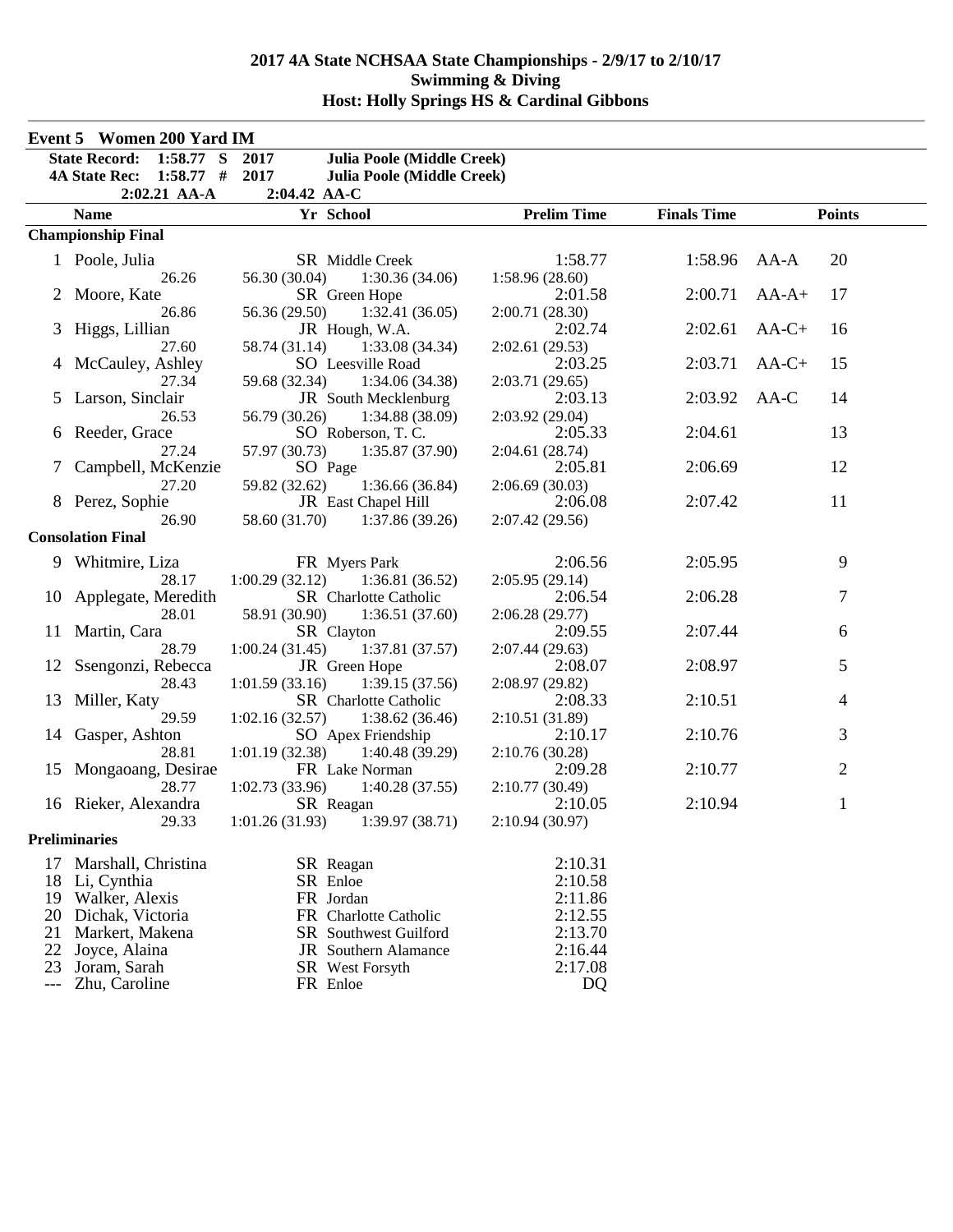|                | Event 5 Women 200 Yard IM           |                                           |                    |                    |                |
|----------------|-------------------------------------|-------------------------------------------|--------------------|--------------------|----------------|
|                | 1:58.77 S<br><b>State Record:</b>   | 2017<br><b>Julia Poole (Middle Creek)</b> |                    |                    |                |
|                | $1:58.77$ #<br><b>4A State Rec:</b> | 2017<br><b>Julia Poole (Middle Creek)</b> |                    |                    |                |
|                | $2:02.21$ AA-A                      | 2:04.42 AA-C                              |                    |                    |                |
|                | <b>Name</b>                         | Yr School                                 | <b>Prelim Time</b> | <b>Finals Time</b> | <b>Points</b>  |
|                | <b>Championship Final</b>           |                                           |                    |                    |                |
|                | 1 Poole, Julia                      | SR Middle Creek                           | 1:58.77            | 1:58.96            | 20<br>AA-A     |
|                | 26.26                               | 56.30 (30.04)<br>1:30.36(34.06)           | 1:58.96(28.60)     |                    |                |
|                | 2 Moore, Kate                       | SR Green Hope                             | 2:01.58            | 2:00.71            | 17<br>$AA-A+$  |
|                | 26.86                               | 56.36 (29.50)<br>1:32.41(36.05)           | 2:00.71(28.30)     |                    |                |
|                | Higgs, Lillian                      | JR Hough, W.A.                            | 2:02.74            | 2:02.61            | $AA-C+$<br>16  |
|                | 27.60                               | 58.74 (31.14)<br>1:33.08(34.34)           | 2:02.61 (29.53)    |                    |                |
|                | McCauley, Ashley                    | SO Leesville Road                         | 2:03.25            | 2:03.71            | $AA-C+$<br>15  |
|                | 27.34                               | 59.68 (32.34)<br>1:34.06(34.38)           | 2:03.71 (29.65)    |                    |                |
| $\mathfrak{S}$ | Larson, Sinclair                    | <b>JR</b> South Mecklenburg               | 2:03.13            | 2:03.92            | AA-C<br>14     |
|                | 26.53                               | 56.79 (30.26)<br>1:34.88(38.09)           | 2:03.92 (29.04)    |                    |                |
| 6              | Reeder, Grace                       | SO Roberson, T.C.                         | 2:05.33            | 2:04.61            | 13             |
|                | 27.24                               | 57.97 (30.73)<br>1:35.87 (37.90)          | 2:04.61 (28.74)    |                    |                |
|                | Campbell, McKenzie                  | SO Page                                   | 2:05.81            | 2:06.69            | 12             |
|                | 27.20                               | 59.82 (32.62)<br>1:36.66(36.84)           | 2:06.69(30.03)     |                    |                |
|                | 8 Perez, Sophie                     | JR East Chapel Hill                       | 2:06.08            | 2:07.42            | 11             |
|                | 26.90                               | 58.60 (31.70)<br>1:37.86(39.26)           | 2:07.42 (29.56)    |                    |                |
|                | <b>Consolation Final</b>            |                                           |                    |                    |                |
|                | 9 Whitmire, Liza                    | FR Myers Park                             | 2:06.56            | 2:05.95            | 9              |
|                | 28.17                               | 1:00.29(32.12)<br>1:36.81(36.52)          | 2:05.95(29.14)     |                    |                |
|                | 10 Applegate, Meredith              | SR Charlotte Catholic                     | 2:06.54            | 2:06.28            | 7              |
|                | 28.01                               | 58.91 (30.90)<br>1:36.51(37.60)           | 2:06.28(29.77)     |                    |                |
|                | 11 Martin, Cara                     | SR Clayton                                | 2:09.55            | 2:07.44            | 6              |
|                | 28.79                               | 1:37.81 (37.57)<br>1:00.24(31.45)         | 2:07.44(29.63)     |                    |                |
| 12             | Ssengonzi, Rebecca                  | JR Green Hope                             | 2:08.07            | 2:08.97            | 5              |
|                | 28.43                               | 1:01.59(33.16)<br>1:39.15(37.56)          | 2:08.97 (29.82)    |                    |                |
| 13             | Miller, Katy                        | SR Charlotte Catholic                     | 2:08.33            | 2:10.51            | 4              |
|                | 29.59                               | 1:02.16(32.57)<br>1:38.62(36.46)          | 2:10.51 (31.89)    |                    |                |
|                | 14 Gasper, Ashton                   | SO Apex Friendship                        | 2:10.17            | 2:10.76            | 3              |
|                | 28.81                               | 1:01.19(32.38)<br>1:40.48(39.29)          | 2:10.76(30.28)     |                    |                |
| 15             | Mongaoang, Desirae                  | FR Lake Norman                            | 2:09.28            | 2:10.77            | $\overline{c}$ |
|                | 28.77                               | 1:40.28(37.55)<br>1:02.73(33.96)          | 2:10.77(30.49)     |                    |                |
|                | 16 Rieker, Alexandra                | SR Reagan                                 | 2:10.05            | 2:10.94            | 1              |
|                | 29.33                               | $1:01.26(31.93)$ $1:39.97(38.71)$         | 2:10.94(30.97)     |                    |                |
|                | <b>Preliminaries</b>                |                                           |                    |                    |                |
|                | 17 Marshall, Christina              | SR Reagan                                 | 2:10.31            |                    |                |
| 18             | Li, Cynthia                         | SR Enloe                                  | 2:10.58            |                    |                |
| 19             | Walker, Alexis                      | FR Jordan                                 | 2:11.86            |                    |                |
| 20             | Dichak, Victoria                    | FR Charlotte Catholic                     | 2:12.55            |                    |                |
| 21             | Markert, Makena                     | SR Southwest Guilford                     | 2:13.70            |                    |                |
| 22             | Joyce, Alaina                       | <b>JR</b> Southern Alamance               | 2:16.44            |                    |                |
| 23             | Joram, Sarah                        | SR West Forsyth                           | 2:17.08            |                    |                |
| $---$          | Zhu, Caroline                       | FR Enloe                                  | DQ                 |                    |                |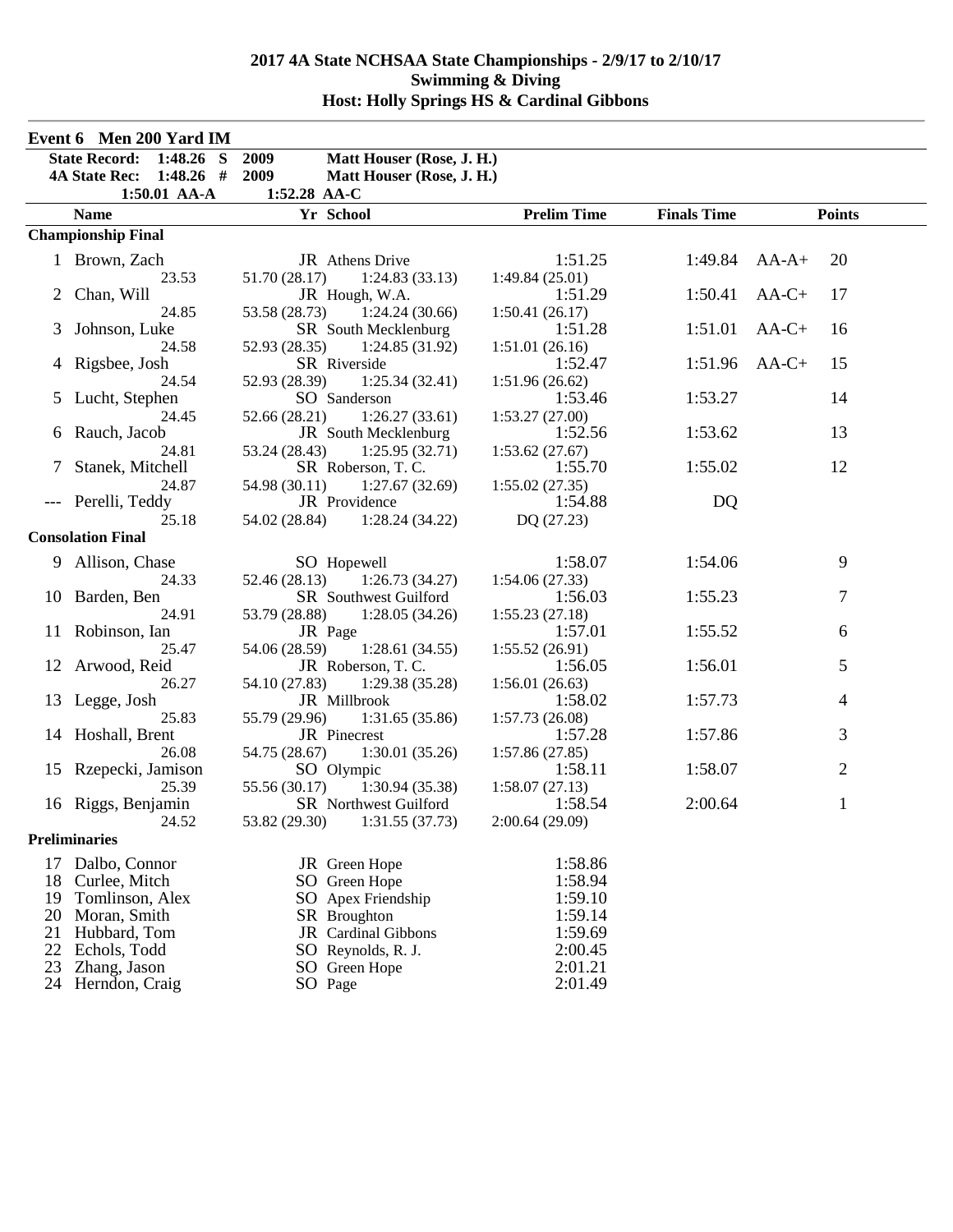|     | Event 6 Men 200 Yard IM   |                                   |                    |                    |                |
|-----|---------------------------|-----------------------------------|--------------------|--------------------|----------------|
|     | State Record: 1:48.26 S   | 2009<br>Matt Houser (Rose, J. H.) |                    |                    |                |
|     | 4A State Rec: 1:48.26 #   | 2009<br>Matt Houser (Rose, J. H.) |                    |                    |                |
|     | 1:50.01 AA-A              | 1:52.28 AA-C                      |                    |                    |                |
|     | <b>Name</b>               | Yr School                         | <b>Prelim Time</b> | <b>Finals Time</b> | <b>Points</b>  |
|     | <b>Championship Final</b> |                                   |                    |                    |                |
|     | 1 Brown, Zach             | JR Athens Drive                   | 1:51.25            | 1:49.84            | $AA-A+$<br>20  |
|     | 23.53                     | 51.70 (28.17)<br>1:24.83(33.13)   | 1:49.84(25.01)     |                    |                |
|     | Chan, Will                | JR Hough, W.A.                    | 1:51.29            | 1:50.41            | $AA-C+$<br>17  |
|     | 24.85                     | 53.58 (28.73)<br>1:24.24(30.66)   | 1:50.41(26.17)     |                    |                |
| 3   | Johnson, Luke             | SR South Mecklenburg              | 1:51.28            | 1:51.01            | $AA-C+$<br>16  |
|     | 24.58                     | 52.93 (28.35)<br>1:24.85 (31.92)  | 1:51.01(26.16)     |                    |                |
| 4   | Rigsbee, Josh             | SR Riverside                      | 1:52.47            | $1:51.96$ AA-C+    | 15             |
|     | 24.54                     | 52.93 (28.39)<br>1:25.34(32.41)   | 1:51.96(26.62)     |                    |                |
|     | 5 Lucht, Stephen          | SO Sanderson                      | 1:53.46            | 1:53.27            | 14             |
|     | 24.45                     | 52.66 (28.21)<br>1:26.27(33.61)   | 1:53.27(27.00)     |                    |                |
|     | 6 Rauch, Jacob            | JR South Mecklenburg              | 1:52.56            | 1:53.62            | 13             |
|     | 24.81                     | 53.24 (28.43)<br>1:25.95(32.71)   | 1:53.62(27.67)     |                    |                |
|     | Stanek, Mitchell          | SR Roberson, T.C.                 | 1:55.70            | 1:55.02            | 12             |
|     | 24.87                     | 54.98 (30.11)<br>1:27.67(32.69)   | 1:55.02(27.35)     |                    |                |
|     | Perelli, Teddy            | JR Providence                     | 1:54.88            | DQ                 |                |
|     | 25.18                     | 54.02 (28.84) 1:28.24 (34.22)     | DQ(27.23)          |                    |                |
|     | <b>Consolation Final</b>  |                                   |                    |                    |                |
|     | 9 Allison, Chase          | SO Hopewell                       | 1:58.07            | 1:54.06            | 9              |
|     | 24.33                     | 52.46 (28.13)<br>1:26.73(34.27)   | 1:54.06(27.33)     |                    |                |
|     | 10 Barden, Ben            | SR Southwest Guilford             | 1:56.03            | 1:55.23            | 7              |
|     | 24.91                     | 53.79 (28.88)<br>1:28.05(34.26)   | 1:55.23(27.18)     |                    |                |
| 11. | Robinson, Ian             | JR Page                           | 1:57.01            | 1:55.52            | 6              |
|     | 25.47                     | 54.06 (28.59)<br>1:28.61(34.55)   | 1:55.52(26.91)     |                    |                |
| 12  | Arwood, Reid              | JR Roberson, T.C.                 | 1:56.05            | 1:56.01            | 5              |
|     | 26.27                     | 54.10 (27.83)<br>1:29.38(35.28)   | 1:56.01(26.63)     |                    |                |
| 13  | Legge, Josh               | JR Millbrook                      | 1:58.02            | 1:57.73            | $\overline{4}$ |
|     | 25.83                     | 55.79 (29.96)<br>1:31.65(35.86)   | 1:57.73(26.08)     |                    |                |
|     | 14 Hoshall, Brent         | JR Pinecrest                      | 1:57.28            | 1:57.86            | 3              |
|     | 26.08                     | 54.75 (28.67)<br>1:30.01(35.26)   | 1:57.86(27.85)     |                    |                |
|     | 15 Rzepecki, Jamison      | SO Olympic                        | 1:58.11            | 1:58.07            | $\overline{2}$ |
|     | 25.39                     | 55.56 (30.17)<br>1:30.94(35.38)   | 1:58.07(27.13)     |                    |                |
|     | 16 Riggs, Benjamin        | SR Northwest Guilford             | 1:58.54            | 2:00.64            | $\mathbf{1}$   |
|     | 24.52                     | 53.82 (29.30)<br>1:31.55(37.73)   | 2:00.64(29.09)     |                    |                |
|     | <b>Preliminaries</b>      |                                   |                    |                    |                |
| 17  | Dalbo, Connor             | JR Green Hope                     | 1:58.86            |                    |                |
| 18  | Curlee, Mitch             | SO Green Hope                     | 1:58.94            |                    |                |
| 19  | Tomlinson, Alex           | SO Apex Friendship                | 1:59.10            |                    |                |
| 20  | Moran, Smith              | SR Broughton                      | 1:59.14            |                    |                |
| 21  | Hubbard, Tom              | JR Cardinal Gibbons               | 1:59.69            |                    |                |
| 22  | Echols, Todd              | SO Reynolds, R. J.                | 2:00.45            |                    |                |
| 23  | Zhang, Jason              | SO Green Hope                     | 2:01.21            |                    |                |
| 24  | Herndon, Craig            | SO Page                           | 2:01.49            |                    |                |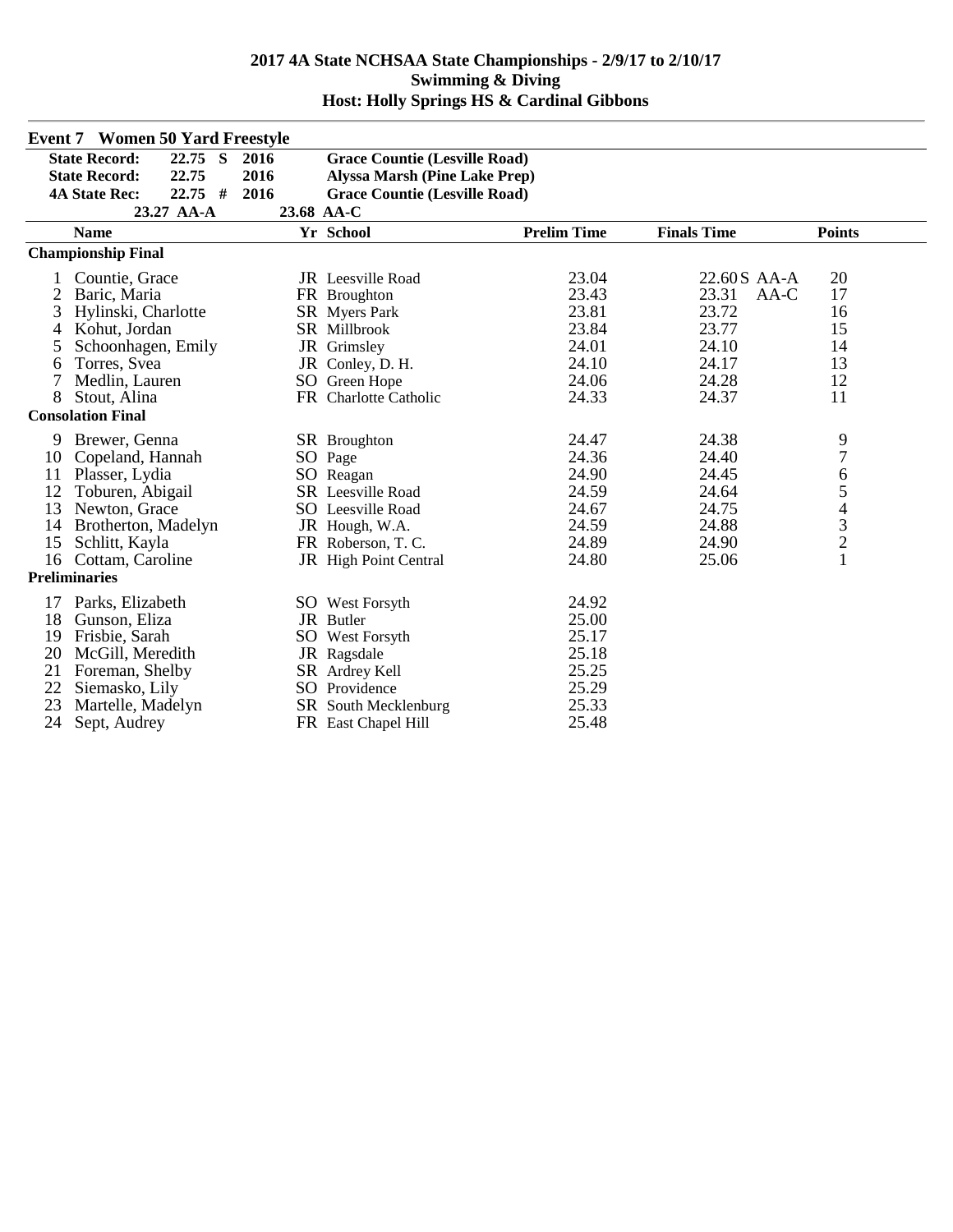|    | <b>Event 7 Women 50 Yard Freestyle</b> |      |                                      |                    |                    |                                            |
|----|----------------------------------------|------|--------------------------------------|--------------------|--------------------|--------------------------------------------|
|    | <b>State Record:</b><br>22.75 S        | 2016 | <b>Grace Countie (Lesville Road)</b> |                    |                    |                                            |
|    | <b>State Record:</b><br>22.75          | 2016 | <b>Alyssa Marsh (Pine Lake Prep)</b> |                    |                    |                                            |
|    | $22.75$ #<br><b>4A State Rec:</b>      | 2016 | <b>Grace Countie (Lesville Road)</b> |                    |                    |                                            |
|    | 23.27 AA-A                             |      | 23.68 AA-C                           |                    |                    |                                            |
|    | <b>Name</b>                            |      | Yr School                            | <b>Prelim Time</b> | <b>Finals Time</b> | <b>Points</b>                              |
|    | <b>Championship Final</b>              |      |                                      |                    |                    |                                            |
|    | Countie, Grace                         |      | <b>JR</b> Leesville Road             | 23.04              | 22.60S AA-A        | 20                                         |
| 2  | Baric, Maria                           |      | FR Broughton                         | 23.43              | 23.31<br>AA-C      | 17                                         |
| 3  | Hylinski, Charlotte                    |      | <b>SR</b> Myers Park                 | 23.81              | 23.72              | 16                                         |
| 4  | Kohut, Jordan                          |      | SR Millbrook                         | 23.84              | 23.77              | 15                                         |
| 5  | Schoonhagen, Emily                     |      | JR Grimsley                          | 24.01              | 24.10              | 14                                         |
| 6  | Torres, Svea                           |      | JR Conley, D. H.                     | 24.10              | 24.17              | 13                                         |
| 7  | Medlin, Lauren                         |      | SO Green Hope                        | 24.06              | 24.28              | 12                                         |
| 8  | Stout, Alina                           |      | FR Charlotte Catholic                | 24.33              | 24.37              | 11                                         |
|    | <b>Consolation Final</b>               |      |                                      |                    |                    |                                            |
| 9  | Brewer, Genna                          |      | <b>SR</b> Broughton                  | 24.47              | 24.38              |                                            |
| 10 | Copeland, Hannah                       |      | SO Page                              | 24.36              | 24.40              | $\frac{9}{7}$                              |
| 11 | Plasser, Lydia                         |      | SO Reagan                            | 24.90              | 24.45              | 6                                          |
| 12 | Toburen, Abigail                       |      | <b>SR</b> Leesville Road             | 24.59              | 24.64              | 5                                          |
| 13 | Newton, Grace                          |      | SO Leesville Road                    | 24.67              | 24.75              | $\overline{4}$                             |
| 14 | Brotherton, Madelyn                    |      | JR Hough, W.A.                       | 24.59              | 24.88              | $\begin{array}{c} 3 \\ 2 \\ 1 \end{array}$ |
| 15 | Schlitt, Kayla                         |      | FR Roberson, T. C.                   | 24.89              | 24.90              |                                            |
| 16 | Cottam, Caroline                       |      | JR High Point Central                | 24.80              | 25.06              |                                            |
|    | <b>Preliminaries</b>                   |      |                                      |                    |                    |                                            |
| 17 | Parks, Elizabeth                       |      | <b>SO</b> West Forsyth               | 24.92              |                    |                                            |
| 18 | Gunson, Eliza                          |      | JR Butler                            | 25.00              |                    |                                            |
| 19 | Frisbie, Sarah                         |      | <b>SO</b> West Forsyth               | 25.17              |                    |                                            |
| 20 | McGill, Meredith                       |      | JR Ragsdale                          | 25.18              |                    |                                            |
| 21 | Foreman, Shelby                        |      | SR Ardrey Kell                       | 25.25              |                    |                                            |
| 22 | Siemasko, Lily                         |      | SO Providence                        | 25.29              |                    |                                            |
| 23 | Martelle, Madelyn                      |      | SR South Mecklenburg                 | 25.33              |                    |                                            |
| 24 | Sept, Audrey                           |      | FR East Chapel Hill                  | 25.48              |                    |                                            |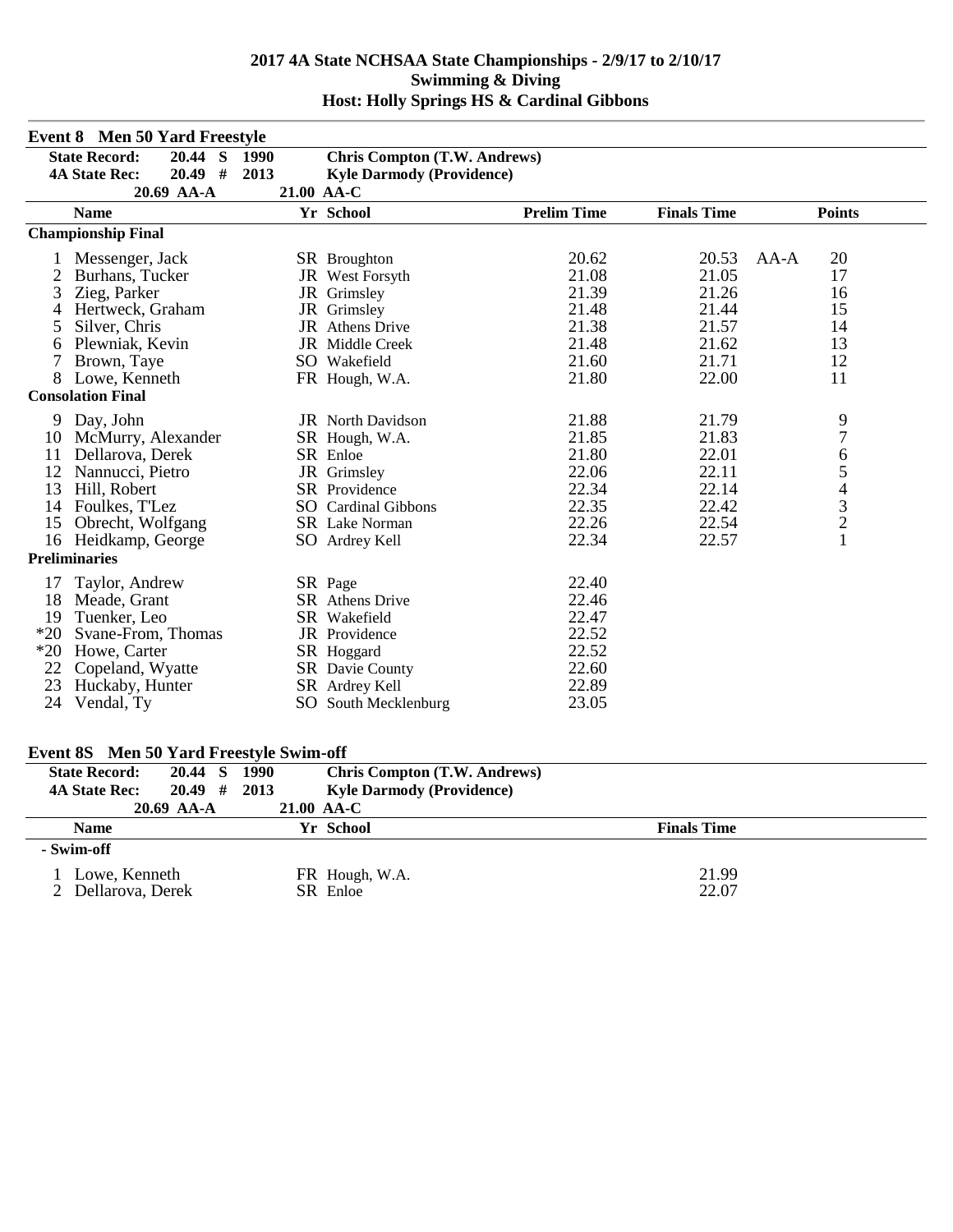|       | <b>Event 8 Men 50 Yard Freestyle</b> |      |                                     |                    |                    |                                                 |
|-------|--------------------------------------|------|-------------------------------------|--------------------|--------------------|-------------------------------------------------|
|       | 20.44 S 1990<br><b>State Record:</b> |      | <b>Chris Compton (T.W. Andrews)</b> |                    |                    |                                                 |
|       | $20.49$ #<br><b>4A State Rec:</b>    | 2013 | <b>Kyle Darmody (Providence)</b>    |                    |                    |                                                 |
|       | 20.69 AA-A                           |      | 21.00 AA-C                          |                    |                    |                                                 |
|       | <b>Name</b>                          |      | Yr School                           | <b>Prelim Time</b> | <b>Finals Time</b> | <b>Points</b>                                   |
|       | <b>Championship Final</b>            |      |                                     |                    |                    |                                                 |
|       | Messenger, Jack                      |      | <b>SR</b> Broughton                 | 20.62              | 20.53              | 20<br>AA-A                                      |
|       | Burhans, Tucker                      |      | JR West Forsyth                     | 21.08              | 21.05              | 17                                              |
| 3     | Zieg, Parker                         |      | JR Grimsley                         | 21.39              | 21.26              | 16                                              |
|       | Hertweck, Graham                     |      | JR Grimsley                         | 21.48              | 21.44              | 15                                              |
| 5     | Silver, Chris                        |      | <b>JR</b> Athens Drive              | 21.38              | 21.57              | 14                                              |
| 6     | Plewniak, Kevin                      |      | JR Middle Creek                     | 21.48              | 21.62              | 13                                              |
| 7     | Brown, Taye                          |      | SO Wakefield                        | 21.60              | 21.71              | 12                                              |
| 8     | Lowe, Kenneth                        |      | FR Hough, W.A.                      | 21.80              | 22.00              | 11                                              |
|       | <b>Consolation Final</b>             |      |                                     |                    |                    |                                                 |
| 9     | Day, John                            |      | <b>JR</b> North Davidson            | 21.88              | 21.79              |                                                 |
| 10    | McMurry, Alexander                   |      | SR Hough, W.A.                      | 21.85              | 21.83              | $\frac{9}{7}$                                   |
| 11    | Dellarova, Derek                     |      | SR Enloe                            | 21.80              | 22.01              | 6                                               |
| 12    | Nannucci, Pietro                     |      | JR Grimsley                         | 22.06              | 22.11              |                                                 |
| 13    | Hill, Robert                         |      | SR Providence                       | 22.34              | 22.14              |                                                 |
| 14    | Foulkes, T'Lez                       |      | <b>SO</b> Cardinal Gibbons          | 22.35              | 22.42              |                                                 |
| 15    | Obrecht, Wolfgang                    |      | <b>SR</b> Lake Norman               | 22.26              | 22.54              | $\begin{array}{c} 5 \\ 4 \\ 3 \\ 2 \end{array}$ |
|       | 16 Heidkamp, George                  |      | SO Ardrey Kell                      | 22.34              | 22.57              | $\mathbf{1}$                                    |
|       | <b>Preliminaries</b>                 |      |                                     |                    |                    |                                                 |
| 17    | Taylor, Andrew                       |      | SR Page                             | 22.40              |                    |                                                 |
| 18    | Meade, Grant                         |      | <b>SR</b> Athens Drive              | 22.46              |                    |                                                 |
| 19    | Tuenker, Leo                         |      | SR Wakefield                        | 22.47              |                    |                                                 |
| $*20$ | Svane-From, Thomas                   |      | JR Providence                       | 22.52              |                    |                                                 |
| $*20$ | Howe, Carter                         |      | SR Hoggard                          | 22.52              |                    |                                                 |
| 22    | Copeland, Wyatte                     |      | SR Davie County                     | 22.60              |                    |                                                 |
| 23    | Huckaby, Hunter                      |      | SR Ardrey Kell                      | 22.89              |                    |                                                 |
| 24    | Vendal, Ty                           |      | SO South Mecklenburg                | 23.05              |                    |                                                 |

#### **Event 8S Men 50 Yard Freestyle Swim-off**

| <b>State Record:</b> | 20.44 S      | 1990       | <b>Chris Compton (T.W. Andrews)</b> |                    |
|----------------------|--------------|------------|-------------------------------------|--------------------|
| <b>4A State Rec:</b> | $20.49$ #    | 2013       | <b>Kyle Darmody (Providence)</b>    |                    |
|                      | $20.69$ AA-A | 21.00 AA-C |                                     |                    |
| <b>Name</b>          |              |            | Yr School                           | <b>Finals Time</b> |
| - Swim-off           |              |            |                                     |                    |
| Lowe, Kenneth        |              |            | FR Hough, W.A.                      | 21.99              |
| 2 Dellarova, Derek   |              |            | SR Enloe                            | 22.07              |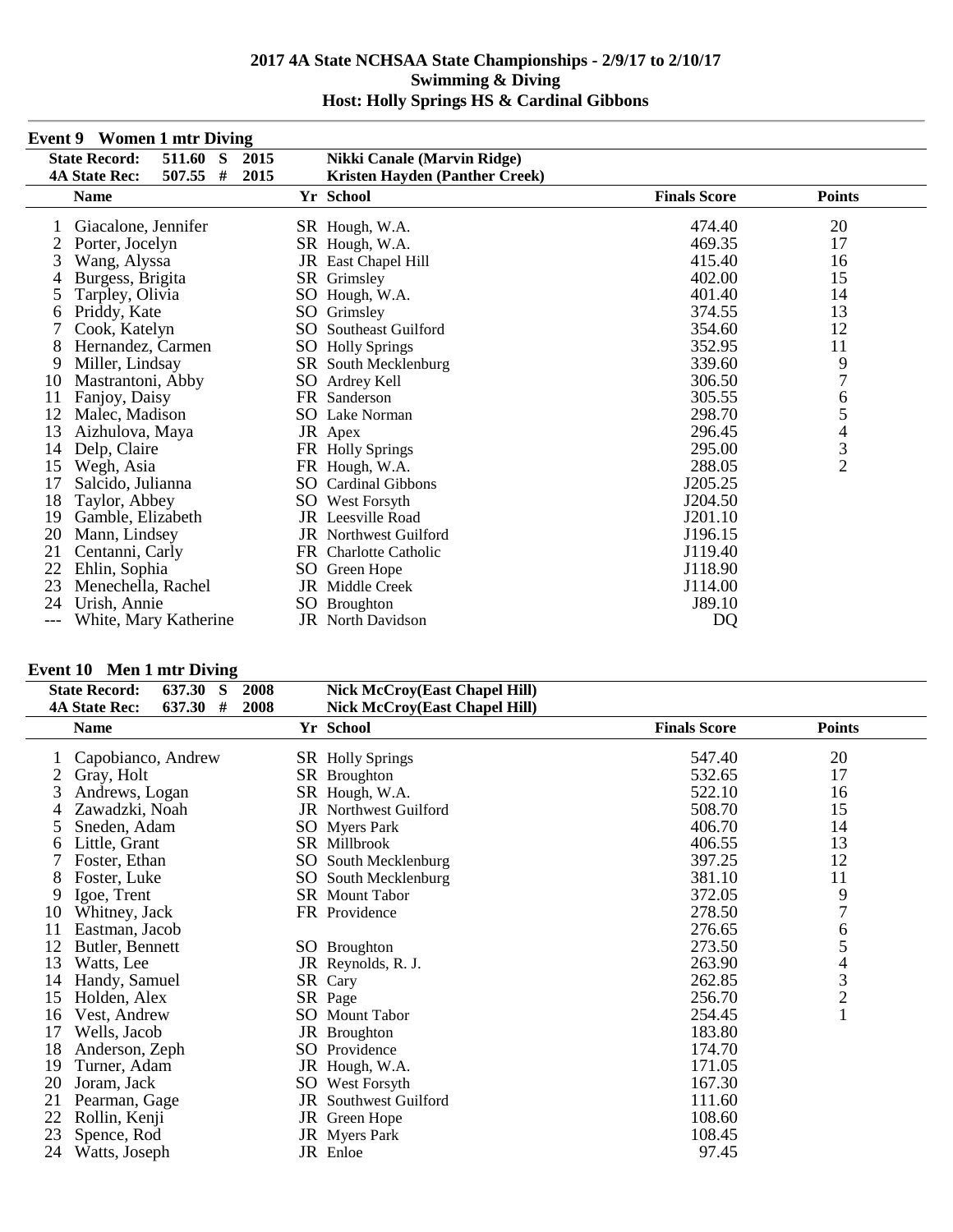|     | Event 9 Women 1 mur Diving                     |                 |                                       |                     |                |  |
|-----|------------------------------------------------|-----------------|---------------------------------------|---------------------|----------------|--|
|     | <b>State Record:</b><br>511.60<br><sub>S</sub> | 2015            | <b>Nikki Canale (Marvin Ridge)</b>    |                     |                |  |
|     | #<br>507.55<br><b>4A State Rec:</b>            | 2015            | <b>Kristen Hayden (Panther Creek)</b> |                     |                |  |
|     | <b>Name</b>                                    |                 | Yr School                             | <b>Finals Score</b> | <b>Points</b>  |  |
|     | Giacalone, Jennifer                            |                 | SR Hough, W.A.                        | 474.40              | 20             |  |
|     | Porter, Jocelyn                                |                 | SR Hough, W.A.                        | 469.35              | 17             |  |
| 3   | Wang, Alyssa                                   | JR              | East Chapel Hill                      | 415.40              | 16             |  |
| 4   | Burgess, Brigita                               |                 | SR Grimsley                           | 402.00              | 15             |  |
| 5   | Tarpley, Olivia                                | SO              | Hough, W.A.                           | 401.40              | 14             |  |
| 6   | Priddy, Kate                                   | SO <sub>1</sub> | Grimsley                              | 374.55              | 13             |  |
|     | Cook, Katelyn                                  | SO.             | Southeast Guilford                    | 354.60              | 12             |  |
| 8   | Hernandez, Carmen                              |                 | SO Holly Springs                      | 352.95              | 11             |  |
| 9   | Miller, Lindsay                                |                 | SR South Mecklenburg                  | 339.60              | 9<br>7         |  |
| 10  | Mastrantoni, Abby                              |                 | SO Ardrey Kell                        | 306.50              |                |  |
| 11  | Fanjoy, Daisy                                  |                 | FR Sanderson                          | 305.55              | 6              |  |
| 12  | Malec, Madison                                 |                 | SO Lake Norman                        | 298.70              | 5              |  |
| 13  | Aizhulova, Maya                                |                 | JR Apex                               | 296.45              | $\overline{4}$ |  |
| 14  | Delp, Claire                                   |                 | FR Holly Springs                      | 295.00              | 3              |  |
| 15  | Wegh, Asia                                     |                 | FR Hough, W.A.                        | 288.05              | $\overline{2}$ |  |
| 17  | Salcido, Julianna                              |                 | <b>SO</b> Cardinal Gibbons            | J205.25             |                |  |
| 18  | Taylor, Abbey                                  |                 | SO West Forsyth                       | J204.50             |                |  |
| 19  | Gamble, Elizabeth                              |                 | <b>JR</b> Leesville Road              | J201.10             |                |  |
| 20  | Mann, Lindsey                                  |                 | <b>JR</b> Northwest Guilford          | J196.15             |                |  |
| 21  | Centanni, Carly                                |                 | FR Charlotte Catholic                 | J119.40             |                |  |
| 22  | Ehlin, Sophia                                  |                 | SO Green Hope                         | J118.90             |                |  |
| 23  | Menechella, Rachel                             |                 | JR Middle Creek                       | J114.00             |                |  |
| 24  | Urish, Annie                                   | SO.             | <b>Broughton</b>                      | J89.10              |                |  |
| --- | White, Mary Katherine                          |                 | <b>JR</b> North Davidson              | DQ                  |                |  |

#### **Event 9 Women 1 mtr Diving**

# **Event 10 Men 1 mtr Diving**<br>State Pegard: 637.30 S

|    | <b>State Record:</b><br>637.30<br>-S | 2008 | <b>Nick McCroy(East Chapel Hill)</b> |                     |                                            |
|----|--------------------------------------|------|--------------------------------------|---------------------|--------------------------------------------|
|    | #<br>637.30<br><b>4A State Rec:</b>  | 2008 | <b>Nick McCroy(East Chapel Hill)</b> |                     |                                            |
|    | <b>Name</b>                          |      | Yr School                            | <b>Finals Score</b> | <b>Points</b>                              |
|    | Capobianco, Andrew                   |      | <b>SR</b> Holly Springs              | 547.40              | 20                                         |
| 2  | Gray, Holt                           |      | SR Broughton                         | 532.65              | 17                                         |
| 3  | Andrews, Logan                       |      | SR Hough, W.A.                       | 522.10              | 16                                         |
| 4  | Zawadzki, Noah                       |      | <b>JR</b> Northwest Guilford         | 508.70              | 15                                         |
| 5  | Sneden, Adam                         |      | <b>SO</b> Myers Park                 | 406.70              | 14                                         |
| 6  | Little, Grant                        |      | SR Millbrook                         | 406.55              | 13                                         |
|    | Foster, Ethan                        | SO   | South Mecklenburg                    | 397.25              | 12                                         |
| 8  | Foster, Luke                         | SO   | South Mecklenburg                    | 381.10              | 11                                         |
| 9  | Igoe, Trent                          |      | <b>SR</b> Mount Tabor                | 372.05              | 9                                          |
| 10 | Whitney, Jack                        |      | FR Providence                        | 278.50              | $\overline{7}$                             |
| 11 | Eastman, Jacob                       |      |                                      | 276.65              | 6                                          |
| 12 | Butler, Bennett                      |      | SO Broughton                         | 273.50              | 5                                          |
| 13 | Watts, Lee                           |      | JR Reynolds, R. J.                   | 263.90              | $\overline{4}$                             |
| 14 | Handy, Samuel                        |      | SR Cary                              | 262.85              | $\begin{array}{c} 3 \\ 2 \\ 1 \end{array}$ |
| 15 | Holden, Alex                         |      | SR Page                              | 256.70              |                                            |
| 16 | Vest, Andrew                         | SO   | Mount Tabor                          | 254.45              |                                            |
| 17 | Wells, Jacob                         |      | JR Broughton                         | 183.80              |                                            |
| 18 | Anderson, Zeph                       |      | SO Providence                        | 174.70              |                                            |
| 19 | Turner, Adam                         |      | JR Hough, W.A.                       | 171.05              |                                            |
| 20 | Joram, Jack                          | SO   | West Forsyth                         | 167.30              |                                            |
| 21 | Pearman, Gage                        |      | JR Southwest Guilford                | 111.60              |                                            |
| 22 | Rollin, Kenji                        | JR   | Green Hope                           | 108.60              |                                            |
| 23 | Spence, Rod                          |      | JR Myers Park                        | 108.45              |                                            |
| 24 | Watts, Joseph                        |      | JR Enloe                             | 97.45               |                                            |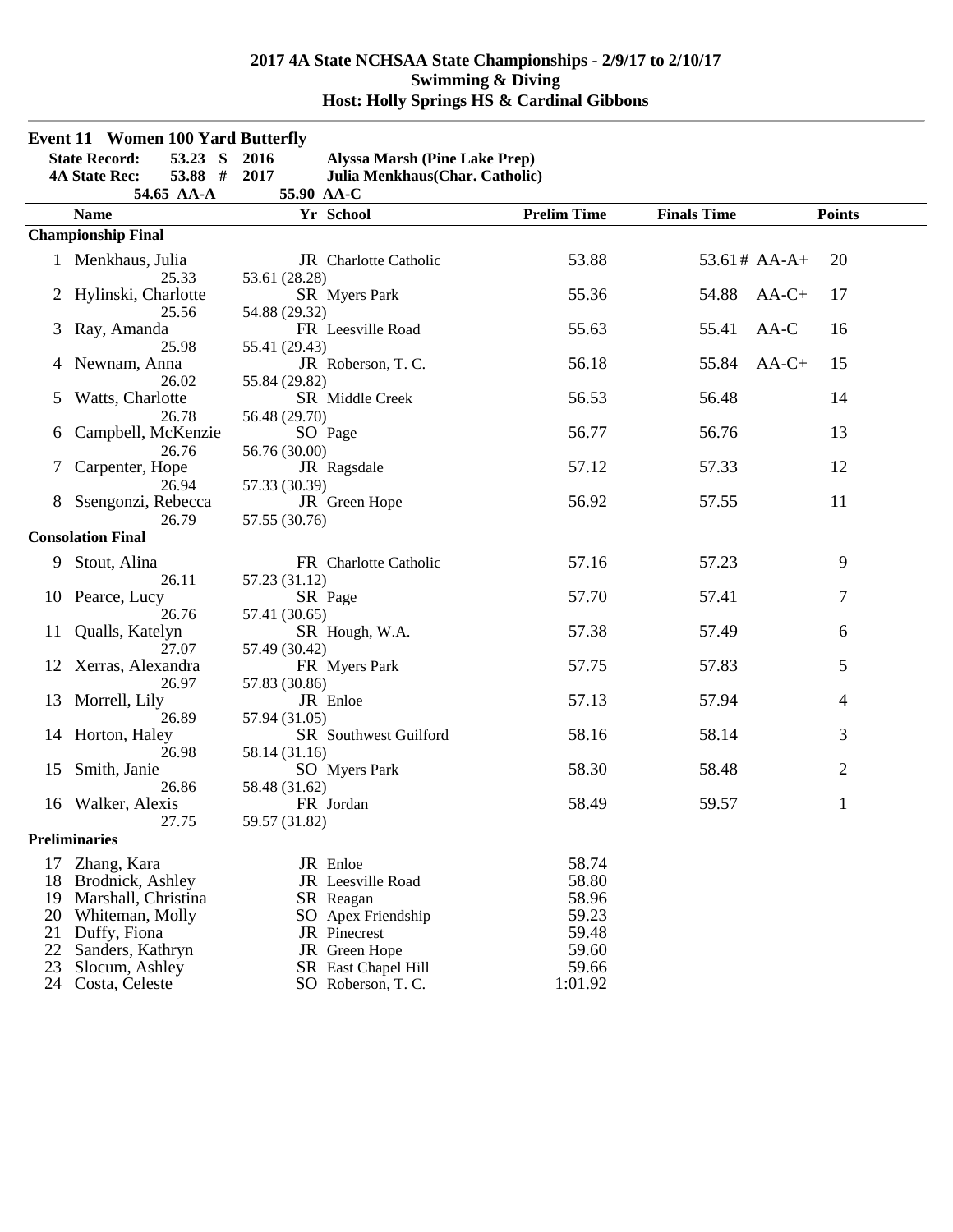|    | <b>Event 11 Women 100 Yard Butterfly</b> |                                              |                    |                    |               |
|----|------------------------------------------|----------------------------------------------|--------------------|--------------------|---------------|
|    | <b>State Record:</b><br>53.23 S          | 2016<br><b>Alyssa Marsh (Pine Lake Prep)</b> |                    |                    |               |
|    | 53.88 #<br><b>4A State Rec:</b>          | 2017<br>Julia Menkhaus(Char. Catholic)       |                    |                    |               |
|    | 54.65 AA-A                               | 55.90 AA-C                                   |                    |                    |               |
|    | <b>Name</b>                              | Yr School                                    | <b>Prelim Time</b> | <b>Finals Time</b> | <b>Points</b> |
|    | <b>Championship Final</b>                |                                              |                    |                    |               |
|    | 1 Menkhaus, Julia<br>25.33               | JR Charlotte Catholic<br>53.61 (28.28)       | 53.88              | $53.61# AA-A+$     | 20            |
|    | Hylinski, Charlotte<br>25.56             | SR Myers Park<br>54.88 (29.32)               | 55.36              | 54.88              | $AA-C+$<br>17 |
| 3  | Ray, Amanda<br>25.98                     | FR Leesville Road<br>55.41 (29.43)           | 55.63              | 55.41              | $AA-C$<br>16  |
|    | Newnam, Anna<br>26.02                    | JR Roberson, T.C.<br>55.84 (29.82)           | 56.18              | 55.84              | 15<br>$AA-C+$ |
| 5  | Watts, Charlotte                         | SR Middle Creek                              | 56.53              | 56.48              | 14            |
| 6  | 26.78<br>Campbell, McKenzie              | 56.48 (29.70)<br>SO Page                     | 56.77              | 56.76              | 13            |
| 7  | 26.76<br>Carpenter, Hope                 | 56.76 (30.00)<br>JR Ragsdale                 | 57.12              | 57.33              | 12            |
|    | 26.94<br>Ssengonzi, Rebecca              | 57.33 (30.39)<br>JR Green Hope               | 56.92              | 57.55              | 11            |
|    | 26.79<br><b>Consolation Final</b>        | 57.55 (30.76)                                |                    |                    |               |
| 9. | Stout, Alina<br>26.11                    | FR Charlotte Catholic<br>57.23 (31.12)       | 57.16              | 57.23              | 9             |
|    | 10 Pearce, Lucy                          | SR Page                                      | 57.70              | 57.41              | 7             |
| 11 | 26.76<br>Qualls, Katelyn                 | 57.41 (30.65)<br>SR Hough, W.A.              | 57.38              | 57.49              | 6             |
| 12 | 27.07<br>Xerras, Alexandra               | 57.49 (30.42)<br>FR Myers Park               | 57.75              | 57.83              | 5             |
| 13 | 26.97<br>Morrell, Lily                   | 57.83 (30.86)<br>JR Enloe                    | 57.13              | 57.94              | 4             |
| 14 | 26.89<br>Horton, Haley                   | 57.94 (31.05)<br>SR Southwest Guilford       | 58.16              | 58.14              | 3             |
| 15 | 26.98<br>Smith, Janie                    | 58.14 (31.16)<br>SO Myers Park               | 58.30              | 58.48              | 2             |
| 16 | 26.86<br>Walker, Alexis                  | 58.48 (31.62)<br>FR Jordan                   | 58.49              | 59.57              | 1             |
|    | 27.75<br><b>Preliminaries</b>            | 59.57 (31.82)                                |                    |                    |               |
| 17 | Zhang, Kara                              | JR Enloe                                     | 58.74              |                    |               |
| 18 | Brodnick, Ashley                         | JR Leesville Road                            | 58.80              |                    |               |
| 19 | Marshall, Christina                      | SR Reagan                                    | 58.96              |                    |               |
| 20 | Whiteman, Molly                          | SO Apex Friendship                           | 59.23              |                    |               |
| 21 | Duffy, Fiona                             | JR Pinecrest                                 | 59.48              |                    |               |
| 22 | Sanders, Kathryn                         | JR Green Hope                                | 59.60              |                    |               |
| 23 | Slocum, Ashley                           | SR East Chapel Hill                          | 59.66              |                    |               |
| 24 | Costa, Celeste                           | SO Roberson, T. C.                           | 1:01.92            |                    |               |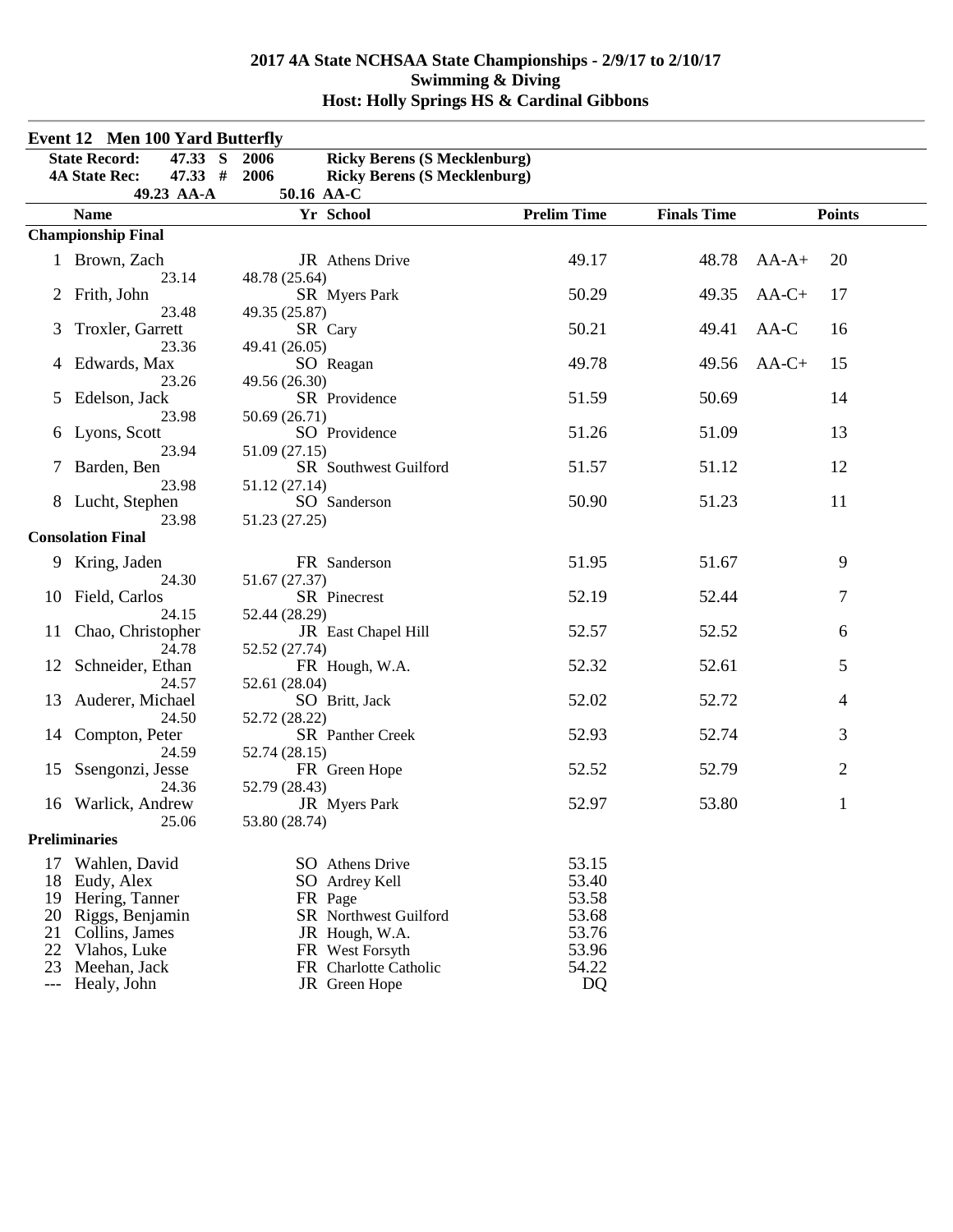| <b>Event 12 Men 100 Yard Butterfly</b> |                                   |                                             |                    |                    |                |  |
|----------------------------------------|-----------------------------------|---------------------------------------------|--------------------|--------------------|----------------|--|
|                                        | <b>State Record:</b><br>47.33 S   | <b>Ricky Berens (S Mecklenburg)</b><br>2006 |                    |                    |                |  |
|                                        | 47.33#<br><b>4A State Rec:</b>    | 2006<br><b>Ricky Berens (S Mecklenburg)</b> |                    |                    |                |  |
|                                        | 49.23 AA-A                        | 50.16 AA-C                                  |                    |                    |                |  |
|                                        | <b>Name</b>                       | Yr School                                   | <b>Prelim Time</b> | <b>Finals Time</b> | <b>Points</b>  |  |
|                                        | <b>Championship Final</b>         |                                             |                    |                    |                |  |
|                                        | 1 Brown, Zach                     | JR Athens Drive                             | 49.17              | 48.78              | 20<br>$AA-A+$  |  |
|                                        | 23.14<br>Frith, John              | 48.78 (25.64)<br>SR Myers Park              | 50.29              | 49.35              | $AA-C+$<br>17  |  |
| 3                                      | 23.48<br>Troxler, Garrett         | 49.35 (25.87)<br>SR Cary                    | 50.21              | 49.41              | AA-C<br>16     |  |
| 4                                      | 23.36<br>Edwards, Max             | 49.41 (26.05)<br>SO Reagan                  | 49.78              | 49.56              | $AA-C+$<br>15  |  |
| 5                                      | 23.26<br>Edelson, Jack            | 49.56 (26.30)<br>SR Providence              | 51.59              | 50.69              | 14             |  |
| 6                                      | 23.98<br>Lyons, Scott             | 50.69 (26.71)<br>SO Providence              | 51.26              | 51.09              | 13             |  |
| 7                                      | 23.94<br>Barden, Ben              | 51.09 (27.15)<br>SR Southwest Guilford      | 51.57              | 51.12              | 12             |  |
|                                        | 23.98<br>Lucht, Stephen           | 51.12 (27.14)<br>SO Sanderson               | 50.90              | 51.23              | 11             |  |
|                                        | 23.98<br><b>Consolation Final</b> | 51.23 (27.25)                               |                    |                    |                |  |
|                                        |                                   |                                             |                    |                    |                |  |
| 9                                      | Kring, Jaden<br>24.30             | FR Sanderson<br>51.67 (27.37)               | 51.95              | 51.67              | 9              |  |
| 10                                     | Field, Carlos                     | SR Pinecrest                                | 52.19              | 52.44              | 7              |  |
| 11                                     | 24.15<br>Chao, Christopher        | 52.44 (28.29)<br>JR East Chapel Hill        | 52.57              | 52.52              | 6              |  |
| 12                                     | 24.78<br>Schneider, Ethan         | 52.52 (27.74)<br>FR Hough, W.A.             | 52.32              | 52.61              | 5              |  |
| 13                                     | 24.57<br>Auderer, Michael         | 52.61 (28.04)<br>SO Britt, Jack             | 52.02              | 52.72              | 4              |  |
| 14                                     | 24.50<br>Compton, Peter           | 52.72 (28.22)<br>SR Panther Creek           | 52.93              | 52.74              | 3              |  |
| 15                                     | 24.59<br>Ssengonzi, Jesse         | 52.74 (28.15)<br>FR Green Hope              | 52.52              | 52.79              | $\overline{2}$ |  |
| 16                                     | 24.36<br>Warlick, Andrew          | 52.79 (28.43)<br>JR Myers Park              | 52.97              | 53.80              | 1              |  |
|                                        | 25.06<br><b>Preliminaries</b>     | 53.80 (28.74)                               |                    |                    |                |  |
|                                        |                                   |                                             |                    |                    |                |  |
| 17                                     | Wahlen, David                     | SO Athens Drive                             | 53.15              |                    |                |  |
| 18                                     | Eudy, Alex                        | SO Ardrey Kell                              | 53.40              |                    |                |  |
| 19                                     | Hering, Tanner                    | FR Page                                     | 53.58              |                    |                |  |
| 20                                     | Riggs, Benjamin                   | <b>SR</b> Northwest Guilford                | 53.68              |                    |                |  |
| 21                                     | Collins, James                    | JR Hough, W.A.                              | 53.76              |                    |                |  |
| 22                                     | Vlahos, Luke                      | FR West Forsyth                             | 53.96              |                    |                |  |
| 23<br>$---$                            | Meehan, Jack<br>Healy, John       | FR Charlotte Catholic<br>JR Green Hope      | 54.22<br><b>DQ</b> |                    |                |  |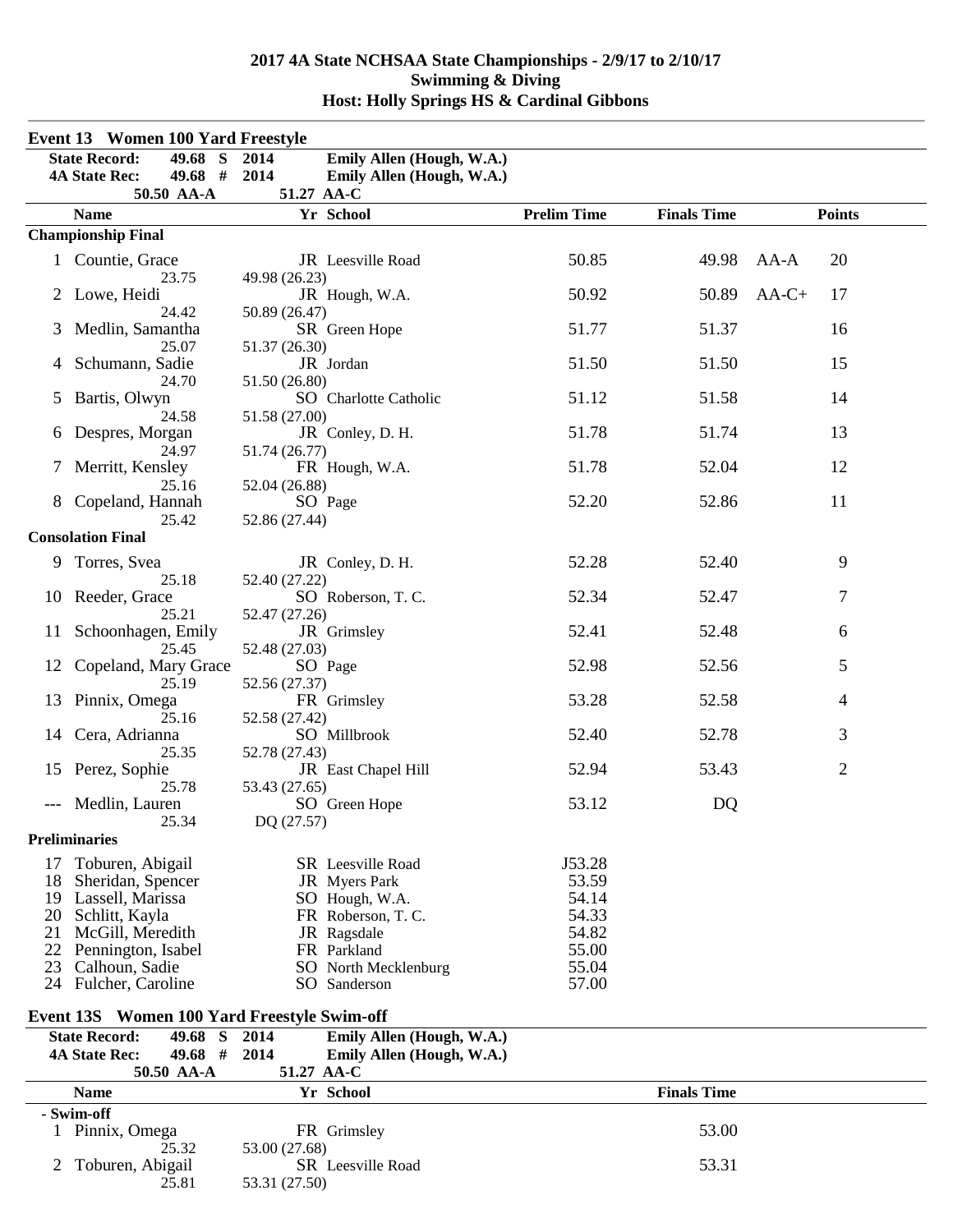|                                        | <b>Event 13 Women 100 Yard Freestyle</b>                                                                                                                        |                                                                                                                                                         |                                                                       |                    |                |  |
|----------------------------------------|-----------------------------------------------------------------------------------------------------------------------------------------------------------------|---------------------------------------------------------------------------------------------------------------------------------------------------------|-----------------------------------------------------------------------|--------------------|----------------|--|
|                                        | 49.68 S<br><b>State Record:</b><br>49.68 # 2014<br><b>4A State Rec:</b><br>50.50 AA-A                                                                           | 2014<br>Emily Allen (Hough, W.A.)<br>Emily Allen (Hough, W.A.)<br>51.27 AA-C                                                                            |                                                                       |                    |                |  |
|                                        | <b>Name</b>                                                                                                                                                     | Yr School                                                                                                                                               | <b>Prelim Time</b>                                                    | <b>Finals Time</b> | <b>Points</b>  |  |
|                                        | <b>Championship Final</b>                                                                                                                                       |                                                                                                                                                         |                                                                       |                    |                |  |
|                                        | 1 Countie, Grace<br>23.75                                                                                                                                       | JR Leesville Road<br>49.98 (26.23)                                                                                                                      | 50.85                                                                 | 49.98              | 20<br>$AA-A$   |  |
|                                        | 2 Lowe, Heidi<br>24.42                                                                                                                                          | JR Hough, W.A.<br>50.89 (26.47)                                                                                                                         | 50.92                                                                 | 50.89              | $AA-C+$<br>17  |  |
| 3                                      | Medlin, Samantha<br>25.07                                                                                                                                       | SR Green Hope<br>51.37 (26.30)                                                                                                                          | 51.77                                                                 | 51.37              | 16             |  |
| 4                                      | Schumann, Sadie<br>24.70                                                                                                                                        | JR Jordan<br>51.50 (26.80)                                                                                                                              | 51.50                                                                 | 51.50              | 15             |  |
| 5                                      | Bartis, Olwyn<br>24.58                                                                                                                                          | SO Charlotte Catholic<br>51.58 (27.00)                                                                                                                  | 51.12                                                                 | 51.58              | 14             |  |
| 6                                      | Despres, Morgan<br>24.97                                                                                                                                        | JR Conley, D. H.<br>51.74 (26.77)                                                                                                                       | 51.78                                                                 | 51.74              | 13             |  |
| 7                                      | Merritt, Kensley<br>25.16                                                                                                                                       | FR Hough, W.A.<br>52.04 (26.88)                                                                                                                         | 51.78                                                                 | 52.04              | 12             |  |
| 8                                      | Copeland, Hannah<br>25.42                                                                                                                                       | SO Page<br>52.86 (27.44)                                                                                                                                | 52.20                                                                 | 52.86              | 11             |  |
|                                        | <b>Consolation Final</b>                                                                                                                                        |                                                                                                                                                         |                                                                       |                    |                |  |
| 9.                                     | Torres, Svea                                                                                                                                                    | JR Conley, D. H.<br>52.40 (27.22)                                                                                                                       | 52.28                                                                 | 52.40              | 9              |  |
| 10                                     | 25.18<br>Reeder, Grace<br>25.21                                                                                                                                 | SO Roberson, T. C.<br>52.47 (27.26)                                                                                                                     | 52.34                                                                 | 52.47              | 7              |  |
| 11                                     | Schoonhagen, Emily<br>25.45                                                                                                                                     | JR Grimsley<br>52.48 (27.03)                                                                                                                            | 52.41                                                                 | 52.48              | 6              |  |
| 12                                     | Copeland, Mary Grace<br>25.19                                                                                                                                   | SO Page<br>52.56 (27.37)                                                                                                                                | 52.98                                                                 | 52.56              | 5              |  |
| 13                                     | Pinnix, Omega<br>25.16                                                                                                                                          | FR Grimsley<br>52.58 (27.42)                                                                                                                            | 53.28                                                                 | 52.58              | 4              |  |
| 14                                     | Cera, Adrianna<br>25.35                                                                                                                                         | SO Millbrook<br>52.78 (27.43)                                                                                                                           | 52.40                                                                 | 52.78              | 3              |  |
| 15                                     | Perez, Sophie<br>25.78                                                                                                                                          | JR East Chapel Hill<br>53.43 (27.65)                                                                                                                    | 52.94                                                                 | 53.43              | $\overline{2}$ |  |
|                                        | Medlin, Lauren<br>25.34                                                                                                                                         | SO Green Hope<br>DQ (27.57)                                                                                                                             | 53.12                                                                 | DQ                 |                |  |
|                                        | <b>Preliminaries</b>                                                                                                                                            |                                                                                                                                                         |                                                                       |                    |                |  |
| 17<br>18<br>19<br>20<br>21<br>22<br>23 | Toburen, Abigail<br>Sheridan, Spencer<br>Lassell, Marissa<br>Schlitt, Kayla<br>McGill, Meredith<br>Pennington, Isabel<br>Calhoun, Sadie<br>24 Fulcher, Caroline | <b>SR</b> Leesville Road<br>JR Myers Park<br>SO Hough, W.A.<br>FR Roberson, T. C.<br>JR Ragsdale<br>FR Parkland<br>SO North Mecklenburg<br>SO Sanderson | J53.28<br>53.59<br>54.14<br>54.33<br>54.82<br>55.00<br>55.04<br>57.00 |                    |                |  |
|                                        |                                                                                                                                                                 |                                                                                                                                                         |                                                                       |                    |                |  |
|                                        | Event 13S Women 100 Yard Freestyle Swim-off                                                                                                                     |                                                                                                                                                         |                                                                       |                    |                |  |
|                                        | <b>State Record:</b><br>49.68 S<br>49.68 #<br><b>4A State Rec:</b><br>50.50 AA-A                                                                                | Emily Allen (Hough, W.A.)<br>2014<br>2014<br>Emily Allen (Hough, W.A.)<br>51.27 AA-C                                                                    |                                                                       |                    |                |  |
|                                        | <b>Name</b>                                                                                                                                                     | Yr School                                                                                                                                               |                                                                       | <b>Finals Time</b> |                |  |
|                                        | - Swim-off                                                                                                                                                      |                                                                                                                                                         |                                                                       |                    |                |  |
|                                        | 1 Pinnix, Omega<br>25.32                                                                                                                                        | FR Grimsley<br>53.00 (27.68)                                                                                                                            |                                                                       | 53.00              |                |  |
| 2                                      | Toburen, Abigail<br>25.81                                                                                                                                       | SR Leesville Road<br>53.31 (27.50)                                                                                                                      |                                                                       | 53.31              |                |  |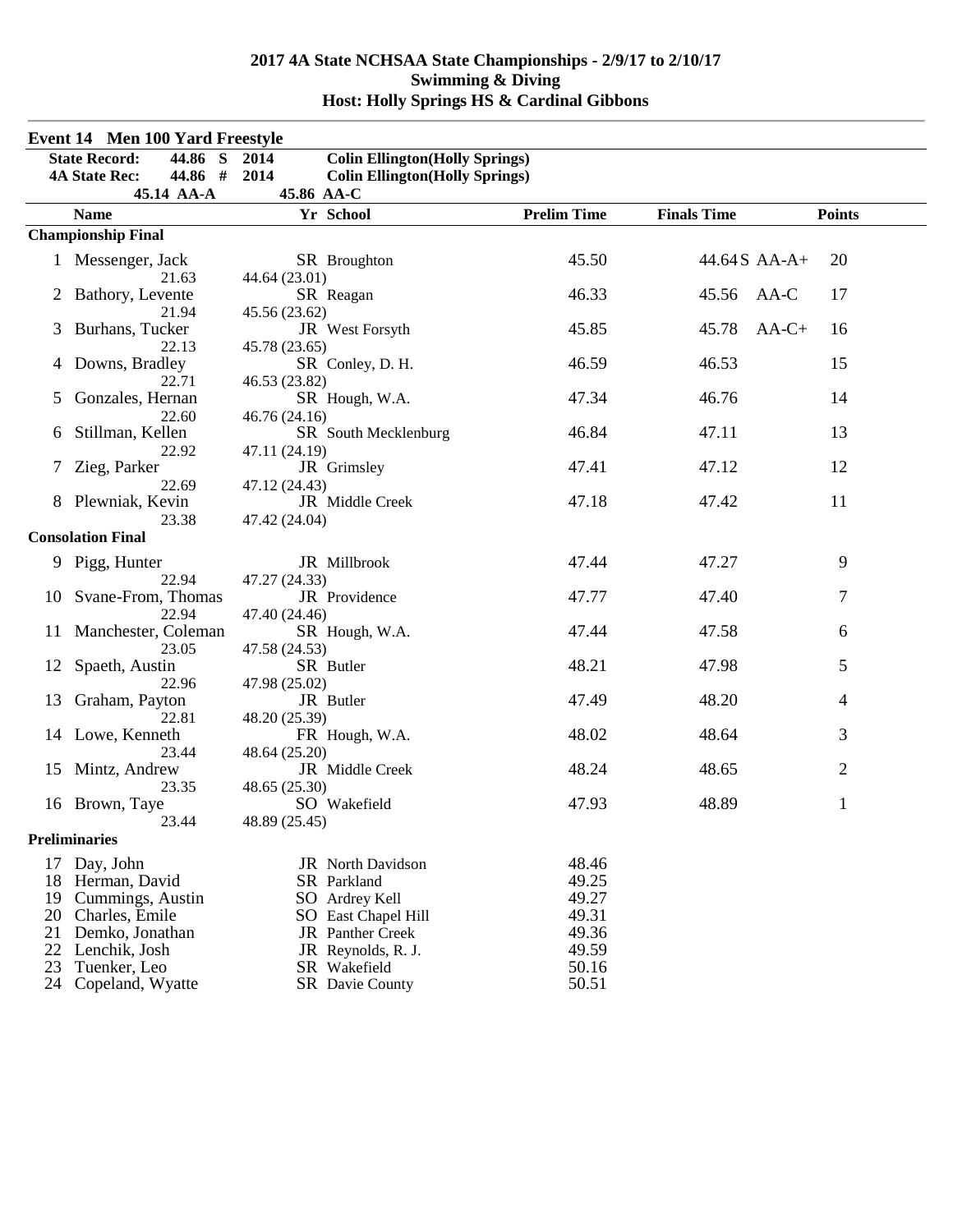| <b>Event 14 Men 100 Yard Freestyle</b> |                                                                    |                                                                                                  |                    |                    |                |  |
|----------------------------------------|--------------------------------------------------------------------|--------------------------------------------------------------------------------------------------|--------------------|--------------------|----------------|--|
|                                        | 44.86 S<br><b>State Record:</b><br>44.86 #<br><b>4A State Rec:</b> | <b>Colin Ellington</b> (Holly Springs)<br>2014<br>2014<br><b>Colin Ellington</b> (Holly Springs) |                    |                    |                |  |
|                                        | 45.14 AA-A                                                         | 45.86 AA-C                                                                                       |                    |                    |                |  |
|                                        | <b>Name</b>                                                        | Yr School                                                                                        | <b>Prelim Time</b> | <b>Finals Time</b> | <b>Points</b>  |  |
|                                        | <b>Championship Final</b>                                          |                                                                                                  |                    |                    |                |  |
|                                        | 1 Messenger, Jack<br>21.63                                         | SR Broughton<br>44.64 (23.01)                                                                    | 45.50              | 44.64S AA-A+       | 20             |  |
|                                        | 2 Bathory, Levente<br>21.94                                        | SR Reagan<br>45.56 (23.62)                                                                       | 46.33              | 45.56              | 17<br>AA-C     |  |
| 3                                      | Burhans, Tucker<br>22.13                                           | JR West Forsyth<br>45.78 (23.65)                                                                 | 45.85              | 45.78              | $AA-C+$<br>16  |  |
| 4                                      | Downs, Bradley<br>22.71                                            | SR Conley, D. H.<br>46.53 (23.82)                                                                | 46.59              | 46.53              | 15             |  |
| 5                                      | Gonzales, Hernan<br>22.60                                          | SR Hough, W.A.<br>46.76 (24.16)                                                                  | 47.34              | 46.76              | 14             |  |
| 6                                      | Stillman, Kellen<br>22.92                                          | SR South Mecklenburg<br>47.11 (24.19)                                                            | 46.84              | 47.11              | 13             |  |
| 7                                      | Zieg, Parker<br>22.69                                              | JR Grimsley<br>47.12 (24.43)                                                                     | 47.41              | 47.12              | 12             |  |
|                                        | 8 Plewniak, Kevin<br>23.38                                         | JR Middle Creek<br>47.42 (24.04)                                                                 | 47.18              | 47.42              | 11             |  |
|                                        | <b>Consolation Final</b>                                           |                                                                                                  |                    |                    |                |  |
|                                        | 9 Pigg, Hunter                                                     | JR Millbrook                                                                                     | 47.44              | 47.27              | 9              |  |
|                                        | 22.94<br>10 Svane-From, Thomas                                     | 47.27 (24.33)<br>JR Providence                                                                   | 47.77              | 47.40              | 7              |  |
|                                        | 22.94<br>11 Manchester, Coleman<br>23.05                           | 47.40 (24.46)<br>SR Hough, W.A.<br>47.58 (24.53)                                                 | 47.44              | 47.58              | 6              |  |
|                                        | 12 Spaeth, Austin<br>22.96                                         | SR Butler<br>47.98 (25.02)                                                                       | 48.21              | 47.98              | 5              |  |
| 13                                     | Graham, Payton<br>22.81                                            | JR Butler<br>48.20 (25.39)                                                                       | 47.49              | 48.20              | 4              |  |
|                                        | 14 Lowe, Kenneth<br>23.44                                          | FR Hough, W.A.<br>48.64 (25.20)                                                                  | 48.02              | 48.64              | 3              |  |
| 15                                     | Mintz, Andrew<br>23.35                                             | JR Middle Creek<br>48.65 (25.30)                                                                 | 48.24              | 48.65              | $\overline{2}$ |  |
|                                        | 16 Brown, Taye<br>23.44                                            | SO Wakefield<br>48.89 (25.45)                                                                    | 47.93              | 48.89              | $\mathbf{1}$   |  |
|                                        | <b>Preliminaries</b>                                               |                                                                                                  |                    |                    |                |  |
| 17                                     | Day, John                                                          | JR North Davidson                                                                                | 48.46              |                    |                |  |
| 18                                     | Herman, David                                                      | SR Parkland                                                                                      | 49.25              |                    |                |  |
| 19                                     | Cummings, Austin                                                   | SO Ardrey Kell                                                                                   | 49.27              |                    |                |  |
| 20                                     | Charles, Emile                                                     | SO East Chapel Hill                                                                              | 49.31              |                    |                |  |
| 21                                     | Demko, Jonathan                                                    | <b>JR</b> Panther Creek                                                                          | 49.36              |                    |                |  |
| 22                                     | Lenchik, Josh                                                      | JR Reynolds, R. J.                                                                               | 49.59              |                    |                |  |
| 23                                     | Tuenker, Leo                                                       | SR Wakefield                                                                                     | 50.16              |                    |                |  |
| 24                                     | Copeland, Wyatte                                                   | SR Davie County                                                                                  | 50.51              |                    |                |  |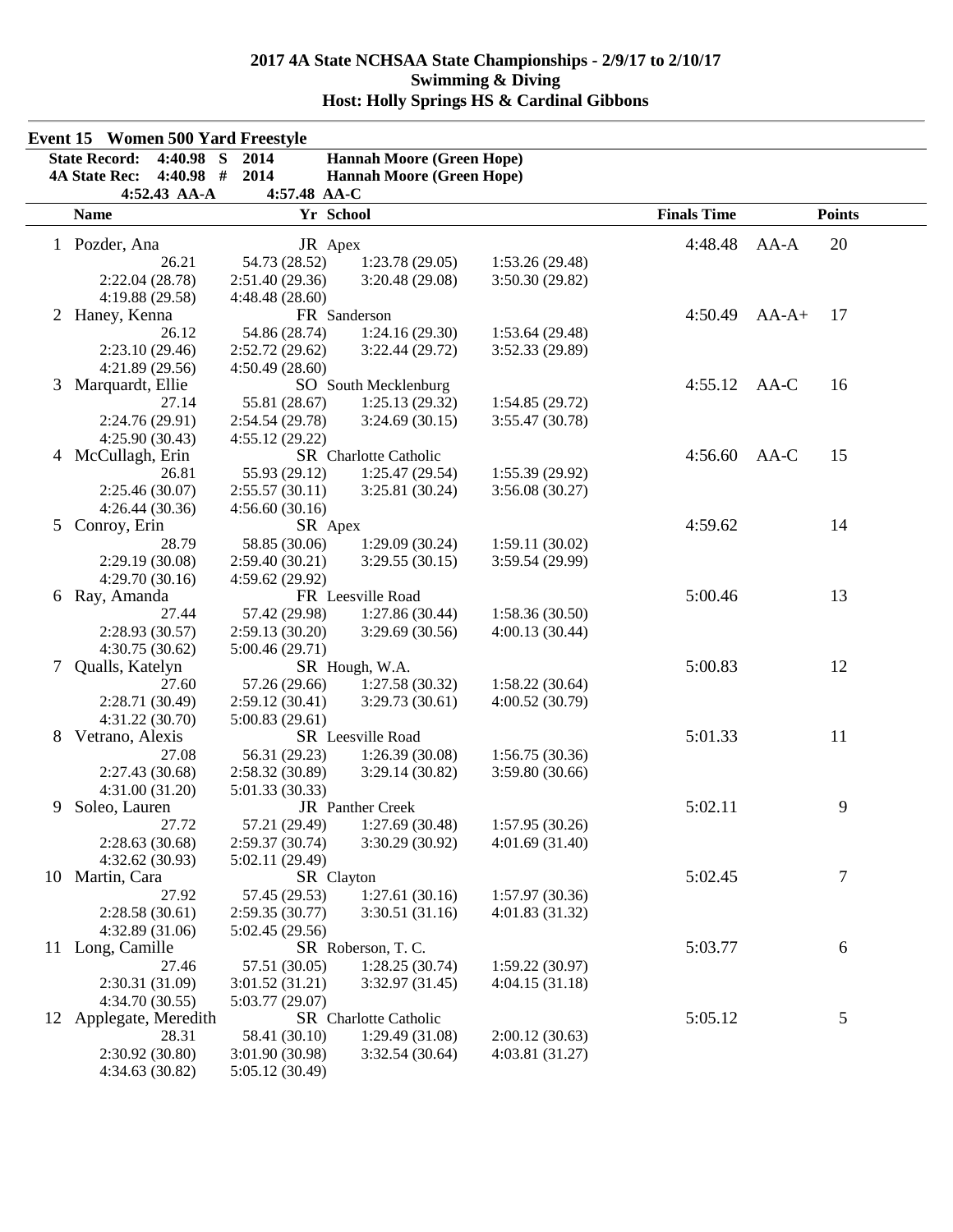|    | <b>Event 15 Women 500 Yard Freestyle</b><br><b>State Record:</b><br>4:40.98 | S<br>2014                      | <b>Hannah Moore (Green Hope)</b> |                                  |                    |               |
|----|-----------------------------------------------------------------------------|--------------------------------|----------------------------------|----------------------------------|--------------------|---------------|
|    | <b>4A State Rec:</b><br>$4:40.98$ #                                         | 2014                           | <b>Hannah Moore (Green Hope)</b> |                                  |                    |               |
|    | 4:52.43 AA-A<br><b>Name</b>                                                 | 4:57.48 AA-C<br>Yr School      |                                  |                                  | <b>Finals Time</b> | <b>Points</b> |
|    |                                                                             |                                |                                  |                                  |                    |               |
|    | 1 Pozder, Ana                                                               | JR Apex                        |                                  |                                  | 4:48.48            | 20<br>$AA-A$  |
|    | 26.21                                                                       | 54.73 (28.52)                  | 1:23.78(29.05)                   | 1:53.26(29.48)                   |                    |               |
|    | 2:22.04 (28.78)                                                             | 2:51.40(29.36)                 | 3:20.48 (29.08)                  | 3:50.30(29.82)                   |                    |               |
|    | 4:19.88 (29.58)                                                             | 4:48.48(28.60)<br>FR Sanderson |                                  |                                  | 4:50.49            |               |
| 2  | Haney, Kenna                                                                |                                |                                  |                                  |                    | $AA-A+$<br>17 |
|    | 26.12                                                                       | 54.86 (28.74)                  | 1:24.16(29.30)                   | 1:53.64(29.48)                   |                    |               |
|    | 2:23.10(29.46)                                                              | 2:52.72(29.62)                 | 3:22.44(29.72)                   | 3:52.33 (29.89)                  |                    |               |
|    | 4:21.89(29.56)                                                              | 4:50.49(28.60)                 |                                  |                                  | 4:55.12            | AA-C<br>16    |
| 3  | Marquardt, Ellie                                                            |                                | SO South Mecklenburg             |                                  |                    |               |
|    | 27.14                                                                       | 55.81 (28.67)                  | 1:25.13(29.32)                   | 1:54.85(29.72)                   |                    |               |
|    | 2:24.76 (29.91)                                                             | 2:54.54 (29.78)                | 3:24.69(30.15)                   | 3:55.47 (30.78)                  |                    |               |
| 4  | 4:25.90(30.43)<br>McCullagh, Erin                                           | 4:55.12(29.22)                 | SR Charlotte Catholic            |                                  | 4:56.60            | 15<br>$AA-C$  |
|    | 26.81                                                                       | 55.93 (29.12)                  |                                  |                                  |                    |               |
|    | 2:25.46 (30.07)                                                             | 2:55.57(30.11)                 | 1:25.47(29.54)<br>3:25.81(30.24) | 1:55.39(29.92)<br>3:56.08(30.27) |                    |               |
|    |                                                                             |                                |                                  |                                  |                    |               |
| 5  | 4:26.44(30.36)<br>Conroy, Erin                                              | 4:56.60(30.16)<br>SR Apex      |                                  |                                  | 4:59.62            | 14            |
|    | 28.79                                                                       | 58.85 (30.06)                  | 1:29.09(30.24)                   | 1:59.11(30.02)                   |                    |               |
|    | 2:29.19(30.08)                                                              | 2:59.40 (30.21)                | 3:29.55(30.15)                   | 3:59.54 (29.99)                  |                    |               |
|    | 4:29.70(30.16)                                                              | 4:59.62 (29.92)                |                                  |                                  |                    |               |
| 6  | Ray, Amanda                                                                 |                                | FR Leesville Road                |                                  | 5:00.46            | 13            |
|    | 27.44                                                                       | 57.42 (29.98)                  | 1:27.86(30.44)                   | 1:58.36(30.50)                   |                    |               |
|    | 2:28.93 (30.57)                                                             | 2:59.13(30.20)                 | 3:29.69(30.56)                   | 4:00.13(30.44)                   |                    |               |
|    | 4:30.75 (30.62)                                                             | 5:00.46(29.71)                 |                                  |                                  |                    |               |
| 7  | Qualls, Katelyn                                                             |                                | SR Hough, W.A.                   |                                  | 5:00.83            | 12            |
|    | 27.60                                                                       | 57.26 (29.66)                  | 1:27.58(30.32)                   | 1:58.22(30.64)                   |                    |               |
|    | 2:28.71 (30.49)                                                             | 2:59.12(30.41)                 | 3:29.73(30.61)                   | 4:00.52(30.79)                   |                    |               |
|    | 4:31.22(30.70)                                                              | 5:00.83(29.61)                 |                                  |                                  |                    |               |
| 8  | Vetrano, Alexis                                                             |                                | SR Leesville Road                |                                  | 5:01.33            | 11            |
|    | 27.08                                                                       | 56.31 (29.23)                  | 1:26.39(30.08)                   | 1:56.75(30.36)                   |                    |               |
|    | 2:27.43 (30.68)                                                             | 2:58.32(30.89)                 | 3:29.14(30.82)                   | 3:59.80(30.66)                   |                    |               |
|    | 4:31.00(31.20)                                                              | 5:01.33 (30.33)                |                                  |                                  |                    |               |
| 9  | Soleo, Lauren                                                               |                                | JR Panther Creek                 |                                  | 5:02.11            | 9             |
|    | 27.72                                                                       | 57.21 (29.49)                  | 1:27.69 (30.48)                  | 1:57.95 (30.26)                  |                    |               |
|    | 2:28.63(30.68)                                                              | 2:59.37(30.74)                 | 3:30.29 (30.92)                  | 4:01.69(31.40)                   |                    |               |
|    | 4:32.62(30.93)                                                              | 5:02.11 (29.49)                |                                  |                                  |                    |               |
| 10 | Martin, Cara                                                                | SR Clayton                     |                                  |                                  | 5:02.45            | 7             |
|    | 27.92                                                                       | 57.45 (29.53)                  | 1:27.61(30.16)                   | 1:57.97(30.36)                   |                    |               |
|    | 2:28.58(30.61)                                                              | 2:59.35(30.77)                 | 3:30.51(31.16)                   | 4:01.83(31.32)                   |                    |               |
|    | 4:32.89(31.06)                                                              | 5:02.45 (29.56)                |                                  |                                  |                    |               |
| 11 | Long, Camille                                                               |                                | SR Roberson, T.C.                |                                  | 5:03.77            | 6             |
|    | 27.46                                                                       | 57.51 (30.05)                  | 1:28.25(30.74)                   | 1:59.22(30.97)                   |                    |               |
|    | 2:30.31 (31.09)                                                             | 3:01.52(31.21)                 | 3:32.97(31.45)                   | 4:04.15(31.18)                   |                    |               |
|    | 4:34.70(30.55)                                                              | 5:03.77 (29.07)                |                                  |                                  |                    |               |
| 12 | Applegate, Meredith                                                         |                                | SR Charlotte Catholic            |                                  | 5:05.12            | 5             |
|    | 28.31                                                                       | 58.41 (30.10)                  | 1:29.49(31.08)                   | 2:00.12(30.63)                   |                    |               |
|    | 2:30.92 (30.80)                                                             | 3:01.90(30.98)                 | 3:32.54(30.64)                   | 4:03.81(31.27)                   |                    |               |
|    | 4:34.63 (30.82)                                                             | 5:05.12 (30.49)                |                                  |                                  |                    |               |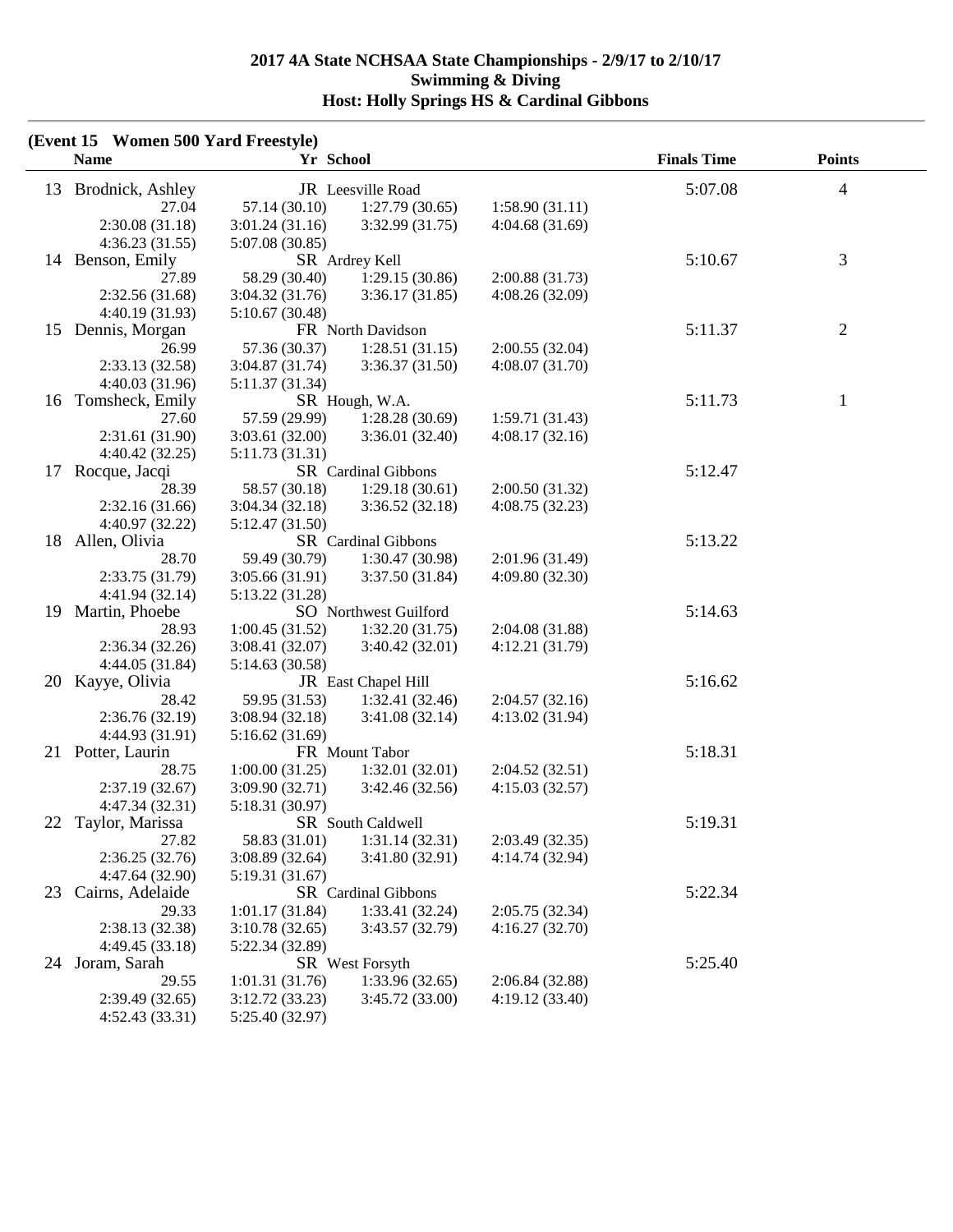| (Event 15 Women 500 Yard Freestyle)<br><b>Name</b> | Yr School       |                       |                 | <b>Finals Time</b> | <b>Points</b>  |
|----------------------------------------------------|-----------------|-----------------------|-----------------|--------------------|----------------|
| 13<br>Brodnick, Ashley                             |                 | JR Leesville Road     |                 | 5:07.08            | 4              |
| 27.04                                              | 57.14(30.10)    | 1:27.79(30.65)        | 1:58.90(31.11)  |                    |                |
| 2:30.08(31.18)                                     | 3:01.24(31.16)  | 3:32.99(31.75)        | 4:04.68(31.69)  |                    |                |
| 4:36.23(31.55)                                     | 5:07.08 (30.85) |                       |                 |                    |                |
| 14 Benson, Emily                                   |                 | SR Ardrey Kell        |                 | 5:10.67            | 3              |
| 27.89                                              | 58.29 (30.40)   | 1:29.15(30.86)        | 2:00.88(31.73)  |                    |                |
| 2:32.56(31.68)                                     | 3:04.32(31.76)  | 3:36.17(31.85)        | 4:08.26(32.09)  |                    |                |
| 4:40.19(31.93)                                     | 5:10.67(30.48)  |                       |                 |                    |                |
| Dennis, Morgan<br>15                               |                 | FR North Davidson     |                 | 5:11.37            | $\overline{c}$ |
| 26.99                                              | 57.36 (30.37)   | 1:28.51(31.15)        | 2:00.55(32.04)  |                    |                |
| 2:33.13(32.58)                                     | 3:04.87(31.74)  | 3:36.37(31.50)        | 4:08.07(31.70)  |                    |                |
| 4:40.03(31.96)                                     | 5:11.37 (31.34) |                       |                 |                    |                |
| Tomsheck, Emily<br>16                              |                 | SR Hough, W.A.        |                 | 5:11.73            | $\mathbf{1}$   |
| 27.60                                              | 57.59 (29.99)   | 1:28.28(30.69)        | 1:59.71(31.43)  |                    |                |
| 2:31.61(31.90)                                     | 3:03.61(32.00)  | 3:36.01(32.40)        | 4:08.17(32.16)  |                    |                |
| 4:40.42(32.25)                                     | 5:11.73(31.31)  |                       |                 |                    |                |
| Rocque, Jacqi<br>17                                |                 | SR Cardinal Gibbons   |                 | 5:12.47            |                |
| 28.39                                              | 58.57 (30.18)   | 1:29.18(30.61)        | 2:00.50(31.32)  |                    |                |
| 2:32.16(31.66)                                     | 3:04.34(32.18)  | 3:36.52(32.18)        | 4:08.75(32.23)  |                    |                |
| 4:40.97 (32.22)                                    | 5:12.47 (31.50) |                       |                 |                    |                |
| 18<br>Allen, Olivia                                |                 | SR Cardinal Gibbons   |                 | 5:13.22            |                |
| 28.70                                              | 59.49 (30.79)   | 1:30.47(30.98)        | 2:01.96 (31.49) |                    |                |
| 2:33.75(31.79)                                     | 3:05.66(31.91)  | 3:37.50(31.84)        | 4:09.80 (32.30) |                    |                |
| 4:41.94(32.14)                                     | 5:13.22 (31.28) |                       |                 |                    |                |
| 19<br>Martin, Phoebe                               |                 | SO Northwest Guilford |                 | 5:14.63            |                |
| 28.93                                              | 1:00.45(31.52)  | 1:32.20(31.75)        | 2:04.08 (31.88) |                    |                |
| 2:36.34(32.26)                                     | 3:08.41(32.07)  | 3:40.42(32.01)        | 4:12.21(31.79)  |                    |                |
| 4:44.05(31.84)                                     | 5:14.63 (30.58) |                       |                 |                    |                |
| Kayye, Olivia<br>20                                |                 | JR East Chapel Hill   |                 | 5:16.62            |                |
| 28.42                                              | 59.95 (31.53)   | 1:32.41(32.46)        | 2:04.57(32.16)  |                    |                |
| 2:36.76(32.19)                                     | 3:08.94(32.18)  | 3:41.08(32.14)        | 4:13.02 (31.94) |                    |                |
| 4:44.93 (31.91)                                    | 5:16.62(31.69)  |                       |                 |                    |                |
| Potter, Laurin<br>21                               |                 | FR Mount Tabor        |                 | 5:18.31            |                |
| 28.75                                              | 1:00.00(31.25)  | 1:32.01(32.01)        | 2:04.52(32.51)  |                    |                |
| 2:37.19(32.67)                                     | 3:09.90(32.71)  | 3:42.46 (32.56)       | 4:15.03(32.57)  |                    |                |
| 4:47.34 (32.31)                                    | 5:18.31 (30.97) |                       |                 |                    |                |
| 22<br>Taylor, Marissa                              |                 | SR South Caldwell     |                 | 5:19.31            |                |
| 27.82                                              | 58.83 (31.01)   | 1:31.14(32.31)        | 2:03.49 (32.35) |                    |                |
| 2:36.25(32.76)                                     | 3:08.89(32.64)  | 3:41.80 (32.91)       | 4:14.74 (32.94) |                    |                |
| 4:47.64 (32.90)                                    | 5:19.31 (31.67) |                       |                 |                    |                |
| Cairns, Adelaide<br>23                             |                 | SR Cardinal Gibbons   |                 | 5:22.34            |                |
| 29.33                                              | 1:01.17(31.84)  | 1:33.41(32.24)        | 2:05.75 (32.34) |                    |                |
| 2:38.13(32.38)                                     | 3:10.78(32.65)  | 3:43.57 (32.79)       | 4:16.27(32.70)  |                    |                |
| 4:49.45(33.18)                                     | 5:22.34 (32.89) |                       |                 |                    |                |
| 24<br>Joram, Sarah                                 |                 | SR West Forsyth       |                 | 5:25.40            |                |
| 29.55                                              | 1:01.31(31.76)  | 1:33.96(32.65)        | 2:06.84 (32.88) |                    |                |
| 2:39.49(32.65)                                     | 3:12.72(33.23)  | 3:45.72 (33.00)       | 4:19.12 (33.40) |                    |                |
| 4:52.43 (33.31)                                    | 5:25.40 (32.97) |                       |                 |                    |                |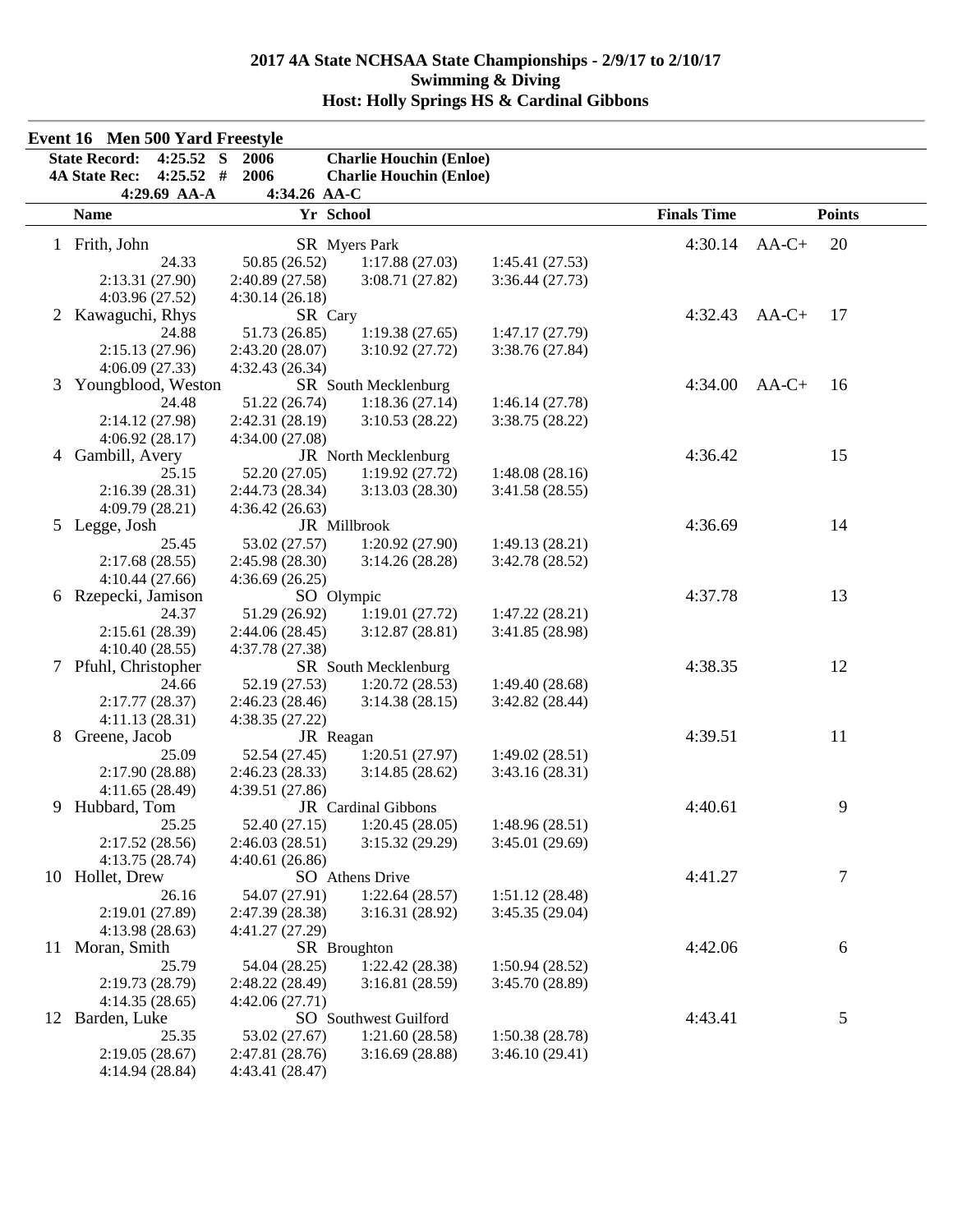|    | Event 16 Men 500 Yard Freestyle                     |                      |                                |                 |                    |               |
|----|-----------------------------------------------------|----------------------|--------------------------------|-----------------|--------------------|---------------|
|    | <b>State Record:</b><br>S<br>4:25.52                | 2006                 | <b>Charlie Houchin (Enloe)</b> |                 |                    |               |
|    | $4:25.52$ #<br><b>4A State Rec:</b><br>4:29.69 AA-A | 2006<br>4:34.26 AA-C | <b>Charlie Houchin (Enloe)</b> |                 |                    |               |
|    | <b>Name</b>                                         | Yr School            |                                |                 | <b>Finals Time</b> | <b>Points</b> |
|    | 1 Frith, John                                       |                      | SR Myers Park                  |                 | 4:30.14            | 20<br>$AA-C+$ |
|    | 24.33                                               | 50.85 (26.52)        | 1:17.88(27.03)                 | 1:45.41(27.53)  |                    |               |
|    | 2:13.31 (27.90)                                     | 2:40.89 (27.58)      | 3:08.71(27.82)                 | 3:36.44(27.73)  |                    |               |
|    | 4:03.96 (27.52)                                     | 4:30.14(26.18)       |                                |                 |                    |               |
|    | 2 Kawaguchi, Rhys                                   | SR Cary              |                                |                 | 4:32.43            | $AA-C+$<br>17 |
|    | 24.88                                               | 51.73 (26.85)        | 1:19.38(27.65)                 | 1:47.17(27.79)  |                    |               |
|    | 2:15.13(27.96)                                      | 2:43.20(28.07)       | 3:10.92 (27.72)                | 3:38.76(27.84)  |                    |               |
|    | 4:06.09(27.33)                                      | 4:32.43(26.34)       |                                |                 |                    |               |
| 3  | Youngblood, Weston                                  |                      | SR South Mecklenburg           |                 | 4:34.00            | $AA-C+$<br>16 |
|    | 24.48                                               | 51.22 (26.74)        | 1:18.36(27.14)                 | 1:46.14(27.78)  |                    |               |
|    | 2:14.12 (27.98)                                     | 2:42.31 (28.19)      | 3:10.53(28.22)                 | 3:38.75(28.22)  |                    |               |
|    | 4:06.92(28.17)                                      | 4:34.00 (27.08)      |                                |                 |                    |               |
| 4  | Gambill, Avery                                      |                      | JR North Mecklenburg           |                 | 4:36.42            | 15            |
|    | 25.15                                               | 52.20 (27.05)        | 1:19.92(27.72)                 | 1:48.08(28.16)  |                    |               |
|    | 2:16.39(28.31)                                      | 2:44.73 (28.34)      | 3:13.03(28.30)                 | 3:41.58(28.55)  |                    |               |
|    | 4:09.79 (28.21)                                     | 4:36.42(26.63)       |                                |                 |                    |               |
|    | 5 Legge, Josh                                       |                      | JR Millbrook                   |                 | 4:36.69            | 14            |
|    | 25.45                                               | 53.02 (27.57)        | 1:20.92(27.90)                 | 1:49.13(28.21)  |                    |               |
|    | 2:17.68(28.55)                                      | 2:45.98 (28.30)      | 3:14.26(28.28)                 | 3:42.78 (28.52) |                    |               |
|    | 4:10.44(27.66)                                      | 4:36.69(26.25)       |                                |                 |                    |               |
|    | 6 Rzepecki, Jamison                                 | SO Olympic           |                                |                 | 4:37.78            | 13            |
|    | 24.37                                               | 51.29 (26.92)        | 1:19.01(27.72)                 | 1:47.22(28.21)  |                    |               |
|    | 2:15.61(28.39)                                      | 2:44.06(28.45)       | 3:12.87(28.81)                 | 3:41.85 (28.98) |                    |               |
|    | 4:10.40(28.55)                                      | 4:37.78 (27.38)      |                                |                 |                    |               |
| 7  | Pfuhl, Christopher                                  |                      | SR South Mecklenburg           |                 | 4:38.35            | 12            |
|    | 24.66                                               | 52.19 (27.53)        | 1:20.72(28.53)                 | 1:49.40(28.68)  |                    |               |
|    | 2:17.77(28.37)                                      | 2:46.23(28.46)       | 3:14.38(28.15)                 | 3:42.82 (28.44) |                    |               |
|    | 4:11.13(28.31)                                      | 4:38.35(27.22)       |                                |                 |                    |               |
| 8  | Greene, Jacob                                       | JR Reagan            |                                |                 | 4:39.51            | 11            |
|    | 25.09                                               | 52.54 (27.45)        | 1:20.51(27.97)                 | 1:49.02(28.51)  |                    |               |
|    | 2:17.90 (28.88)                                     | 2:46.23(28.33)       | 3:14.85(28.62)                 | 3:43.16(28.31)  |                    |               |
|    | 4:11.65(28.49)                                      | 4:39.51 (27.86)      |                                |                 |                    |               |
|    | 9 Hubbard, Tom                                      |                      | JR Cardinal Gibbons            |                 | 4:40.61            | 9             |
|    | 25.25                                               | 52.40 (27.15)        | 1:20.45(28.05)                 | 1:48.96(28.51)  |                    |               |
|    | 2:17.52(28.56)                                      | 2:46.03(28.51)       | 3:15.32(29.29)                 | 3:45.01(29.69)  |                    |               |
|    | 4:13.75(28.74)                                      | 4:40.61(26.86)       |                                |                 |                    |               |
|    | 10 Hollet, Drew                                     |                      | SO Athens Drive                |                 | 4:41.27            | 7             |
|    | 26.16                                               | 54.07 (27.91)        | 1:22.64(28.57)                 | 1:51.12(28.48)  |                    |               |
|    | 2:19.01 (27.89)                                     | 2:47.39 (28.38)      | 3:16.31(28.92)                 | 3:45.35 (29.04) |                    |               |
|    | 4:13.98(28.63)                                      | 4:41.27 (27.29)      |                                |                 |                    |               |
| 11 | Moran, Smith                                        |                      | SR Broughton                   |                 | 4:42.06            | 6             |
|    | 25.79                                               | 54.04 (28.25)        | 1:22.42(28.38)                 | 1:50.94(28.52)  |                    |               |
|    | 2:19.73 (28.79)                                     | 2:48.22 (28.49)      | 3:16.81(28.59)                 | 3:45.70 (28.89) |                    |               |
|    | 4:14.35(28.65)                                      | 4:42.06(27.71)       |                                |                 |                    |               |
| 12 | Barden, Luke                                        |                      | SO Southwest Guilford          |                 | 4:43.41            | 5             |
|    | 25.35                                               | 53.02 (27.67)        | 1:21.60(28.58)                 | 1:50.38(28.78)  |                    |               |
|    | 2:19.05(28.67)                                      | 2:47.81 (28.76)      | 3:16.69(28.88)                 | 3:46.10(29.41)  |                    |               |
|    | 4:14.94 (28.84)                                     | 4:43.41 (28.47)      |                                |                 |                    |               |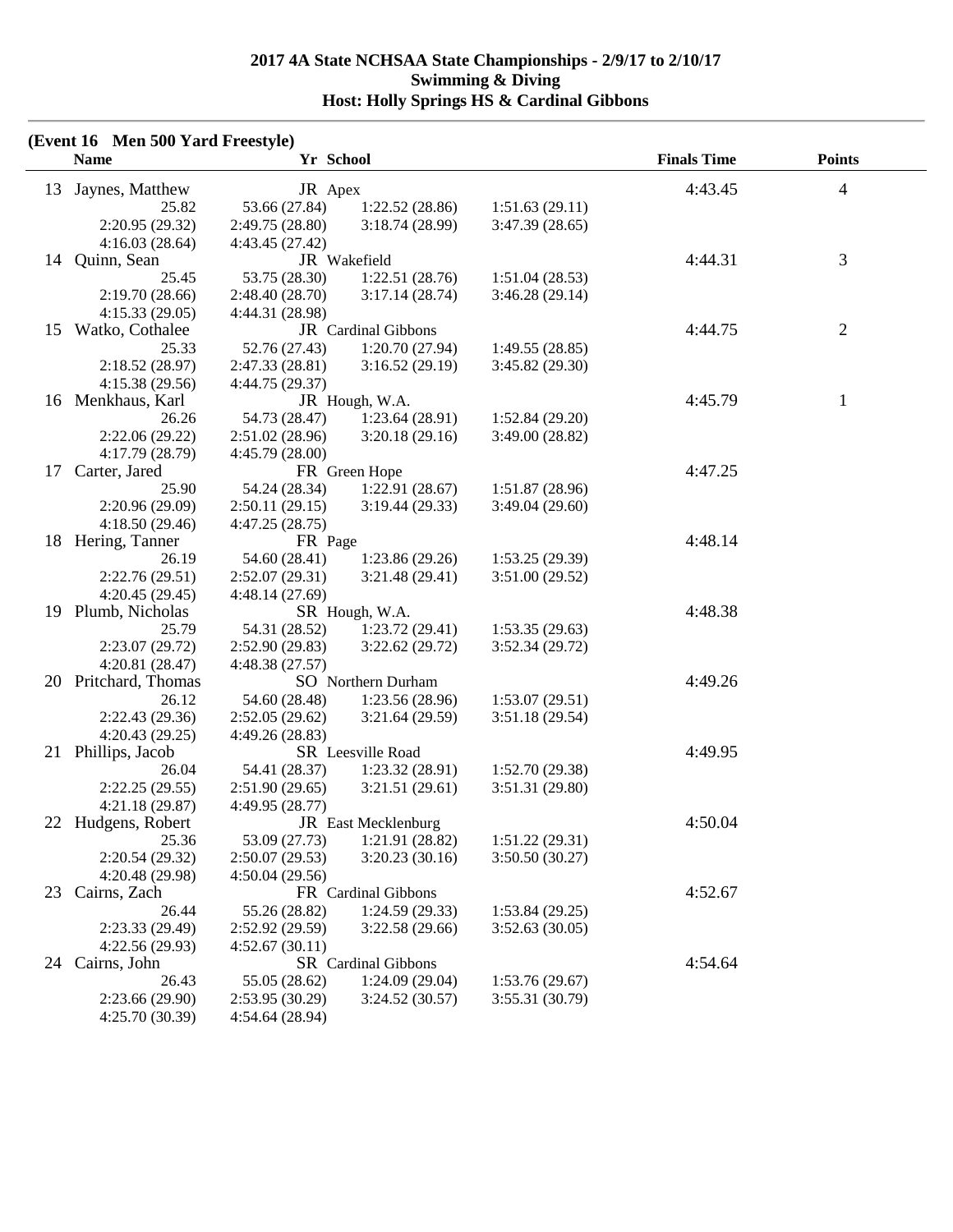|    | <b>Name</b>          | (Event 16 Men 500 Yard Freestyle)<br>Yr School |                     |                 | <b>Finals Time</b> | <b>Points</b>  |
|----|----------------------|------------------------------------------------|---------------------|-----------------|--------------------|----------------|
| 13 | Jaynes, Matthew      | JR Apex                                        |                     |                 | 4:43.45            | 4              |
|    | 25.82                | 53.66 (27.84)                                  | 1:22.52(28.86)      | 1:51.63(29.11)  |                    |                |
|    | 2:20.95 (29.32)      | 2:49.75(28.80)                                 | 3:18.74(28.99)      | 3:47.39(28.65)  |                    |                |
|    | 4:16.03(28.64)       | 4:43.45 (27.42)                                |                     |                 |                    |                |
| 14 | Quinn, Sean          |                                                | JR Wakefield        |                 | 4:44.31            | 3              |
|    | 25.45                | 53.75 (28.30)                                  | 1:22.51(28.76)      | 1:51.04(28.53)  |                    |                |
|    | 2:19.70 (28.66)      | 2:48.40(28.70)                                 | 3:17.14(28.74)      | 3:46.28(29.14)  |                    |                |
|    | 4:15.33(29.05)       | 4:44.31 (28.98)                                |                     |                 |                    |                |
| 15 | Watko, Cothalee      |                                                | JR Cardinal Gibbons |                 | 4:44.75            | $\overline{2}$ |
|    | 25.33                | 52.76 (27.43)                                  | 1:20.70(27.94)      | 1:49.55(28.85)  |                    |                |
|    | 2:18.52 (28.97)      | 2:47.33 (28.81)                                | 3:16.52(29.19)      | 3:45.82 (29.30) |                    |                |
|    | 4:15.38 (29.56)      | 4:44.75 (29.37)                                |                     |                 |                    |                |
|    | 16 Menkhaus, Karl    |                                                | JR Hough, W.A.      |                 | 4:45.79            | 1              |
|    | 26.26                | 54.73 (28.47)                                  | 1:23.64(28.91)      | 1:52.84(29.20)  |                    |                |
|    | 2:22.06(29.22)       | 2:51.02(28.96)                                 | 3:20.18(29.16)      | 3:49.00(28.82)  |                    |                |
|    | 4:17.79 (28.79)      | 4:45.79(28.00)                                 |                     |                 |                    |                |
| 17 | Carter, Jared        |                                                | FR Green Hope       |                 | 4:47.25            |                |
|    | 25.90                | 54.24 (28.34)                                  | 1:22.91(28.67)      | 1:51.87(28.96)  |                    |                |
|    | 2:20.96(29.09)       | 2:50.11(29.15)                                 | 3:19.44(29.33)      | 3:49.04(29.60)  |                    |                |
|    | 4:18.50(29.46)       | 4:47.25(28.75)                                 |                     |                 |                    |                |
|    | 18 Hering, Tanner    | FR Page                                        |                     |                 | 4:48.14            |                |
|    | 26.19                | 54.60 (28.41)                                  | 1:23.86(29.26)      | 1:53.25(29.39)  |                    |                |
|    | 2:22.76(29.51)       | 2:52.07(29.31)                                 | 3:21.48(29.41)      | 3:51.00(29.52)  |                    |                |
|    | 4:20.45(29.45)       | 4:48.14(27.69)                                 |                     |                 |                    |                |
|    | 19 Plumb, Nicholas   |                                                | SR Hough, W.A.      |                 | 4:48.38            |                |
|    | 25.79                | 54.31 (28.52)                                  | 1:23.72(29.41)      | 1:53.35(29.63)  |                    |                |
|    | 2:23.07 (29.72)      | 2:52.90(29.83)                                 | 3:22.62(29.72)      | 3:52.34(29.72)  |                    |                |
|    | 4:20.81(28.47)       | 4:48.38 (27.57)                                |                     |                 |                    |                |
|    | 20 Pritchard, Thomas |                                                | SO Northern Durham  |                 | 4:49.26            |                |
|    | 26.12                | 54.60 (28.48)                                  | 1:23.56(28.96)      | 1:53.07(29.51)  |                    |                |
|    | 2:22.43 (29.36)      | 2:52.05(29.62)                                 | 3:21.64(29.59)      | 3:51.18(29.54)  |                    |                |
|    | 4:20.43(29.25)       | 4:49.26(28.83)                                 |                     |                 |                    |                |
| 21 | Phillips, Jacob      |                                                | SR Leesville Road   |                 | 4:49.95            |                |
|    | 26.04                | 54.41 (28.37)                                  | 1:23.32(28.91)      | 1:52.70(29.38)  |                    |                |
|    | 2:22.25(29.55)       | 2:51.90(29.65)                                 | 3:21.51(29.61)      | 3:51.31 (29.80) |                    |                |
|    | 4:21.18(29.87)       | 4:49.95 (28.77)                                |                     |                 |                    |                |
|    | 22 Hudgens, Robert   |                                                | JR East Mecklenburg |                 | 4:50.04            |                |
|    | 25.36                | 53.09 (27.73)                                  | 1:21.91 (28.82)     | 1:51.22(29.31)  |                    |                |
|    | 2:20.54 (29.32)      | 2:50.07(29.53)                                 | 3:20.23(30.16)      | 3:50.50(30.27)  |                    |                |
|    | 4:20.48 (29.98)      | 4:50.04(29.56)                                 |                     |                 |                    |                |
| 23 | Cairns, Zach         |                                                | FR Cardinal Gibbons |                 | 4:52.67            |                |
|    | 26.44                | 55.26 (28.82)                                  | 1:24.59(29.33)      | 1:53.84(29.25)  |                    |                |
|    | 2:23.33 (29.49)      | 2:52.92 (29.59)                                | 3:22.58(29.66)      | 3:52.63(30.05)  |                    |                |
|    | 4:22.56 (29.93)      | 4:52.67(30.11)                                 |                     |                 |                    |                |
| 24 | Cairns, John         |                                                | SR Cardinal Gibbons |                 | 4:54.64            |                |
|    | 26.43                | 55.05 (28.62)                                  | 1:24.09 (29.04)     | 1:53.76(29.67)  |                    |                |
|    | 2:23.66 (29.90)      | 2:53.95(30.29)                                 | 3:24.52(30.57)      | 3:55.31 (30.79) |                    |                |
|    | 4:25.70 (30.39)      | 4:54.64 (28.94)                                |                     |                 |                    |                |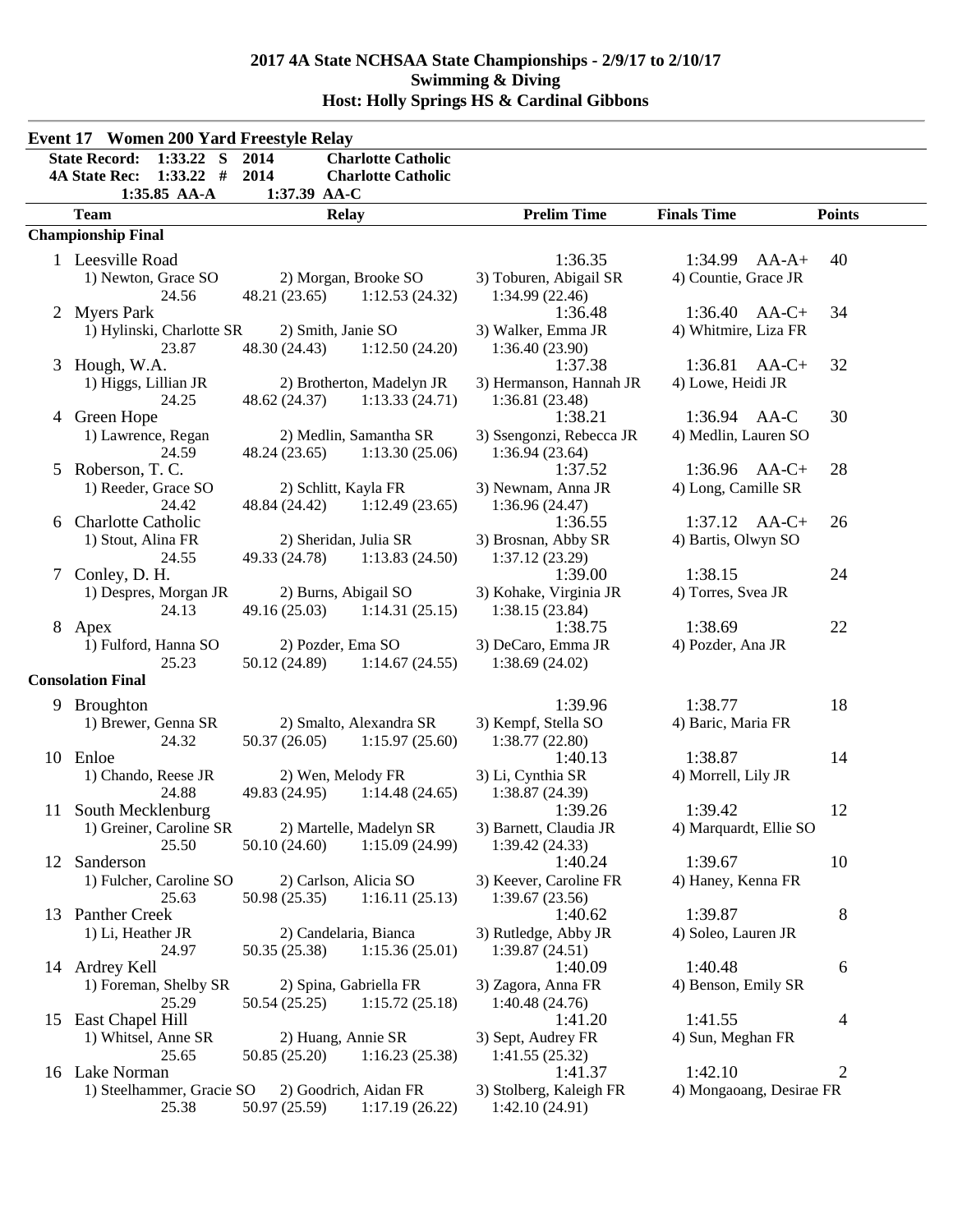|    | <b>Event 17 Women 200 Yard Freestyle Relay</b>                             |                              |                                                        |                                      |                          |                |
|----|----------------------------------------------------------------------------|------------------------------|--------------------------------------------------------|--------------------------------------|--------------------------|----------------|
|    | $1:33.22$ S<br><b>State Record:</b><br>$1:33.22$ #<br><b>4A State Rec:</b> | 2014<br>2014                 | <b>Charlotte Catholic</b><br><b>Charlotte Catholic</b> |                                      |                          |                |
|    | 1:35.85 AA-A<br><b>Team</b>                                                | 1:37.39 AA-C<br><b>Relay</b> |                                                        | <b>Prelim Time</b>                   | <b>Finals Time</b>       | <b>Points</b>  |
|    | <b>Championship Final</b>                                                  |                              |                                                        |                                      |                          |                |
|    | 1 Leesville Road                                                           |                              |                                                        | 1:36.35                              | $1:34.99$ AA-A+          | 40             |
|    | 1) Newton, Grace SO                                                        |                              | 2) Morgan, Brooke SO                                   | 3) Toburen, Abigail SR               | 4) Countie, Grace JR     |                |
|    | 24.56                                                                      |                              | 48.21 (23.65) 1:12.53 (24.32)                          | 1:34.99(22.46)                       |                          |                |
|    | 2 Myers Park                                                               |                              |                                                        | 1:36.48                              | $1:36.40$ AA-C+          | 34             |
|    | 1) Hylinski, Charlotte SR                                                  | 2) Smith, Janie SO           |                                                        | 3) Walker, Emma JR                   | 4) Whitmire, Liza FR     |                |
|    | 23.87                                                                      | 48.30 (24.43)                | 1:12.50(24.20)                                         | 1:36.40(23.90)                       |                          |                |
|    | 3 Hough, W.A.                                                              |                              |                                                        | 1:37.38                              | $1:36.81$ AA-C+          | 32             |
|    | 1) Higgs, Lillian JR                                                       |                              | 2) Brotherton, Madelyn JR                              | 3) Hermanson, Hannah JR              | 4) Lowe, Heidi JR        |                |
|    | 24.25                                                                      | 48.62 (24.37)                | 1:13.33(24.71)                                         | 1:36.81(23.48)                       |                          |                |
|    | 4 Green Hope                                                               |                              |                                                        | 1:38.21                              | 1:36.94 AA-C             | 30             |
|    | 1) Lawrence, Regan                                                         |                              | 2) Medlin, Samantha SR                                 | 3) Ssengonzi, Rebecca JR             | 4) Medlin, Lauren SO     |                |
|    | 24.59                                                                      |                              | 48.24 (23.65) 1:13.30 (25.06)                          | 1:36.94(23.64)                       |                          |                |
| 5  | Roberson, T. C.                                                            |                              |                                                        | 1:37.52                              | 1:36.96 AA-C+            | 28             |
|    | 1) Reeder, Grace SO<br>24.42                                               | 2) Schlitt, Kayla FR         | 48.84 (24.42) 1:12.49 (23.65)                          | 3) Newnam, Anna JR<br>1:36.96(24.47) | 4) Long, Camille SR      |                |
| 6  | <b>Charlotte Catholic</b>                                                  |                              |                                                        | 1:36.55                              | $1:37.12$ AA-C+          | 26             |
|    | 1) Stout, Alina FR                                                         | 2) Sheridan, Julia SR        |                                                        | 3) Brosnan, Abby SR                  | 4) Bartis, Olwyn SO      |                |
|    | 24.55                                                                      |                              | 49.33 (24.78) 1:13.83 (24.50)                          | 1:37.12(23.29)                       |                          |                |
|    | 7 Conley, D. H.                                                            |                              |                                                        | 1:39.00                              | 1:38.15                  | 24             |
|    | 1) Despres, Morgan JR                                                      | 2) Burns, Abigail SO         |                                                        | 3) Kohake, Virginia JR               | 4) Torres, Svea JR       |                |
|    | 24.13                                                                      |                              | $49.16(25.03)$ 1:14.31 (25.15)                         | 1:38.15(23.84)                       |                          |                |
|    | 8 Apex                                                                     |                              |                                                        | 1:38.75                              | 1:38.69                  | 22             |
|    | 1) Fulford, Hanna SO                                                       | 2) Pozder, Ema SO            |                                                        | 3) DeCaro, Emma JR                   | 4) Pozder, Ana JR        |                |
|    | 25.23                                                                      | 50.12 (24.89)                | 1:14.67(24.55)                                         | 1:38.69(24.02)                       |                          |                |
|    | <b>Consolation Final</b>                                                   |                              |                                                        |                                      |                          |                |
|    | 9 Broughton                                                                |                              |                                                        | 1:39.96                              | 1:38.77                  | 18             |
|    | 1) Brewer, Genna SR                                                        |                              | 2) Smalto, Alexandra SR                                | 3) Kempf, Stella SO                  | 4) Baric, Maria FR       |                |
|    | 24.32                                                                      |                              | $50.37(26.05)$ $1:15.97(25.60)$                        | 1:38.77(22.80)                       |                          |                |
|    | 10 Enloe                                                                   |                              |                                                        | 1:40.13                              | 1:38.87                  | 14             |
|    | 1) Chando, Reese JR                                                        | 2) Wen, Melody FR            |                                                        | 3) Li, Cynthia SR                    | 4) Morrell, Lily JR      |                |
|    | 24.88                                                                      |                              | 49.83 (24.95) 1:14.48 (24.65)                          | 1:38.87 (24.39)                      |                          |                |
|    | 11 South Mecklenburg                                                       |                              |                                                        | 1:39.26                              | 1:39.42                  | 12             |
|    | 1) Greiner, Caroline SR                                                    |                              | 2) Martelle, Madelyn SR                                | 3) Barnett, Claudia JR               | 4) Marquardt, Ellie SO   |                |
| 12 | 25.50<br>Sanderson                                                         | 50.10(24.60)                 | 1:15.09(24.99)                                         | 1:39.42(24.33)<br>1:40.24            | 1:39.67                  | 10             |
|    | 1) Fulcher, Caroline SO                                                    |                              | 2) Carlson, Alicia SO                                  | 3) Keever, Caroline FR               | 4) Haney, Kenna FR       |                |
|    | 25.63                                                                      | 50.98 (25.35)                | 1:16.11(25.13)                                         | 1:39.67 (23.56)                      |                          |                |
|    | 13 Panther Creek                                                           |                              |                                                        | 1:40.62                              | 1:39.87                  | 8              |
|    | 1) Li, Heather JR                                                          |                              | 2) Candelaria, Bianca                                  | 3) Rutledge, Abby JR                 | 4) Soleo, Lauren JR      |                |
|    | 24.97                                                                      | 50.35 (25.38)                | 1:15.36(25.01)                                         | 1:39.87 (24.51)                      |                          |                |
|    | 14 Ardrey Kell                                                             |                              |                                                        | 1:40.09                              | 1:40.48                  | 6              |
|    | 1) Foreman, Shelby SR                                                      |                              | 2) Spina, Gabriella FR                                 | 3) Zagora, Anna FR                   | 4) Benson, Emily SR      |                |
|    | 25.29                                                                      | 50.54 (25.25)                | 1:15.72(25.18)                                         | 1:40.48(24.76)                       |                          |                |
|    | 15 East Chapel Hill                                                        |                              |                                                        | 1:41.20                              | 1:41.55                  | 4              |
|    | 1) Whitsel, Anne SR                                                        | 2) Huang, Annie SR           |                                                        | 3) Sept, Audrey FR                   | 4) Sun, Meghan FR        |                |
|    | 25.65                                                                      | 50.85 (25.20)                | 1:16.23(25.38)                                         | 1:41.55(25.32)                       |                          |                |
|    | 16 Lake Norman                                                             |                              |                                                        | 1:41.37                              | 1:42.10                  | $\overline{2}$ |
|    | 1) Steelhammer, Gracie SO                                                  |                              | 2) Goodrich, Aidan FR                                  | 3) Stolberg, Kaleigh FR              | 4) Mongaoang, Desirae FR |                |
|    | 25.38                                                                      | 50.97 (25.59)                | 1:17.19(26.22)                                         | 1:42.10(24.91)                       |                          |                |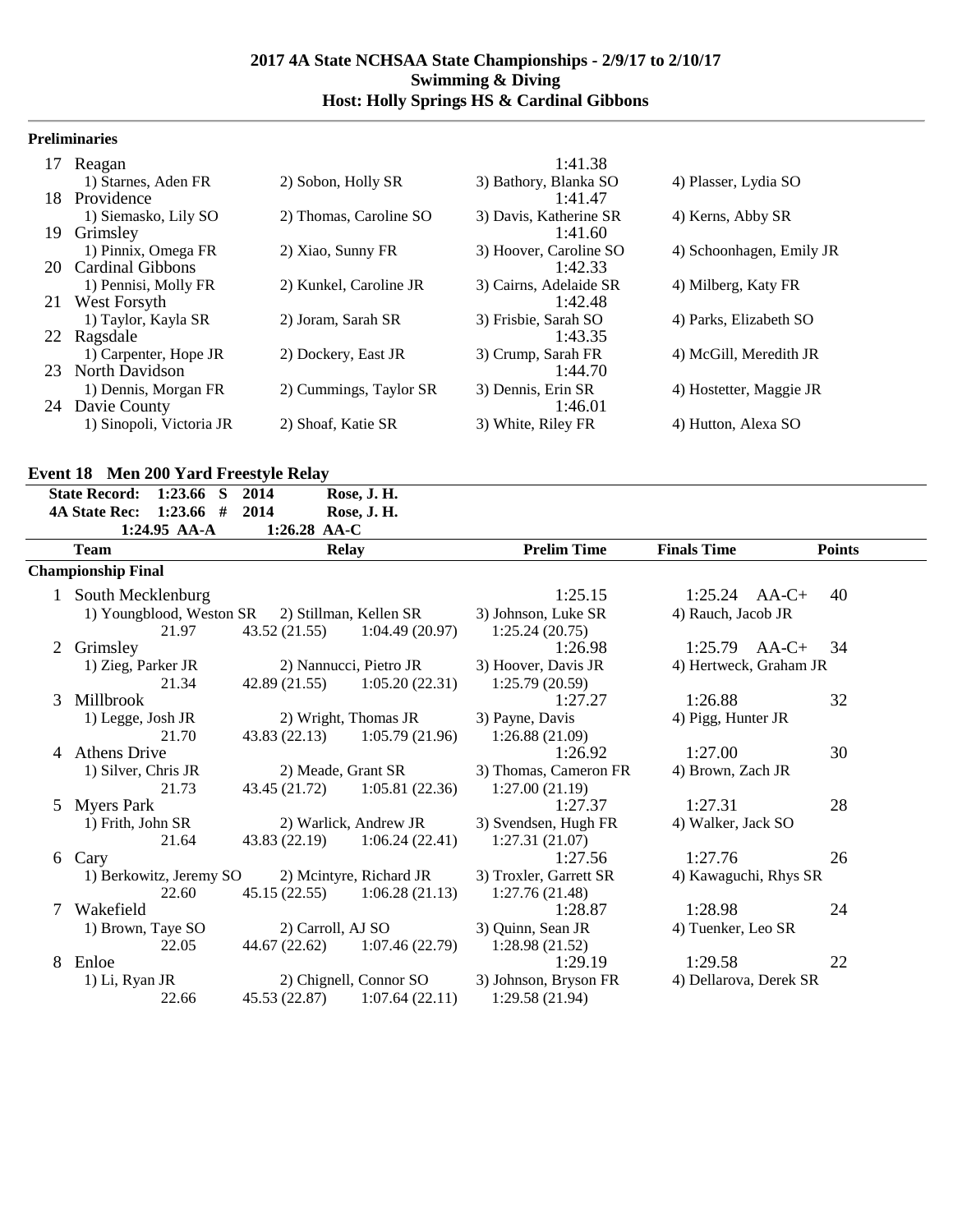## **Preliminaries**

| 17  | Reagan                   |                        | 1:41.38                |                          |
|-----|--------------------------|------------------------|------------------------|--------------------------|
|     | 1) Starnes, Aden FR      | 2) Sobon, Holly SR     | 3) Bathory, Blanka SO  | 4) Plasser, Lydia SO     |
| 18. | Providence               |                        | 1:41.47                |                          |
|     | 1) Siemasko, Lily SO     | 2) Thomas, Caroline SO | 3) Davis, Katherine SR | 4) Kerns, Abby SR        |
| 19  | Grimsley                 |                        | 1:41.60                |                          |
|     | 1) Pinnix, Omega FR      | 2) Xiao, Sunny FR      | 3) Hoover, Caroline SO | 4) Schoonhagen, Emily JR |
|     | 20 Cardinal Gibbons      |                        | 1:42.33                |                          |
|     | 1) Pennisi, Molly FR     | 2) Kunkel, Caroline JR | 3) Cairns, Adelaide SR | 4) Milberg, Katy FR      |
| 21  | West Forsyth             |                        | 1:42.48                |                          |
|     | 1) Taylor, Kayla SR      | 2) Joram, Sarah SR     | 3) Frisbie, Sarah SO   | 4) Parks, Elizabeth SO   |
|     | 22 Ragsdale              |                        | 1:43.35                |                          |
|     | 1) Carpenter, Hope JR    | 2) Dockery, East JR    | 3) Crump, Sarah FR     | 4) McGill, Meredith JR   |
|     | 23 North Davidson        |                        | 1:44.70                |                          |
|     | 1) Dennis, Morgan FR     | 2) Cummings, Taylor SR | 3) Dennis, Erin SR     | 4) Hostetter, Maggie JR  |
| 24  | Davie County             |                        | 1:46.01                |                          |
|     | 1) Sinopoli, Victoria JR | 2) Shoaf, Katie SR     | 3) White, Riley FR     | 4) Hutton, Alexa SO      |

## **Event 18 Men 200 Yard Freestyle Relay**

|   | <b>State Record:</b><br>1:23.66<br>-S | 2014               | Rose, J. H.             |                        |                        |               |
|---|---------------------------------------|--------------------|-------------------------|------------------------|------------------------|---------------|
|   | $1:23.66$ #<br><b>4A State Rec:</b>   | 2014               | Rose, J. H.             |                        |                        |               |
|   | 1:24.95 AA-A                          | 1:26.28 AA-C       |                         |                        |                        |               |
|   | <b>Team</b>                           |                    | <b>Relay</b>            | <b>Prelim Time</b>     | <b>Finals Time</b>     | <b>Points</b> |
|   | <b>Championship Final</b>             |                    |                         |                        |                        |               |
|   | 1 South Mecklenburg                   |                    |                         | 1:25.15                | $1:25.24$ AA-C+        | 40            |
|   | 1) Youngblood, Weston SR              |                    | 2) Stillman, Kellen SR  | 3) Johnson, Luke SR    | 4) Rauch, Jacob JR     |               |
|   | 21.97                                 | 43.52 (21.55)      | 1:04.49(20.97)          | 1:25.24(20.75)         |                        |               |
| 2 | Grimsley                              |                    |                         | 1:26.98                | $1:25.79$ AA-C+        | 34            |
|   | 1) Zieg, Parker JR                    |                    | 2) Nannucci, Pietro JR  | 3) Hoover, Davis JR    | 4) Hertweck, Graham JR |               |
|   | 21.34                                 | 42.89 (21.55)      | 1:05.20(22.31)          | 1:25.79(20.59)         |                        |               |
| 3 | Millbrook                             |                    |                         | 1:27.27                | 1:26.88                | 32            |
|   | 1) Legge, Josh JR                     |                    | 2) Wright, Thomas JR    | 3) Payne, Davis        | 4) Pigg, Hunter JR     |               |
|   | 21.70                                 | 43.83 (22.13)      | 1:05.79(21.96)          | 1:26.88(21.09)         |                        |               |
| 4 | <b>Athens Drive</b>                   |                    |                         | 1:26.92                | 1:27.00                | 30            |
|   | 1) Silver, Chris JR                   | 2) Meade, Grant SR |                         | 3) Thomas, Cameron FR  | 4) Brown, Zach JR      |               |
|   | 21.73                                 | 43.45 (21.72)      | 1:05.81(22.36)          | 1:27.00(21.19)         |                        |               |
| 5 | <b>Myers Park</b>                     |                    |                         | 1:27.37                | 1:27.31                | 28            |
|   | 1) Frith, John SR                     |                    | 2) Warlick, Andrew JR   | 3) Svendsen, Hugh FR   | 4) Walker, Jack SO     |               |
|   | 21.64                                 | 43.83 (22.19)      | 1:06.24(22.41)          | 1:27.31(21.07)         |                        |               |
| 6 | Cary                                  |                    |                         | 1:27.56                | 1:27.76                | 26            |
|   | 1) Berkowitz, Jeremy SO               |                    | 2) Mcintyre, Richard JR | 3) Troxler, Garrett SR | 4) Kawaguchi, Rhys SR  |               |
|   | 22.60                                 | 45.15 (22.55)      | 1:06.28(21.13)          | 1:27.76(21.48)         |                        |               |
| 7 | Wakefield                             |                    |                         | 1:28.87                | 1:28.98                | 24            |
|   | 1) Brown, Taye SO                     | 2) Carroll, AJ SO  |                         | 3) Quinn, Sean JR      | 4) Tuenker, Leo SR     |               |
|   | 22.05                                 | 44.67 (22.62)      | 1:07.46(22.79)          | 1:28.98(21.52)         |                        |               |
| 8 | Enloe                                 |                    |                         | 1:29.19                | 1:29.58                | 22            |
|   | 1) Li, Ryan JR                        |                    | 2) Chignell, Connor SO  | 3) Johnson, Bryson FR  | 4) Dellarova, Derek SR |               |
|   | 22.66                                 | 45.53 (22.87)      | 1:07.64(22.11)          | 1:29.58(21.94)         |                        |               |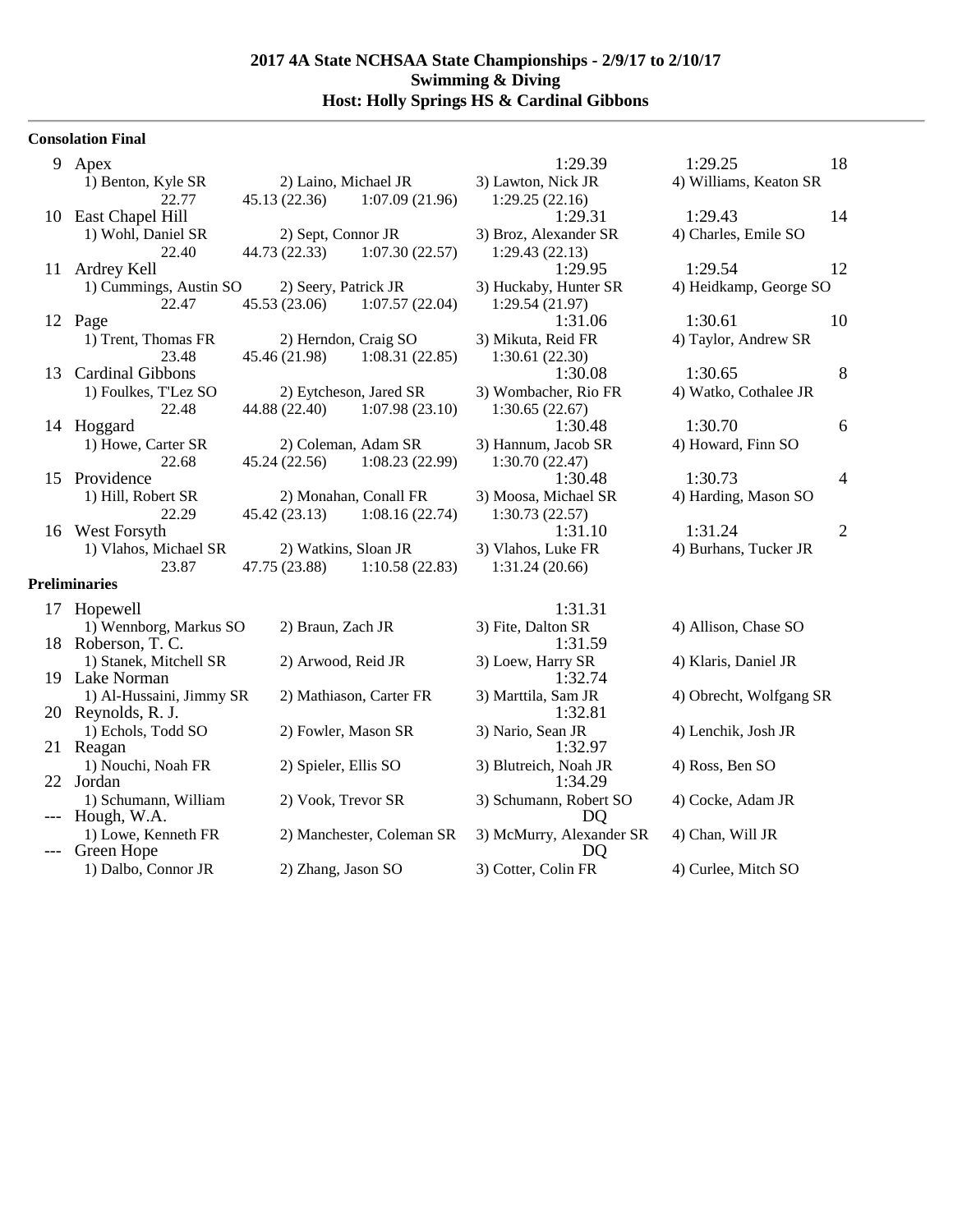## **Consolation Final**

| 9     | Apex                                |                        |                           | 1:29.39                      | 1:29.25                 | 18             |
|-------|-------------------------------------|------------------------|---------------------------|------------------------------|-------------------------|----------------|
|       | 1) Benton, Kyle SR                  | 2) Laino, Michael JR   |                           | 3) Lawton, Nick JR           | 4) Williams, Keaton SR  |                |
|       | 22.77                               | 45.13(22.36)           | 1:07.09(21.96)            | 1:29.25(22.16)               |                         |                |
| 10    | East Chapel Hill                    |                        |                           | 1:29.31                      | 1:29.43                 | 14             |
|       | 1) Wohl, Daniel SR                  | 2) Sept, Connor JR     |                           | 3) Broz, Alexander SR        | 4) Charles, Emile SO    |                |
|       | 22.40                               | 44.73 (22.33)          | 1:07.30(22.57)            | 1:29.43(22.13)               |                         |                |
| 11    | Ardrey Kell                         |                        |                           | 1:29.95                      | 1:29.54                 | 12             |
|       | 1) Cummings, Austin SO              | 2) Seery, Patrick JR   |                           | 3) Huckaby, Hunter SR        | 4) Heidkamp, George SO  |                |
|       | 22.47                               | 45.53(23.06)           | 1:07.57(22.04)            | 1:29.54(21.97)               |                         |                |
|       | 12 Page                             |                        |                           | 1:31.06                      | 1:30.61                 | 10             |
|       | 1) Trent, Thomas FR                 | 2) Herndon, Craig SO   |                           | 3) Mikuta, Reid FR           | 4) Taylor, Andrew SR    |                |
|       | 23.48                               | 45.46 (21.98)          | 1:08.31(22.85)            | 1:30.61(22.30)               |                         |                |
| 13    | <b>Cardinal Gibbons</b>             |                        |                           | 1:30.08                      | 1:30.65                 | 8              |
|       | 1) Foulkes, T'Lez SO                | 2) Eytcheson, Jared SR |                           | 3) Wombacher, Rio FR         | 4) Watko, Cothalee JR   |                |
|       | 22.48                               | 44.88 (22.40)          | 1:07.98(23.10)            | 1:30.65(22.67)               |                         |                |
|       | 14 Hoggard                          |                        |                           | 1:30.48                      | 1:30.70                 | 6              |
|       | 1) Howe, Carter SR                  | 2) Coleman, Adam SR    |                           | 3) Hannum, Jacob SR          | 4) Howard, Finn SO      |                |
|       | 22.68                               | 45.24 (22.56)          | 1:08.23(22.99)            | 1:30.70(22.47)               |                         |                |
| 15    | Providence                          |                        |                           | 1:30.48                      | 1:30.73                 | 4              |
|       | 1) Hill, Robert SR                  | 2) Monahan, Conall FR  |                           | 3) Moosa, Michael SR         | 4) Harding, Mason SO    |                |
|       | 22.29                               | 45.42(23.13)           | 1:08.16(22.74)            | 1:30.73(22.57)               |                         |                |
|       | 16 West Forsyth                     |                        |                           | 1:31.10                      | 1:31.24                 | $\overline{2}$ |
|       | 1) Vlahos, Michael SR               | 2) Watkins, Sloan JR   |                           | 3) Vlahos, Luke FR           | 4) Burhans, Tucker JR   |                |
|       | 23.87                               | 47.75 (23.88)          | 1:10.58(22.83)            | 1:31.24(20.66)               |                         |                |
|       | <b>Preliminaries</b>                |                        |                           |                              |                         |                |
|       | 17 Hopewell                         |                        |                           | 1:31.31                      |                         |                |
|       | 1) Wennborg, Markus SO              | 2) Braun, Zach JR      |                           | 3) Fite, Dalton SR           | 4) Allison, Chase SO    |                |
| 18    | Roberson, T. C.                     |                        |                           | 1:31.59                      |                         |                |
|       | 1) Stanek, Mitchell SR              | 2) Arwood, Reid JR     |                           | 3) Loew, Harry SR            | 4) Klaris, Daniel JR    |                |
|       | 19 Lake Norman                      |                        |                           | 1:32.74                      |                         |                |
|       | 1) Al-Hussaini, Jimmy SR            |                        | 2) Mathiason, Carter FR   | 3) Marttila, Sam JR          | 4) Obrecht, Wolfgang SR |                |
|       | 20 Reynolds, R. J.                  |                        |                           | 1:32.81                      |                         |                |
|       | 1) Echols, Todd SO                  | 2) Fowler, Mason SR    |                           | 3) Nario, Sean JR            | 4) Lenchik, Josh JR     |                |
|       | 21 Reagan                           |                        |                           | 1:32.97                      |                         |                |
|       | 1) Nouchi, Noah FR                  | 2) Spieler, Ellis SO   |                           | 3) Blutreich, Noah JR        | 4) Ross, Ben SO         |                |
|       | 22 Jordan                           |                        |                           | 1:34.29                      |                         |                |
| $---$ | 1) Schumann, William<br>Hough, W.A. | 2) Vook, Trevor SR     |                           | 3) Schumann, Robert SO<br>DQ | 4) Cocke, Adam JR       |                |
|       | 1) Lowe, Kenneth FR                 |                        | 2) Manchester, Coleman SR | 3) McMurry, Alexander SR     | 4) Chan, Will JR        |                |
|       | Green Hope                          |                        |                           | DQ                           |                         |                |
|       | 1) Dalbo, Connor JR                 | 2) Zhang, Jason SO     |                           | 3) Cotter, Colin FR          | 4) Curlee, Mitch SO     |                |
|       |                                     |                        |                           |                              |                         |                |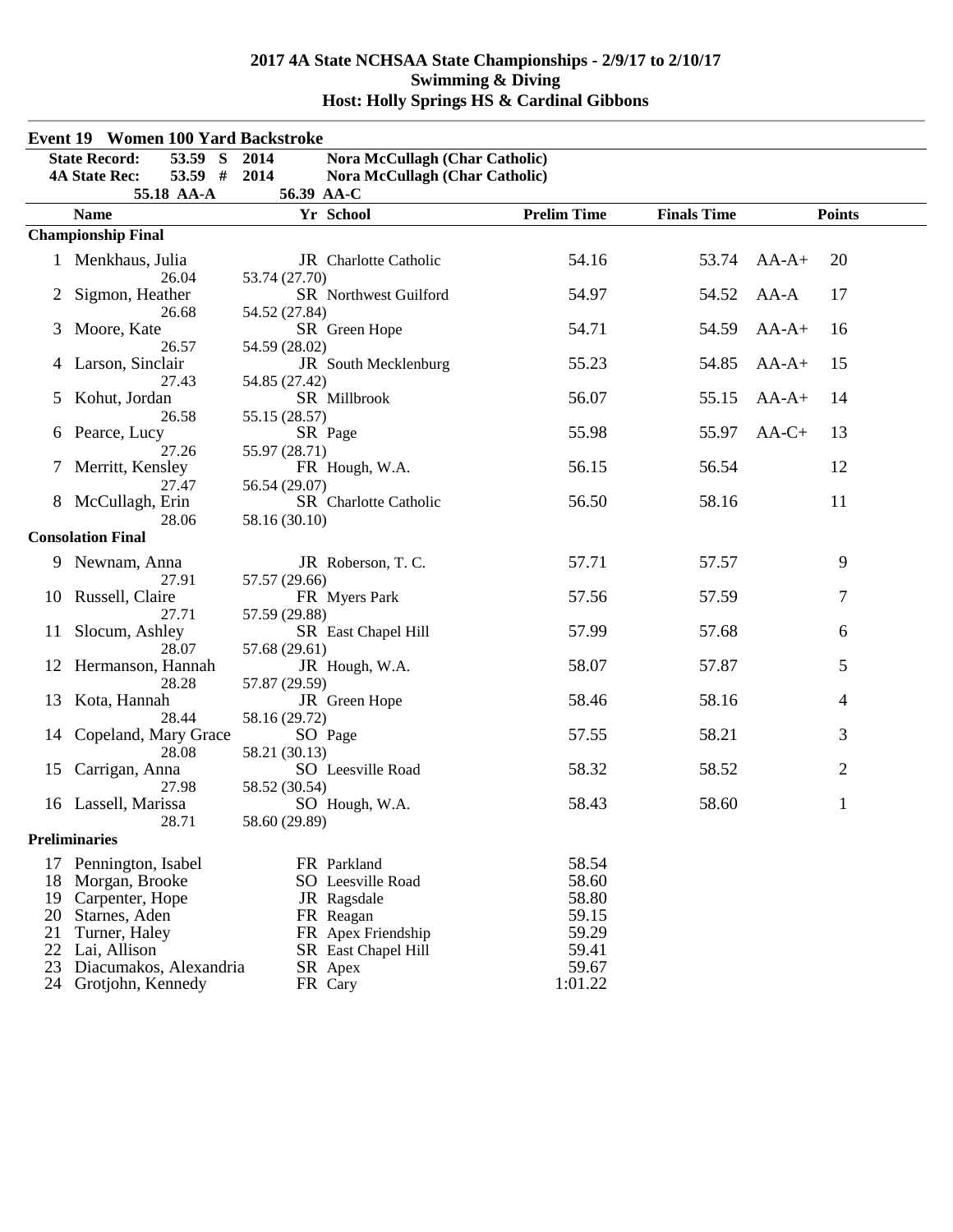|          | <b>Event 19 Women 100 Yard Backstroke</b>   |                                |                                       |                    |                    |         |                |
|----------|---------------------------------------------|--------------------------------|---------------------------------------|--------------------|--------------------|---------|----------------|
|          | 53.59 S<br><b>State Record:</b>             | 2014                           | Nora McCullagh (Char Catholic)        |                    |                    |         |                |
|          | 53.59 #<br><b>4A State Rec:</b>             | 2014                           | <b>Nora McCullagh (Char Catholic)</b> |                    |                    |         |                |
|          | 55.18 AA-A                                  | 56.39 AA-C                     |                                       |                    |                    |         |                |
|          | <b>Name</b>                                 |                                | Yr School                             | <b>Prelim Time</b> | <b>Finals Time</b> |         | <b>Points</b>  |
|          | <b>Championship Final</b>                   |                                |                                       |                    |                    |         |                |
|          | 1 Menkhaus, Julia<br>26.04                  | 53.74 (27.70)                  | JR Charlotte Catholic                 | 54.16              | 53.74              | $AA-A+$ | 20             |
| 2        | Sigmon, Heather<br>26.68                    | 54.52 (27.84)                  | SR Northwest Guilford                 | 54.97              | 54.52              | $AA-A$  | 17             |
| 3        | Moore, Kate<br>26.57                        | 54.59 (28.02)                  | SR Green Hope                         | 54.71              | 54.59              | $AA-A+$ | 16             |
|          | Larson, Sinclair<br>27.43                   | 54.85 (27.42)                  | JR South Mecklenburg                  | 55.23              | 54.85              | $AA-A+$ | 15             |
| 5        | Kohut, Jordan<br>26.58                      | 55.15 (28.57)                  | SR Millbrook                          | 56.07              | 55.15              | $AA-A+$ | 14             |
| 6        | Pearce, Lucy<br>27.26                       | 55.97 (28.71)                  | SR Page                               | 55.98              | 55.97              | $AA-C+$ | 13             |
|          | Merritt, Kensley<br>27.47                   | 56.54 (29.07)                  | FR Hough, W.A.                        | 56.15              | 56.54              |         | 12             |
|          | 8 McCullagh, Erin<br>28.06                  | 58.16 (30.10)                  | SR Charlotte Catholic                 | 56.50              | 58.16              |         | 11             |
|          | <b>Consolation Final</b>                    |                                |                                       |                    |                    |         |                |
|          | 9 Newnam, Anna                              |                                | JR Roberson, T.C.                     | 57.71              | 57.57              |         | 9              |
|          | 27.91<br>10 Russell, Claire                 | 57.57 (29.66)                  | FR Myers Park                         | 57.56              | 57.59              |         | 7              |
|          | 27.71<br>11 Slocum, Ashley<br>28.07         | 57.59 (29.88)<br>57.68 (29.61) | SR East Chapel Hill                   | 57.99              | 57.68              |         | 6              |
|          | 12 Hermanson, Hannah<br>28.28               | 57.87 (29.59)                  | JR Hough, W.A.                        | 58.07              | 57.87              |         | 5              |
| 13       | Kota, Hannah<br>28.44                       | 58.16 (29.72)                  | JR Green Hope                         | 58.46              | 58.16              |         | 4              |
| 14       | Copeland, Mary Grace<br>28.08               | 58.21 (30.13)                  | SO Page                               | 57.55              | 58.21              |         | 3              |
| 15       | Carrigan, Anna<br>27.98                     | 58.52 (30.54)                  | SO Leesville Road                     | 58.32              | 58.52              |         | $\overline{c}$ |
|          | 16 Lassell, Marissa<br>28.71                | 58.60 (29.89)                  | SO Hough, W.A.                        | 58.43              | 58.60              |         | 1              |
|          | <b>Preliminaries</b>                        |                                |                                       |                    |                    |         |                |
| 18       | 17 Pennington, Isabel<br>Morgan, Brooke     |                                | FR Parkland<br>SO Leesville Road      | 58.54<br>58.60     |                    |         |                |
| 19       | Carpenter, Hope                             |                                | JR Ragsdale                           | 58.80              |                    |         |                |
| 20       | Starnes, Aden                               |                                | FR Reagan                             | 59.15              |                    |         |                |
| 21       | Turner, Haley                               |                                | FR Apex Friendship                    | 59.29              |                    |         |                |
| 22       | Lai, Allison                                |                                | SR East Chapel Hill                   | 59.41              |                    |         |                |
| 23<br>24 | Diacumakos, Alexandria<br>Grotjohn, Kennedy |                                | SR Apex<br>FR Cary                    | 59.67<br>1:01.22   |                    |         |                |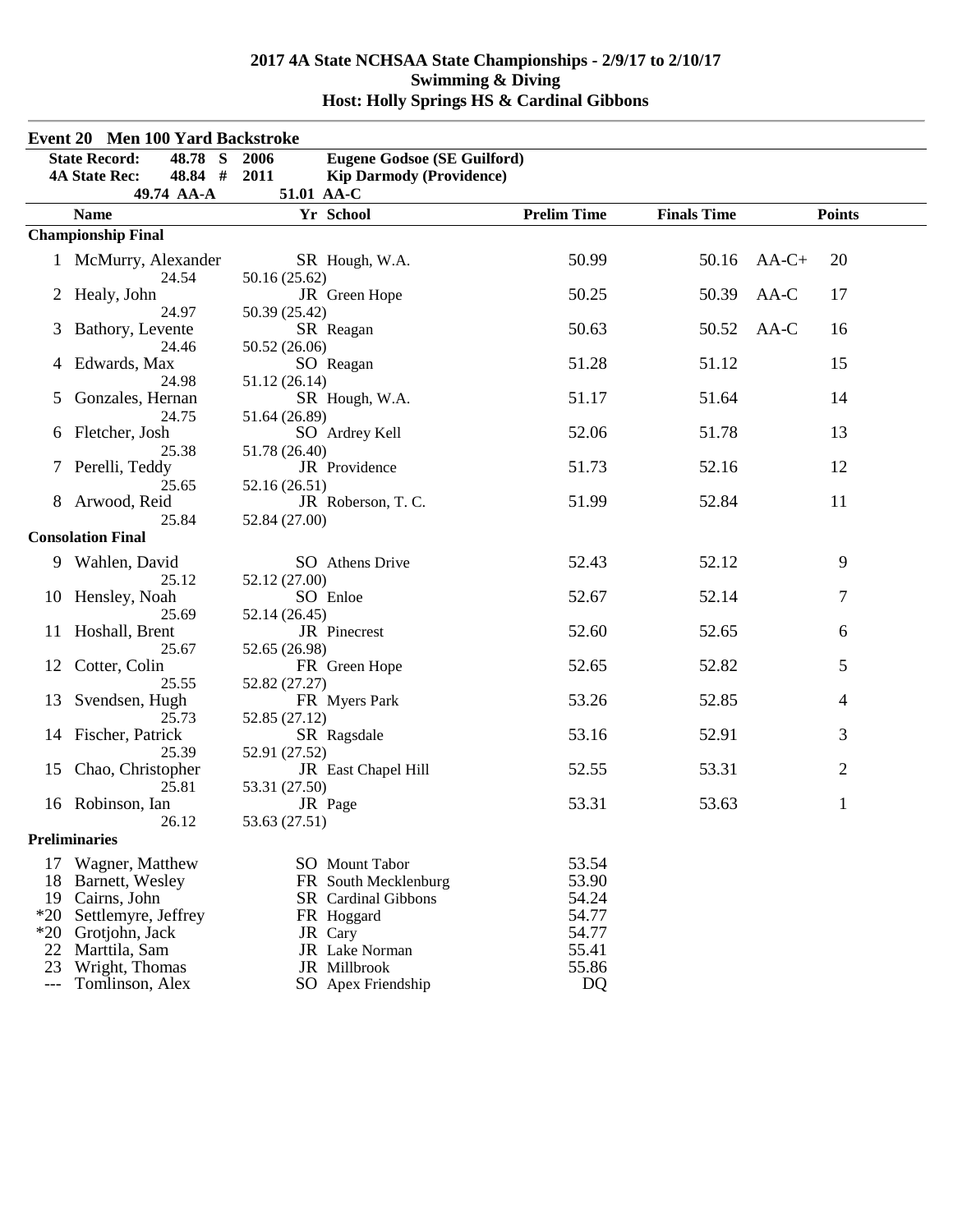|                     | <b>Event 20 Men 100 Yard Backstroke</b> |                                            |                    |                    |                |
|---------------------|-----------------------------------------|--------------------------------------------|--------------------|--------------------|----------------|
|                     | <b>State Record:</b><br>48.78 S         | <b>Eugene Godsoe (SE Guilford)</b><br>2006 |                    |                    |                |
|                     | 48.84 #<br><b>4A State Rec:</b>         | 2011<br><b>Kip Darmody (Providence)</b>    |                    |                    |                |
|                     | 49.74 AA-A                              | 51.01 AA-C                                 |                    |                    |                |
|                     | <b>Name</b>                             | Yr School                                  | <b>Prelim Time</b> | <b>Finals Time</b> | <b>Points</b>  |
|                     | <b>Championship Final</b>               |                                            |                    |                    |                |
|                     | 1 McMurry, Alexander<br>24.54           | SR Hough, W.A.<br>50.16 (25.62)            | 50.99              | 50.16              | $AA-C+$<br>20  |
|                     | Healy, John<br>24.97                    | JR Green Hope<br>50.39 (25.42)             | 50.25              | 50.39              | AA-C<br>17     |
| 3                   | Bathory, Levente<br>24.46               | SR Reagan<br>50.52 (26.06)                 | 50.63              | 50.52              | $AA-C$<br>16   |
| 4                   | Edwards, Max<br>24.98                   | SO Reagan<br>51.12 (26.14)                 | 51.28              | 51.12              | 15             |
| 5                   | Gonzales, Hernan<br>24.75               | SR Hough, W.A.<br>51.64 (26.89)            | 51.17              | 51.64              | 14             |
| 6                   | Fletcher, Josh                          | SO Ardrey Kell                             | 52.06              | 51.78              | 13             |
|                     | 25.38<br>7 Perelli, Teddy               | 51.78 (26.40)<br>JR Providence             | 51.73              | 52.16              | 12             |
| 8                   | 25.65<br>Arwood, Reid                   | 52.16 (26.51)<br>JR Roberson, T.C.         | 51.99              | 52.84              | 11             |
|                     | 25.84<br><b>Consolation Final</b>       | 52.84 (27.00)                              |                    |                    |                |
|                     |                                         |                                            |                    |                    |                |
|                     | 9 Wahlen, David<br>25.12                | SO Athens Drive<br>52.12 (27.00)           | 52.43              | 52.12              | 9              |
|                     | 10 Hensley, Noah<br>25.69               | SO Enloe<br>52.14 (26.45)                  | 52.67              | 52.14              | 7              |
|                     | 11 Hoshall, Brent<br>25.67              | JR Pinecrest<br>52.65 (26.98)              | 52.60              | 52.65              | 6              |
| 12                  | Cotter, Colin<br>25.55                  | FR Green Hope<br>52.82 (27.27)             | 52.65              | 52.82              | 5              |
| 13                  | Svendsen, Hugh<br>25.73                 | FR Myers Park<br>52.85 (27.12)             | 53.26              | 52.85              | 4              |
| 14                  | Fischer, Patrick<br>25.39               | SR Ragsdale<br>52.91 (27.52)               | 53.16              | 52.91              | 3              |
| 15                  | Chao, Christopher<br>25.81              | JR East Chapel Hill<br>53.31 (27.50)       | 52.55              | 53.31              | $\overline{2}$ |
|                     | 16 Robinson, Ian<br>26.12               | JR Page<br>53.63 (27.51)                   | 53.31              | 53.63              | 1              |
|                     | <b>Preliminaries</b>                    |                                            |                    |                    |                |
| 17                  | Wagner, Matthew                         | <b>SO</b> Mount Tabor                      | 53.54              |                    |                |
| 18                  | Barnett, Wesley                         | FR South Mecklenburg                       | 53.90              |                    |                |
| 19                  | Cairns, John                            | SR Cardinal Gibbons                        | 54.24              |                    |                |
| $*20$               | Settlemyre, Jeffrey                     | FR Hoggard                                 | 54.77              |                    |                |
| $*20$               | Grotjohn, Jack                          | JR Cary                                    | 54.77              |                    |                |
| 22                  | Marttila, Sam                           | JR Lake Norman                             | 55.41              |                    |                |
| 23                  | Wright, Thomas                          | JR Millbrook                               | 55.86              |                    |                |
| $\qquad \qquad - -$ | Tomlinson, Alex                         | SO Apex Friendship                         | DQ                 |                    |                |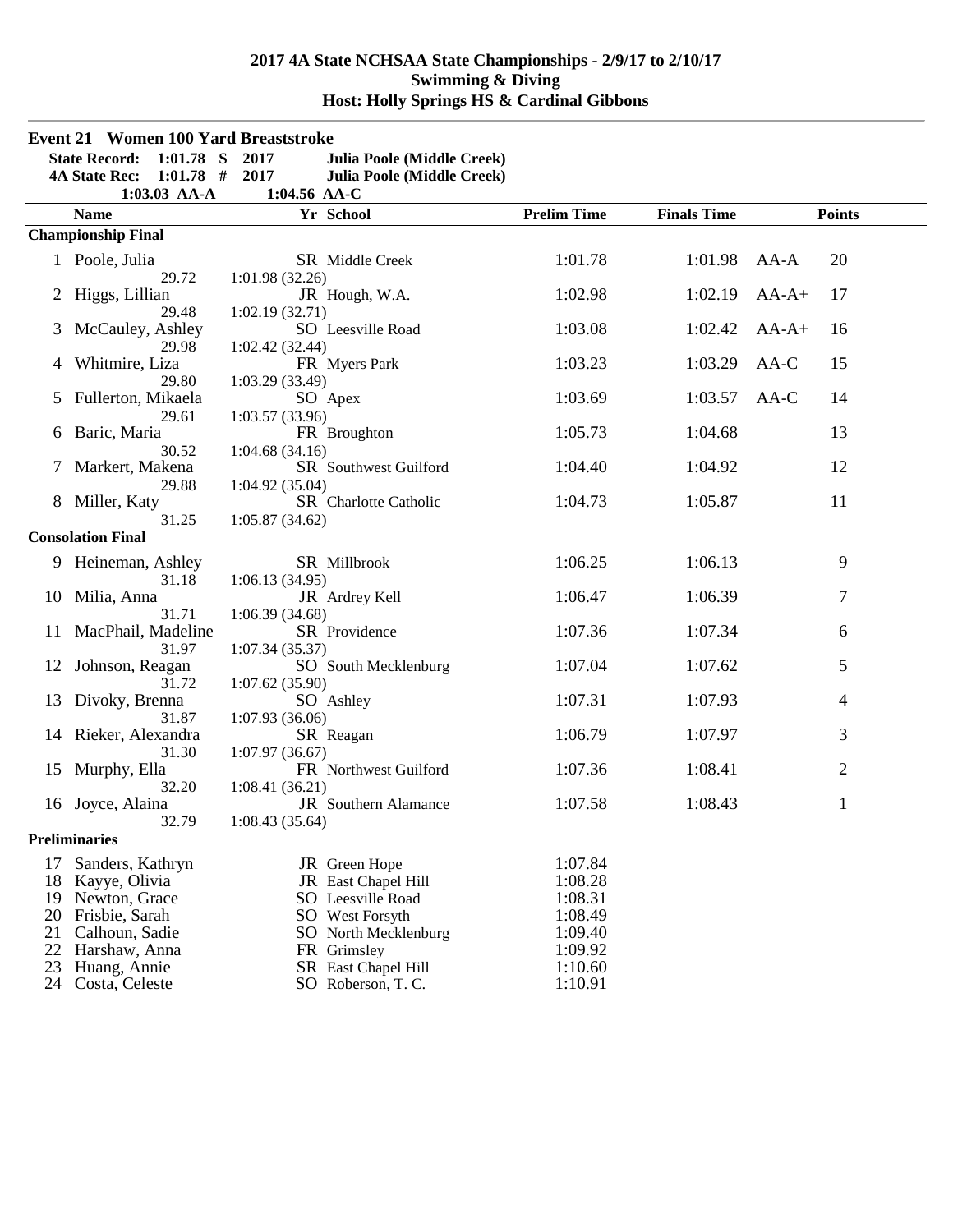|          | <b>Event 21 Women 100 Yard Breaststroke</b> |                                  |                                           |                    |                    |         |               |
|----------|---------------------------------------------|----------------------------------|-------------------------------------------|--------------------|--------------------|---------|---------------|
|          | $1:01.78$ S<br><b>State Record:</b>         | 2017                             | <b>Julia Poole (Middle Creek)</b>         |                    |                    |         |               |
|          | $1:01.78$ #<br><b>4A State Rec:</b>         | 2017                             | <b>Julia Poole (Middle Creek)</b>         |                    |                    |         |               |
|          | $1:03.03$ AA-A                              | 1:04.56 AA-C                     |                                           |                    |                    |         |               |
|          | <b>Name</b>                                 |                                  | Yr School                                 | <b>Prelim Time</b> | <b>Finals Time</b> |         | <b>Points</b> |
|          | <b>Championship Final</b>                   |                                  |                                           |                    |                    |         |               |
|          | 1 Poole, Julia                              |                                  | SR Middle Creek                           | 1:01.78            | 1:01.98            | $AA-A$  | 20            |
| 2        | 29.72<br>Higgs, Lillian                     | 1:01.98(32.26)                   | JR Hough, W.A.                            | 1:02.98            | 1:02.19            | $AA-A+$ | 17            |
| 3        | 29.48<br>McCauley, Ashley                   | 1:02.19(32.71)                   | SO Leesville Road                         | 1:03.08            | 1:02.42            | $AA-A+$ | 16            |
| 4        | 29.98<br>Whitmire, Liza                     | 1:02.42(32.44)                   | FR Myers Park                             | 1:03.23            | 1:03.29            | $AA-C$  | 15            |
| 5        | 29.80<br>Fullerton, Mikaela                 | 1:03.29(33.49)                   | SO Apex                                   | 1:03.69            | 1:03.57            | $AA-C$  | 14            |
| 6        | 29.61<br>Baric, Maria                       | 1:03.57(33.96)                   | FR Broughton                              | 1:05.73            | 1:04.68            |         | 13            |
|          | 30.52<br>Markert, Makena                    | 1:04.68(34.16)                   | SR Southwest Guilford                     | 1:04.40            | 1:04.92            |         | 12            |
|          | 29.88<br>8 Miller, Katy                     | 1:04.92(35.04)                   | SR Charlotte Catholic                     | 1:04.73            | 1:05.87            |         | 11            |
|          | 31.25<br><b>Consolation Final</b>           | 1:05.87(34.62)                   |                                           |                    |                    |         |               |
| 9.       | Heineman, Ashley                            |                                  | SR Millbrook                              | 1:06.25            | 1:06.13            |         | 9             |
| 10       | 31.18<br>Milia, Anna                        | 1:06.13(34.95)                   | JR Ardrey Kell                            | 1:06.47            | 1:06.39            |         | 7             |
| 11       | 31.71<br>MacPhail, Madeline                 | 1:06.39(34.68)                   | SR Providence                             | 1:07.36            | 1:07.34            |         | 6             |
| 12       | 31.97<br>Johnson, Reagan                    | 1:07.34(35.37)                   | SO South Mecklenburg                      | 1:07.04            | 1:07.62            |         | 5             |
| 13       | 31.72<br>Divoky, Brenna                     | 1:07.62(35.90)                   | SO Ashley                                 | 1:07.31            | 1:07.93            |         | 4             |
|          | 31.87<br>14 Rieker, Alexandra<br>31.30      | 1:07.93 (36.06)                  | SR Reagan                                 | 1:06.79            | 1:07.97            |         | 3             |
| 15       | Murphy, Ella<br>32.20                       | 1:07.97(36.67)<br>1:08.41(36.21) | FR Northwest Guilford                     | 1:07.36            | 1:08.41            |         | $\mathbf{2}$  |
| 16       | Joyce, Alaina<br>32.79                      | 1:08.43(35.64)                   | JR Southern Alamance                      | 1:07.58            | 1:08.43            |         | $\mathbf{1}$  |
|          | <b>Preliminaries</b>                        |                                  |                                           |                    |                    |         |               |
| 17       | Sanders, Kathryn                            |                                  | JR Green Hope                             | 1:07.84            |                    |         |               |
| 18       | Kayye, Olivia                               |                                  | JR East Chapel Hill                       | 1:08.28            |                    |         |               |
| 19       | Newton, Grace                               |                                  | <b>SO</b> Leesville Road                  | 1:08.31            |                    |         |               |
| 20       | Frisbie, Sarah                              |                                  | SO West Forsyth                           | 1:08.49            |                    |         |               |
| 21       | Calhoun, Sadie                              |                                  | SO North Mecklenburg                      | 1:09.40            |                    |         |               |
| 22       | Harshaw, Anna                               |                                  | FR Grimsley                               | 1:09.92            |                    |         |               |
| 23<br>24 | Huang, Annie<br>Costa, Celeste              |                                  | SR East Chapel Hill<br>SO Roberson, T. C. | 1:10.60<br>1:10.91 |                    |         |               |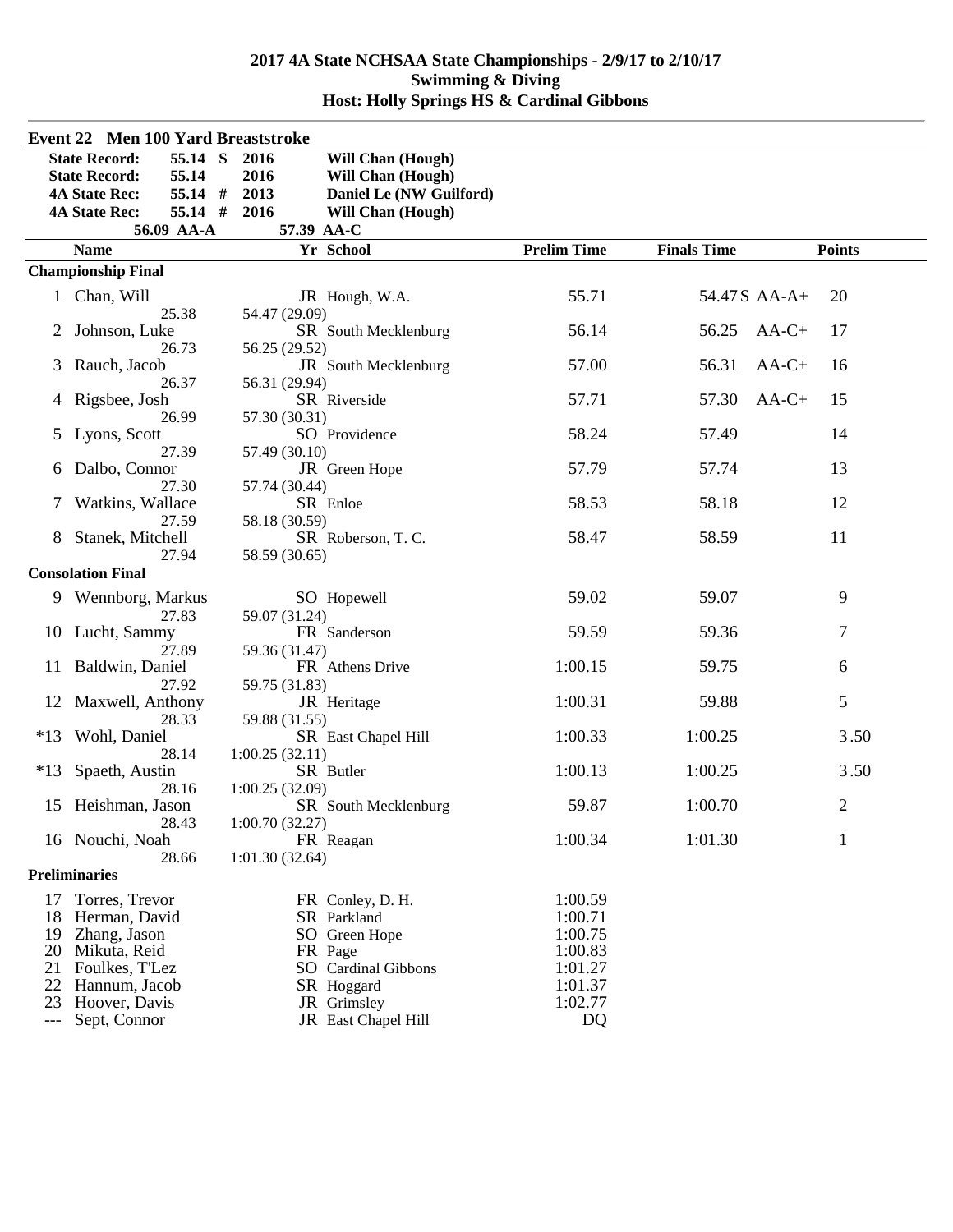|       | <b>Event 22 Men 100 Yard Breaststroke</b> |                |                          |                    |                    |              |                |  |
|-------|-------------------------------------------|----------------|--------------------------|--------------------|--------------------|--------------|----------------|--|
|       | 55.14 S<br><b>State Record:</b>           | 2016           | Will Chan (Hough)        |                    |                    |              |                |  |
|       | 55.14<br><b>State Record:</b>             | 2016           | <b>Will Chan (Hough)</b> |                    |                    |              |                |  |
|       | <b>4A State Rec:</b><br>55.14 #           | 2013           | Daniel Le (NW Guilford)  |                    |                    |              |                |  |
|       | 55.14 #<br><b>4A State Rec:</b>           | 2016           | <b>Will Chan (Hough)</b> |                    |                    |              |                |  |
|       | 56.09 AA-A                                | 57.39 AA-C     |                          |                    |                    |              |                |  |
|       | <b>Name</b>                               |                | Yr School                | <b>Prelim Time</b> | <b>Finals Time</b> |              | <b>Points</b>  |  |
|       | <b>Championship Final</b>                 |                |                          |                    |                    |              |                |  |
|       |                                           |                |                          | 55.71              |                    | 54.47S AA-A+ |                |  |
|       | 1 Chan, Will<br>25.38                     | 54.47 (29.09)  | JR Hough, W.A.           |                    |                    |              | 20             |  |
|       | Johnson, Luke                             |                | SR South Mecklenburg     | 56.14              | 56.25              | $AA-C+$      | 17             |  |
|       | 26.73                                     | 56.25 (29.52)  |                          |                    |                    |              |                |  |
| 3     | Rauch, Jacob                              |                | JR South Mecklenburg     | 57.00              | 56.31              | $AA-C+$      | 16             |  |
|       | 26.37                                     | 56.31 (29.94)  |                          |                    |                    |              |                |  |
| 4     | Rigsbee, Josh                             |                | SR Riverside             | 57.71              | 57.30              | $AA-C+$      | 15             |  |
|       | 26.99                                     | 57.30 (30.31)  |                          |                    |                    |              |                |  |
| 5     | Lyons, Scott                              |                | SO Providence            | 58.24              | 57.49              |              | 14             |  |
|       | 27.39                                     | 57.49 (30.10)  |                          |                    |                    |              |                |  |
| 6     | Dalbo, Connor                             |                | JR Green Hope            | 57.79              | 57.74              |              | 13             |  |
|       | 27.30                                     | 57.74 (30.44)  |                          |                    |                    |              |                |  |
|       | Watkins, Wallace                          |                | SR Enloe                 | 58.53              | 58.18              |              | 12             |  |
|       | 27.59                                     | 58.18 (30.59)  |                          |                    |                    |              |                |  |
|       | Stanek, Mitchell                          |                | SR Roberson, T. C.       | 58.47              | 58.59              |              | 11             |  |
|       | 27.94                                     | 58.59 (30.65)  |                          |                    |                    |              |                |  |
|       | <b>Consolation Final</b>                  |                |                          |                    |                    |              |                |  |
|       | 9 Wennborg, Markus                        |                | SO Hopewell              | 59.02              | 59.07              |              | 9              |  |
|       | 27.83                                     | 59.07 (31.24)  |                          |                    |                    |              |                |  |
|       | 10 Lucht, Sammy                           |                | FR Sanderson             | 59.59              | 59.36              |              | 7              |  |
|       | 27.89                                     | 59.36 (31.47)  |                          |                    |                    |              |                |  |
|       | 11 Baldwin, Daniel<br>27.92               |                | FR Athens Drive          | 1:00.15            | 59.75              |              | 6              |  |
|       | 12 Maxwell, Anthony                       | 59.75 (31.83)  | JR Heritage              | 1:00.31            | 59.88              |              | 5              |  |
|       | 28.33                                     | 59.88 (31.55)  |                          |                    |                    |              |                |  |
| $*13$ | Wohl, Daniel                              |                | SR East Chapel Hill      | 1:00.33            | 1:00.25            |              | 3.50           |  |
|       | 28.14                                     | 1:00.25(32.11) |                          |                    |                    |              |                |  |
| $*13$ | Spaeth, Austin                            |                | SR Butler                | 1:00.13            | 1:00.25            |              | 3.50           |  |
|       | 28.16                                     | 1:00.25(32.09) |                          |                    |                    |              |                |  |
| 15    | Heishman, Jason                           |                | SR South Mecklenburg     | 59.87              | 1:00.70            |              | $\overline{c}$ |  |
|       | 28.43                                     | 1:00.70(32.27) |                          |                    |                    |              |                |  |
|       | 16 Nouchi, Noah                           |                | FR Reagan                | 1:00.34            | 1:01.30            |              | $\mathbf{1}$   |  |
|       | 28.66                                     | 1:01.30(32.64) |                          |                    |                    |              |                |  |
|       | <b>Preliminaries</b>                      |                |                          |                    |                    |              |                |  |
| 17    | Torres, Trevor                            |                | FR Conley, D. H.         | 1:00.59            |                    |              |                |  |
| 18    | Herman, David                             |                | SR Parkland              | 1:00.71            |                    |              |                |  |
| 19    | Zhang, Jason                              |                | SO Green Hope            | 1:00.75            |                    |              |                |  |
| 20    | Mikuta, Reid                              |                | FR Page                  | 1:00.83            |                    |              |                |  |
| 21    | Foulkes, T'Lez                            |                | SO Cardinal Gibbons      | 1:01.27            |                    |              |                |  |
| 22    | Hannum, Jacob                             |                | SR Hoggard               | 1:01.37            |                    |              |                |  |
| 23    | Hoover, Davis                             |                | JR Grimsley              | 1:02.77            |                    |              |                |  |
| $---$ | Sept, Connor                              |                | JR East Chapel Hill      | DQ                 |                    |              |                |  |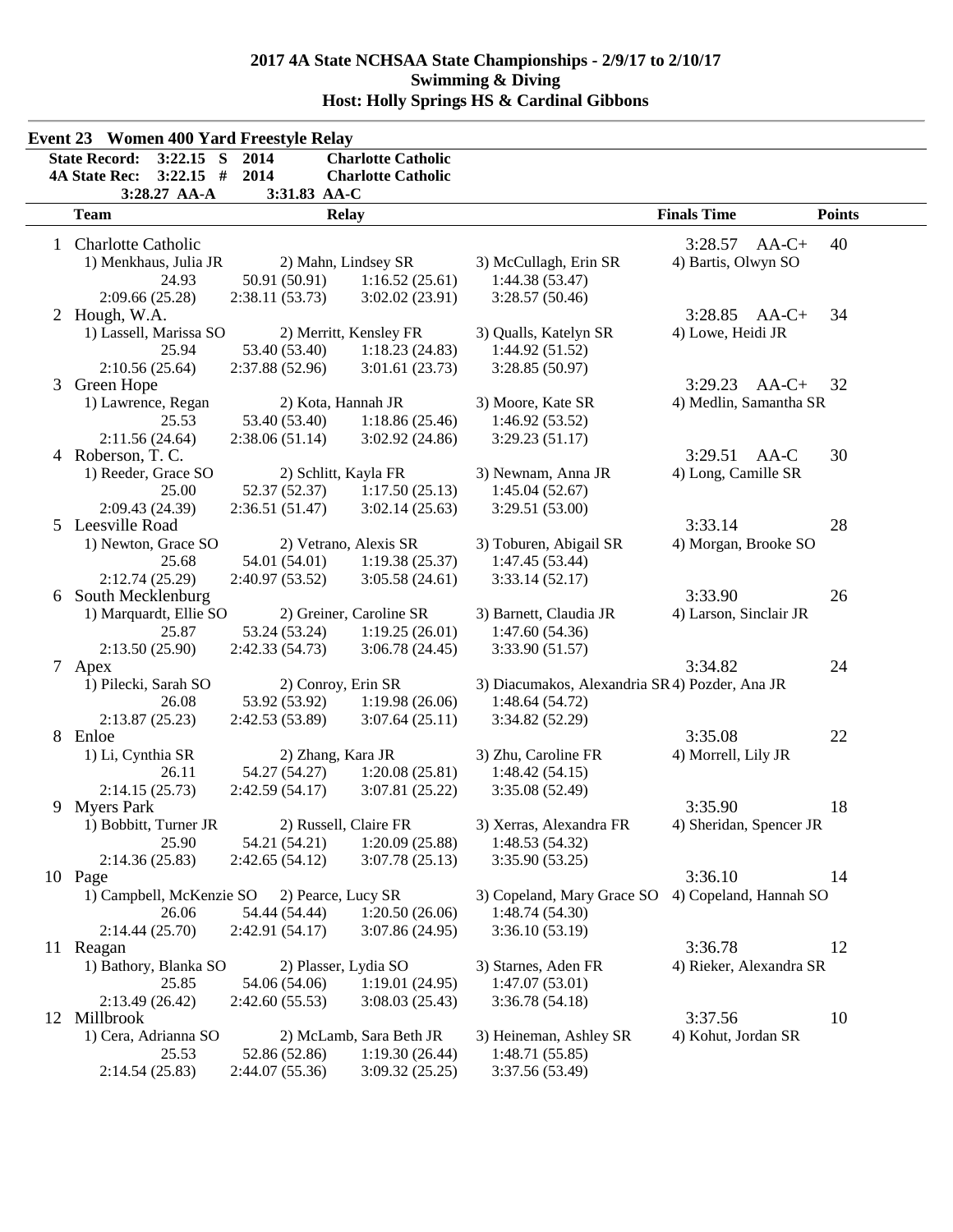|   | $3:22.15$ S<br><b>State Record:</b>                 | 2014                 | <b>Charlotte Catholic</b>         |                                               |                         |               |
|---|-----------------------------------------------------|----------------------|-----------------------------------|-----------------------------------------------|-------------------------|---------------|
|   | $3:22.15$ #<br><b>4A State Rec:</b><br>3:28.27 AA-A | 2014<br>3:31.83 AA-C | <b>Charlotte Catholic</b>         |                                               |                         |               |
|   | <b>Team</b>                                         |                      | <b>Relay</b>                      |                                               | <b>Finals Time</b>      | <b>Points</b> |
|   | 1 Charlotte Catholic                                |                      |                                   |                                               | 3:28.57<br>$AA-C+$      | 40            |
|   | 1) Menkhaus, Julia JR                               |                      | 2) Mahn, Lindsey SR               | 3) McCullagh, Erin SR                         | 4) Bartis, Olwyn SO     |               |
|   | 24.93                                               | 50.91 (50.91)        | 1:16.52(25.61)                    | 1:44.38(53.47)                                |                         |               |
|   | 2:09.66(25.28)                                      | 2:38.11 (53.73)      | 3:02.02(23.91)                    | 3:28.57(50.46)                                |                         |               |
|   | 2 Hough, W.A.                                       |                      |                                   |                                               | 3:28.85<br>$AA-C+$      | 34            |
|   | 1) Lassell, Marissa SO                              |                      | 2) Merritt, Kensley FR            | 3) Qualls, Katelyn SR                         | 4) Lowe, Heidi JR       |               |
|   | 25.94                                               | 53.40 (53.40)        | 1:18.23(24.83)                    | 1:44.92(51.52)                                |                         |               |
|   | 2:10.56(25.64)                                      | 2:37.88 (52.96)      | 3:01.61(23.73)                    | 3:28.85(50.97)                                |                         |               |
| 3 | Green Hope                                          |                      |                                   |                                               | $3:29.23$ AA-C+         | 32            |
|   | 1) Lawrence, Regan                                  | 2) Kota, Hannah JR   |                                   | 3) Moore, Kate SR                             | 4) Medlin, Samantha SR  |               |
|   | 25.53                                               | 53.40 (53.40)        | 1:18.86(25.46)                    | 1:46.92(53.52)                                |                         |               |
|   | 2:11.56(24.64)                                      | 2:38.06(51.14)       | 3:02.92(24.86)                    | 3:29.23(51.17)                                |                         |               |
|   | 4 Roberson, T. C.                                   |                      |                                   |                                               | 3:29.51<br>$AA-C$       | 30            |
|   | 1) Reeder, Grace SO                                 | 2) Schlitt, Kayla FR |                                   | 3) Newnam, Anna JR                            | 4) Long, Camille SR     |               |
|   | 25.00                                               | 52.37 (52.37)        | 1:17.50(25.13)                    | 1:45.04(52.67)                                |                         |               |
|   | 2:09.43 (24.39)                                     | 2:36.51(51.47)       | 3:02.14(25.63)                    | 3:29.51(53.00)                                |                         |               |
|   | 5 Leesville Road                                    |                      |                                   |                                               | 3:33.14                 | 28            |
|   | 1) Newton, Grace SO                                 |                      | 2) Vetrano, Alexis SR             | 3) Toburen, Abigail SR                        | 4) Morgan, Brooke SO    |               |
|   | 25.68                                               | 54.01 (54.01)        | 1:19.38(25.37)                    | 1:47.45 (53.44)                               |                         |               |
|   | 2:12.74(25.29)                                      | 2:40.97 (53.52)      | 3:05.58(24.61)                    | 3:33.14(52.17)                                |                         |               |
|   | 6 South Mecklenburg                                 |                      |                                   |                                               | 3:33.90                 | 26            |
|   | 1) Marquardt, Ellie SO                              |                      | 2) Greiner, Caroline SR           | 3) Barnett, Claudia JR                        | 4) Larson, Sinclair JR  |               |
|   | 25.87                                               | 53.24 (53.24)        | 1:19.25(26.01)                    | 1:47.60(54.36)                                |                         |               |
|   | 2:13.50 (25.90)                                     | 2:42.33(54.73)       | 3:06.78(24.45)                    | 3:33.90(51.57)                                |                         |               |
|   | 7 Apex                                              |                      |                                   |                                               | 3:34.82                 | 24            |
|   | 1) Pilecki, Sarah SO                                | 2) Conroy, Erin SR   |                                   | 3) Diacumakos, Alexandria SR4) Pozder, Ana JR |                         |               |
|   | 26.08                                               | 53.92 (53.92)        | 1:19.98(26.06)                    | 1:48.64(54.72)                                |                         |               |
|   | 2:13.87(25.23)                                      | 2:42.53 (53.89)      | 3:07.64(25.11)                    | 3:34.82 (52.29)                               |                         |               |
|   | 8 Enloe                                             |                      |                                   |                                               | 3:35.08                 | 22            |
|   | 1) Li, Cynthia SR                                   | 2) Zhang, Kara JR    |                                   | 3) Zhu, Caroline FR                           | 4) Morrell, Lily JR     |               |
|   | 26.11                                               | 54.27 (54.27)        | 1:20.08(25.81)                    | 1:48.42(54.15)                                |                         |               |
|   | 2:14.15(25.73)                                      | 2:42.59(54.17)       | 3:07.81(25.22)                    | 3:35.08 (52.49)                               |                         |               |
| 9 | <b>Myers Park</b>                                   |                      |                                   |                                               | 3:35.90                 | 18            |
|   | 1) Bobbitt, Turner JR                               |                      | 2) Russell, Claire FR             | 3) Xerras, Alexandra FR                       | 4) Sheridan, Spencer JR |               |
|   | 25.90                                               | 54.21 (54.21)        | 1:20.09(25.88)                    | 1:48.53(54.32)                                |                         |               |
|   | 2:14.36(25.83)<br>10 Page                           | 2:42.65(54.12)       | 3:07.78(25.13)                    | 3:35.90(53.25)                                | 3:36.10                 | 14            |
|   |                                                     |                      |                                   |                                               |                         |               |
|   | 1) Campbell, McKenzie SO 2) Pearce, Lucy SR         |                      |                                   | 3) Copeland, Mary Grace SO                    | 4) Copeland, Hannah SO  |               |
|   | 26.06                                               | 54.44 (54.44)        | 1:20.50(26.06)<br>3:07.86 (24.95) | 1:48.74(54.30)                                |                         |               |
|   | 2:14.44(25.70)                                      | 2:42.91 (54.17)      |                                   | 3:36.10(53.19)                                | 3:36.78                 | 12            |
|   | 11 Reagan<br>1) Bathory, Blanka SO                  |                      |                                   |                                               |                         |               |
|   |                                                     |                      | 2) Plasser, Lydia SO              | 3) Starnes, Aden FR<br>1:47.07(53.01)         | 4) Rieker, Alexandra SR |               |
|   | 25.85                                               | 54.06 (54.06)        | 1:19.01(24.95)                    | 3:36.78(54.18)                                |                         |               |
|   | 2:13.49(26.42)<br>12 Millbrook                      | 2:42.60(55.53)       | 3:08.03(25.43)                    |                                               | 3:37.56                 | 10            |
|   | 1) Cera, Adrianna SO                                |                      | 2) McLamb, Sara Beth JR           | 3) Heineman, Ashley SR                        | 4) Kohut, Jordan SR     |               |
|   | 25.53                                               | 52.86 (52.86)        | 1:19.30(26.44)                    | 1:48.71(55.85)                                |                         |               |
|   | 2:14.54(25.83)                                      | 2:44.07 (55.36)      | 3:09.32(25.25)                    | 3:37.56 (53.49)                               |                         |               |
|   |                                                     |                      |                                   |                                               |                         |               |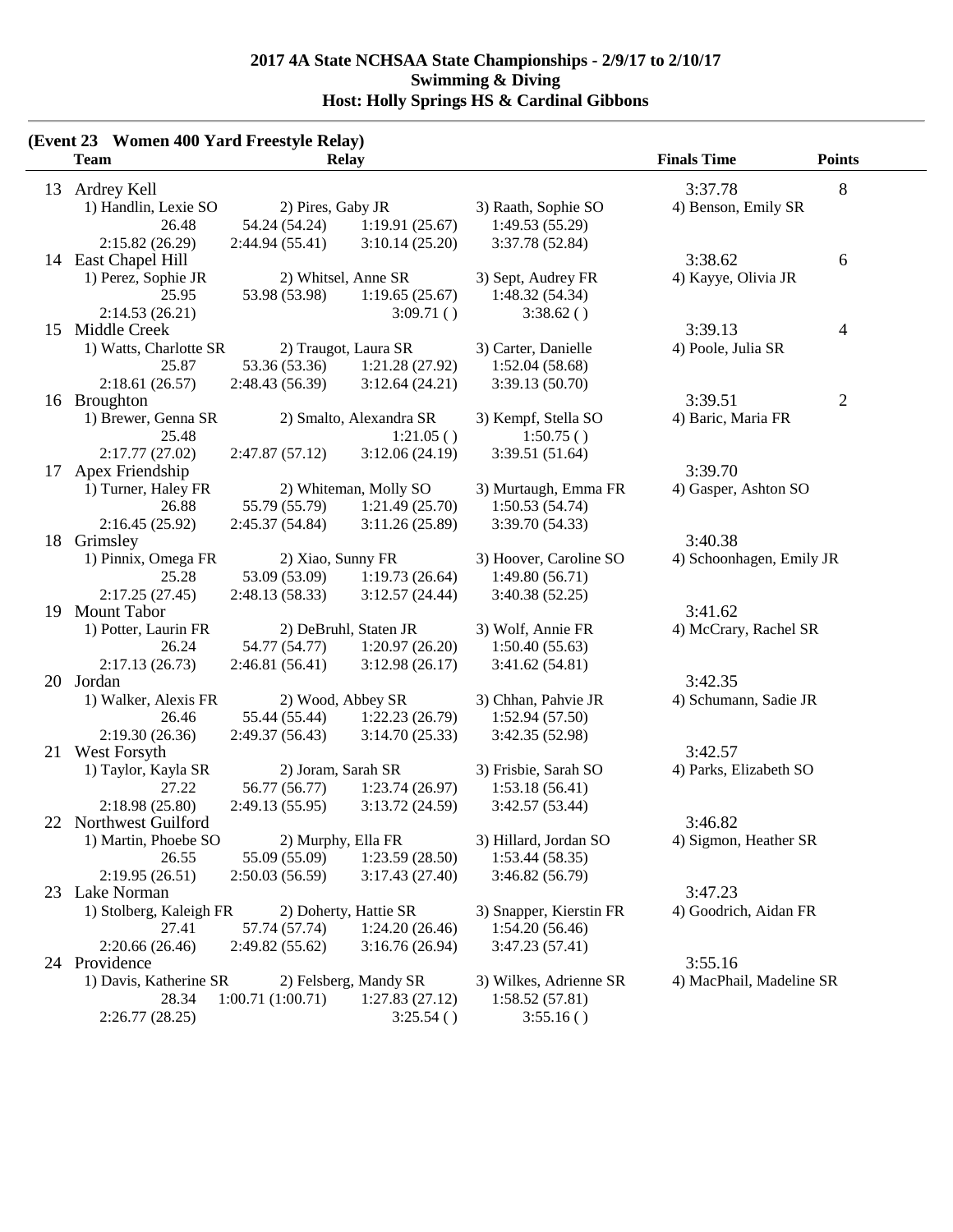|    | (Event 23 Women 400 Yard Freestyle Relay)<br><b>Team</b> |                    | <b>Relay</b>            |                         | <b>Finals Time</b>       | <b>Points</b>            |
|----|----------------------------------------------------------|--------------------|-------------------------|-------------------------|--------------------------|--------------------------|
|    | 13 Ardrey Kell                                           |                    |                         |                         | 3:37.78                  | 8                        |
|    | 1) Handlin, Lexie SO                                     | 2) Pires, Gaby JR  |                         | 3) Raath, Sophie SO     | 4) Benson, Emily SR      |                          |
|    | 26.48                                                    | 54.24 (54.24)      | 1:19.91(25.67)          | 1:49.53(55.29)          |                          |                          |
|    | 2:15.82(26.29)                                           | 2:44.94(55.41)     | 3:10.14(25.20)          | 3:37.78 (52.84)         |                          |                          |
|    | 14 East Chapel Hill                                      |                    |                         |                         | 3:38.62                  | 6                        |
|    | 1) Perez, Sophie JR                                      |                    | 2) Whitsel, Anne SR     | 3) Sept, Audrey FR      | 4) Kayye, Olivia JR      |                          |
|    | 25.95                                                    | 53.98 (53.98)      | 1:19.65(25.67)          | 1:48.32(54.34)          |                          |                          |
|    | 2:14.53(26.21)                                           |                    | 3:09.71()               | 3:38.62()               |                          |                          |
|    | 15 Middle Creek                                          |                    |                         |                         | 3:39.13                  | $\overline{\mathcal{A}}$ |
|    | 1) Watts, Charlotte SR                                   |                    | 2) Traugot, Laura SR    | 3) Carter, Danielle     | 4) Poole, Julia SR       |                          |
|    | 25.87                                                    | 53.36 (53.36)      | 1:21.28(27.92)          | 1:52.04(58.68)          |                          |                          |
|    |                                                          |                    |                         |                         |                          |                          |
|    | 2:18.61(26.57)                                           | 2:48.43 (56.39)    | 3:12.64(24.21)          | 3:39.13(50.70)          | 3:39.51                  |                          |
|    | 16 Broughton                                             |                    |                         |                         |                          | $\overline{c}$           |
|    | 1) Brewer, Genna SR                                      |                    | 2) Smalto, Alexandra SR | 3) Kempf, Stella SO     | 4) Baric, Maria FR       |                          |
|    | 25.48                                                    |                    | 1:21.05()               | 1:50.75()               |                          |                          |
|    | 2:17.77(27.02)                                           | 2:47.87(57.12)     | 3:12.06(24.19)          | 3:39.51(51.64)          |                          |                          |
| 17 | Apex Friendship                                          |                    |                         |                         | 3:39.70                  |                          |
|    | 1) Turner, Haley FR                                      |                    | 2) Whiteman, Molly SO   | 3) Murtaugh, Emma FR    | 4) Gasper, Ashton SO     |                          |
|    | 26.88                                                    | 55.79 (55.79)      | 1:21.49(25.70)          | 1:50.53(54.74)          |                          |                          |
|    | 2:16.45(25.92)                                           | 2:45.37 (54.84)    | 3:11.26(25.89)          | 3:39.70 (54.33)         |                          |                          |
| 18 | Grimsley                                                 |                    |                         |                         | 3:40.38                  |                          |
|    | 1) Pinnix, Omega FR                                      | 2) Xiao, Sunny FR  |                         | 3) Hoover, Caroline SO  | 4) Schoonhagen, Emily JR |                          |
|    | 25.28                                                    | 53.09 (53.09)      | 1:19.73(26.64)          | 1:49.80(56.71)          |                          |                          |
|    | 2:17.25(27.45)                                           | 2:48.13(58.33)     | 3:12.57(24.44)          | 3:40.38(52.25)          |                          |                          |
|    | 19 Mount Tabor                                           |                    |                         |                         | 3:41.62                  |                          |
|    | 1) Potter, Laurin FR                                     |                    | 2) DeBruhl, Staten JR   | 3) Wolf, Annie FR       | 4) McCrary, Rachel SR    |                          |
|    | 26.24                                                    | 54.77 (54.77)      | 1:20.97(26.20)          | 1:50.40(55.63)          |                          |                          |
|    | 2:17.13(26.73)                                           | 2:46.81(56.41)     | 3:12.98(26.17)          | 3:41.62(54.81)          |                          |                          |
| 20 | Jordan                                                   |                    |                         |                         | 3:42.35                  |                          |
|    | 1) Walker, Alexis FR                                     | 2) Wood, Abbey SR  |                         | 3) Chhan, Pahvie JR     | 4) Schumann, Sadie JR    |                          |
|    | 26.46                                                    | 55.44 (55.44)      | 1:22.23(26.79)          | 1:52.94(57.50)          |                          |                          |
|    | 2:19.30(26.36)                                           | 2:49.37(56.43)     | 3:14.70(25.33)          | 3:42.35 (52.98)         |                          |                          |
|    | 21 West Forsyth                                          |                    |                         |                         | 3:42.57                  |                          |
|    | 1) Taylor, Kayla SR                                      | 2) Joram, Sarah SR |                         | 3) Frisbie, Sarah SO    | 4) Parks, Elizabeth SO   |                          |
|    | 27.22                                                    | 56.77 (56.77)      | 1:23.74(26.97)          | 1:53.18(56.41)          |                          |                          |
|    | 2:18.98(25.80)                                           | 2:49.13(55.95)     | 3:13.72(24.59)          | 3:42.57 (53.44)         |                          |                          |
|    | 22 Northwest Guilford                                    |                    |                         |                         | 3:46.82                  |                          |
|    | 1) Martin, Phoebe SO                                     | 2) Murphy, Ella FR |                         | 3) Hillard, Jordan SO   | 4) Sigmon, Heather SR    |                          |
|    | 26.55                                                    | 55.09 (55.09)      | 1:23.59(28.50)          | 1:53.44(58.35)          |                          |                          |
|    | 2:19.95(26.51)                                           | 2:50.03(56.59)     | 3:17.43(27.40)          | 3:46.82(56.79)          |                          |                          |
|    | 23 Lake Norman                                           |                    |                         |                         | 3:47.23                  |                          |
|    | 1) Stolberg, Kaleigh FR                                  |                    | 2) Doherty, Hattie SR   | 3) Snapper, Kierstin FR | 4) Goodrich, Aidan FR    |                          |
|    | 27.41                                                    | 57.74 (57.74)      | 1:24.20(26.46)          | 1:54.20(56.46)          |                          |                          |
|    | 2:20.66 (26.46)                                          | 2:49.82 (55.62)    | 3:16.76(26.94)          | 3:47.23(57.41)          |                          |                          |
|    | 24 Providence                                            |                    |                         |                         | 3:55.16                  |                          |
|    | 1) Davis, Katherine SR                                   |                    | 2) Felsberg, Mandy SR   | 3) Wilkes, Adrienne SR  | 4) MacPhail, Madeline SR |                          |
|    | 28.34                                                    | 1:00.71(1:00.71)   | 1:27.83(27.12)          | 1:58.52(57.81)          |                          |                          |
|    | 2:26.77(28.25)                                           |                    | 3:25.54()               | 3:55.16()               |                          |                          |
|    |                                                          |                    |                         |                         |                          |                          |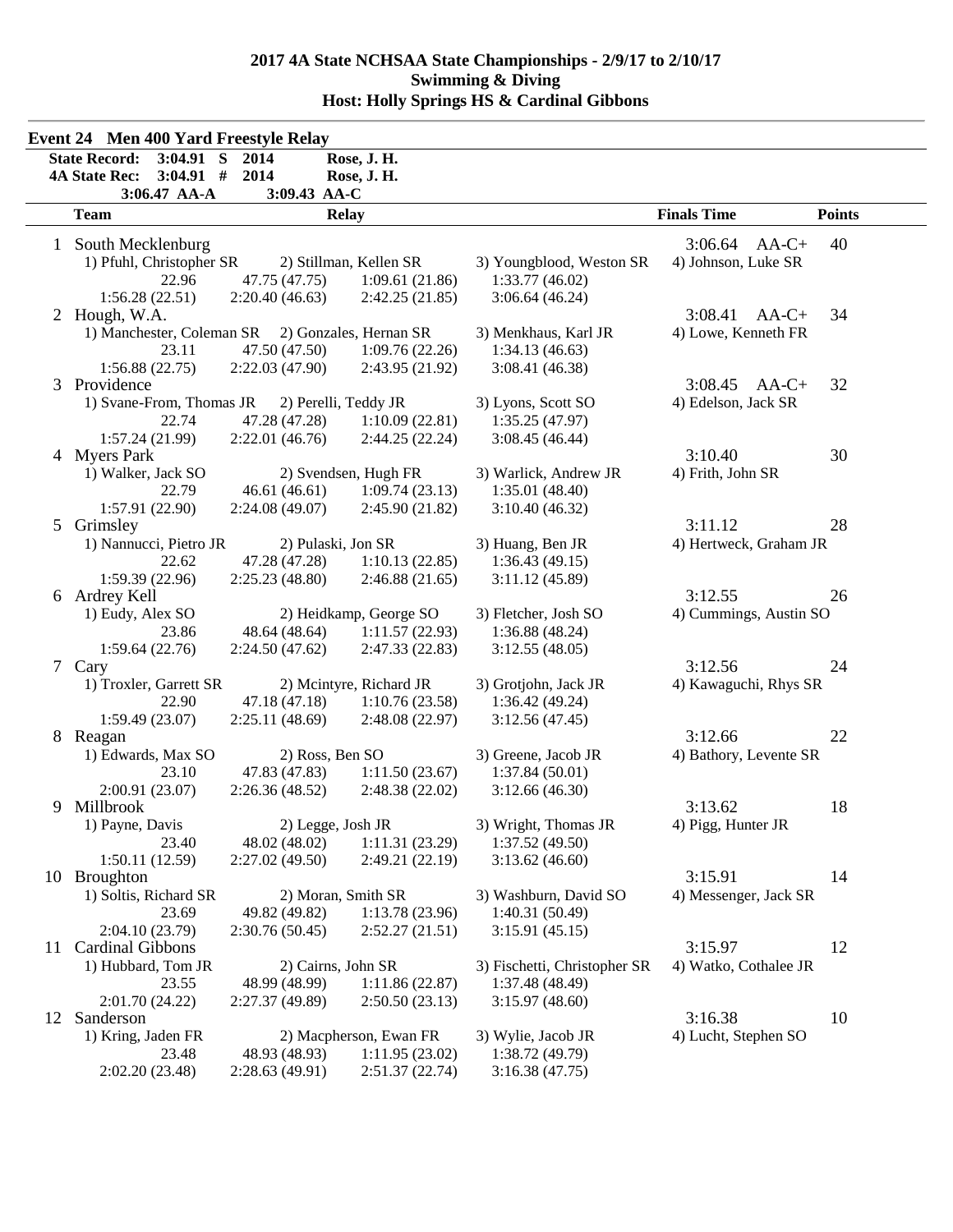| <b>Finals Time</b><br><b>Points</b><br>3:06.64<br>40<br>$AA-C+$<br>4) Johnson, Luke SR<br>3) Youngblood, Weston SR |
|--------------------------------------------------------------------------------------------------------------------|
|                                                                                                                    |
|                                                                                                                    |
|                                                                                                                    |
| 1:33.77(46.02)<br>3:06.64(46.24)                                                                                   |
| 3:08.41<br>$AA-C+$<br>34                                                                                           |
| 4) Lowe, Kenneth FR<br>3) Menkhaus, Karl JR                                                                        |
| 1:34.13(46.63)                                                                                                     |
| 3:08.41(46.38)                                                                                                     |
| 32<br>3:08.45<br>$AA-C+$                                                                                           |
| 3) Lyons, Scott SO<br>4) Edelson, Jack SR                                                                          |
| 1:35.25(47.97)                                                                                                     |
| 3:08.45(46.44)                                                                                                     |
| 3:10.40<br>30                                                                                                      |
| 3) Warlick, Andrew JR<br>4) Frith, John SR                                                                         |
| 1:35.01(48.40)                                                                                                     |
| 3:10.40(46.32)                                                                                                     |
| 28<br>3:11.12                                                                                                      |
| 4) Hertweck, Graham JR<br>3) Huang, Ben JR                                                                         |
| 1:36.43(49.15)                                                                                                     |
| 3:11.12(45.89)<br>3:12.55<br>26                                                                                    |
|                                                                                                                    |
| 4) Cummings, Austin SO<br>3) Fletcher, Josh SO                                                                     |
| 1:36.88(48.24)                                                                                                     |
| 3:12.55(48.05)<br>3:12.56<br>24                                                                                    |
| 3) Grotjohn, Jack JR<br>4) Kawaguchi, Rhys SR                                                                      |
| 1:36.42(49.24)                                                                                                     |
| 3:12.56(47.45)                                                                                                     |
| 3:12.66<br>22                                                                                                      |
| 3) Greene, Jacob JR<br>4) Bathory, Levente SR                                                                      |
| 1:37.84(50.01)                                                                                                     |
| 3:12.66(46.30)                                                                                                     |
| 3:13.62<br>18                                                                                                      |
| 3) Wright, Thomas JR<br>4) Pigg, Hunter JR                                                                         |
| 1:37.52(49.50)                                                                                                     |
| 3:13.62(46.60)                                                                                                     |
| 3:15.91<br>14                                                                                                      |
| 3) Washburn, David SO<br>4) Messenger, Jack SR                                                                     |
| 1:40.31(50.49)                                                                                                     |
| 3:15.91(45.15)                                                                                                     |
| 3:15.97<br>12                                                                                                      |
| 3) Fischetti, Christopher SR<br>4) Watko, Cothalee JR                                                              |
| 1:37.48(48.49)                                                                                                     |
| 3:15.97(48.60)                                                                                                     |
| 3:16.38<br>10                                                                                                      |
| 3) Wylie, Jacob JR<br>4) Lucht, Stephen SO                                                                         |
| 1:38.72(49.79)                                                                                                     |
| 3:16.38(47.75)                                                                                                     |
|                                                                                                                    |